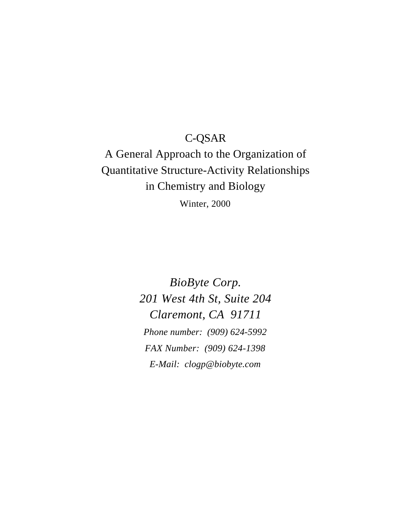# C-QSAR

# A General Approach to the Organization of Quantitative Structure-Activity Relationships in Chemistry and Biology Winter, 2000

*BioByte Corp. 201 West 4th St, Suite 204 Claremont, CA 91711 Phone number: (909) 624-5992 FAX Number: (909) 624-1398 E-Mail: clogp@biobyte.com*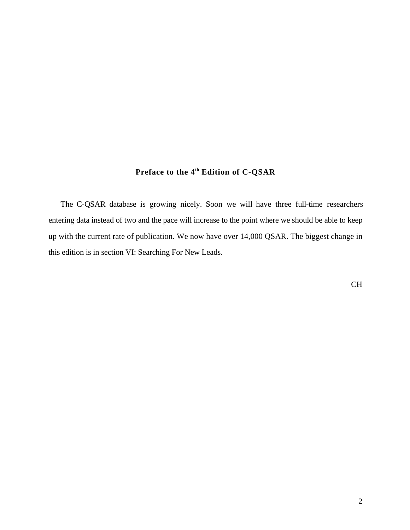# **Preface to the 4th Edition of C-QSAR**

The C-QSAR database is growing nicely. Soon we will have three full-time researchers entering data instead of two and the pace will increase to the point where we should be able to keep up with the current rate of publication. We now have over 14,000 QSAR. The biggest change in this edition is in section VI: Searching For New Leads.

CH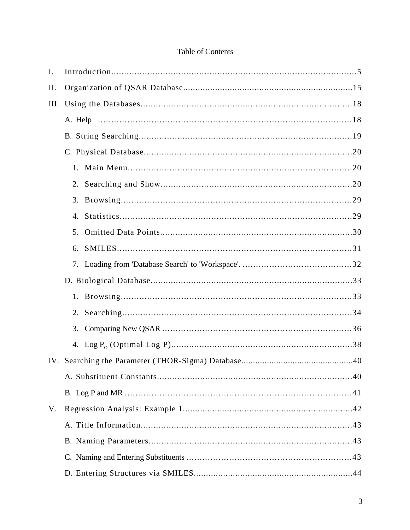# Table of Contents

| I.   |    |  |  |
|------|----|--|--|
| II.  |    |  |  |
| III. |    |  |  |
|      |    |  |  |
|      |    |  |  |
|      |    |  |  |
|      |    |  |  |
|      |    |  |  |
|      |    |  |  |
|      |    |  |  |
|      |    |  |  |
|      | 6. |  |  |
|      |    |  |  |
|      |    |  |  |
|      |    |  |  |
|      |    |  |  |
|      |    |  |  |
|      |    |  |  |
|      |    |  |  |
|      |    |  |  |
|      |    |  |  |
|      |    |  |  |
| V.   |    |  |  |
|      |    |  |  |
|      |    |  |  |
|      |    |  |  |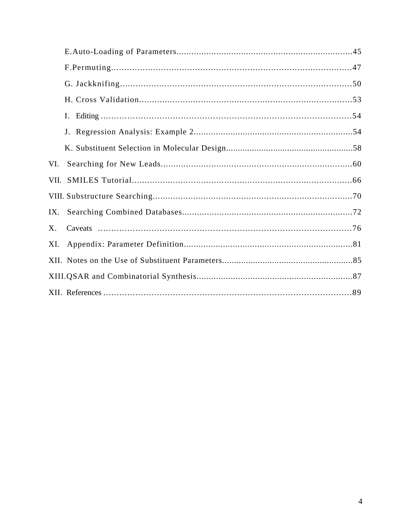| VI. |  |
|-----|--|
|     |  |
|     |  |
| IX. |  |
| X.  |  |
| XI. |  |
|     |  |
|     |  |
|     |  |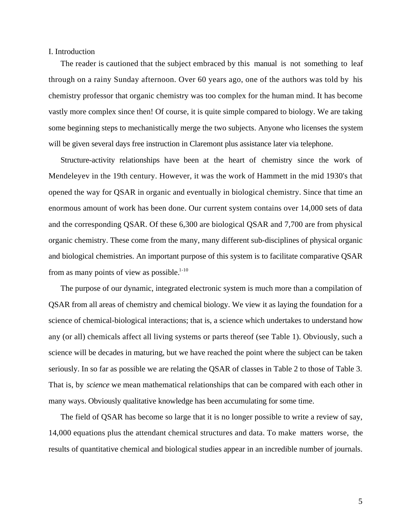#### I. Introduction

The reader is cautioned that the subject embraced by this manual is not something to leaf through on a rainy Sunday afternoon. Over 60 years ago, one of the authors was told by his chemistry professor that organic chemistry was too complex for the human mind. It has become vastly more complex since then! Of course, it is quite simple compared to biology. We are taking some beginning steps to mechanistically merge the two subjects. Anyone who licenses the system will be given several days free instruction in Claremont plus assistance later via telephone.

Structure-activity relationships have been at the heart of chemistry since the work of Mendeleyev in the 19th century. However, it was the work of Hammett in the mid 1930's that opened the way for QSAR in organic and eventually in biological chemistry. Since that time an enormous amount of work has been done. Our current system contains over 14,000 sets of data and the corresponding QSAR. Of these 6,300 are biological QSAR and 7,700 are from physical organic chemistry. These come from the many, many different sub-disciplines of physical organic and biological chemistries. An important purpose of this system is to facilitate comparative QSAR from as many points of view as possible. $1-10$ 

The purpose of our dynamic, integrated electronic system is much more than a compilation of QSAR from all areas of chemistry and chemical biology. We view it as laying the foundation for a science of chemical-biological interactions; that is, a science which undertakes to understand how any (or all) chemicals affect all living systems or parts thereof (see Table 1). Obviously, such a science will be decades in maturing, but we have reached the point where the subject can be taken seriously. In so far as possible we are relating the QSAR of classes in Table 2 to those of Table 3. That is, by *science* we mean mathematical relationships that can be compared with each other in many ways. Obviously qualitative knowledge has been accumulating for some time.

The field of QSAR has become so large that it is no longer possible to write a review of say, 14,000 equations plus the attendant chemical structures and data. To make matters worse, the results of quantitative chemical and biological studies appear in an incredible number of journals.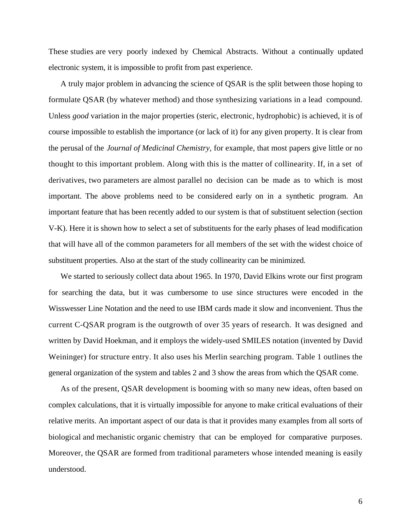These studies are very poorly indexed by Chemical Abstracts. Without a continually updated electronic system, it is impossible to profit from past experience.

A truly major problem in advancing the science of QSAR is the split between those hoping to formulate QSAR (by whatever method) and those synthesizing variations in a lead compound. Unless *good* variation in the major properties (steric, electronic, hydrophobic) is achieved, it is of course impossible to establish the importance (or lack of it) for any given property. It is clear from the perusal of the *Journal of Medicinal Chemistry,* for example, that most papers give little or no thought to this important problem. Along with this is the matter of collinearity. If, in a set of derivatives, two parameters are almost parallel no decision can be made as to which is most important. The above problems need to be considered early on in a synthetic program. An important feature that has been recently added to our system is that of substituent selection (section V-K). Here it is shown how to select a set of substituents for the early phases of lead modification that will have all of the common parameters for all members of the set with the widest choice of substituent properties. Also at the start of the study collinearity can be minimized.

We started to seriously collect data about 1965. In 1970, David Elkins wrote our first program for searching the data, but it was cumbersome to use since structures were encoded in the Wisswesser Line Notation and the need to use IBM cards made it slow and inconvenient. Thus the current C-QSAR program is the outgrowth of over 35 years of research. It was designed and written by David Hoekman, and it employs the widely-used SMILES notation (invented by David Weininger) for structure entry. It also uses his Merlin searching program. Table 1 outlines the general organization of the system and tables 2 and 3 show the areas from which the QSAR come.

As of the present, QSAR development is booming with so many new ideas, often based on complex calculations, that it is virtually impossible for anyone to make critical evaluations of their relative merits. An important aspect of our data is that it provides many examples from all sorts of biological and mechanistic organic chemistry that can be employed for comparative purposes. Moreover, the QSAR are formed from traditional parameters whose intended meaning is easily understood.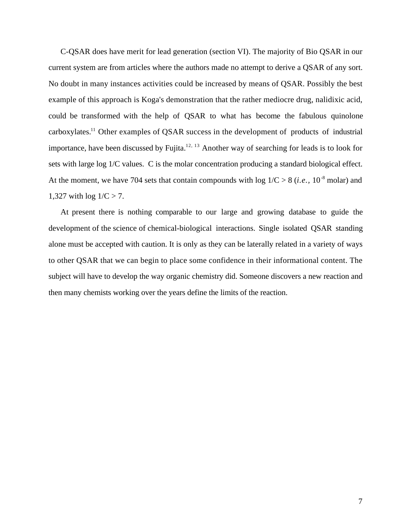C-QSAR does have merit for lead generation (section VI). The majority of Bio QSAR in our current system are from articles where the authors made no attempt to derive a QSAR of any sort. No doubt in many instances activities could be increased by means of QSAR. Possibly the best example of this approach is Koga's demonstration that the rather mediocre drug, nalidixic acid, could be transformed with the help of QSAR to what has become the fabulous quinolone carboxylates.<sup>11</sup> Other examples of QSAR success in the development of products of industrial importance, have been discussed by Fujita. $12, 13$  Another way of searching for leads is to look for sets with large log 1/C values. C is the molar concentration producing a standard biological effect. At the moment, we have 704 sets that contain compounds with  $log 1/C > 8$  (*i.e.*, 10<sup>-8</sup> molar) and 1,327 with  $log 1/C > 7$ .

At present there is nothing comparable to our large and growing database to guide the development of the science of chemical-biological interactions. Single isolated QSAR standing alone must be accepted with caution. It is only as they can be laterally related in a variety of ways to other QSAR that we can begin to place some confidence in their informational content. The subject will have to develop the way organic chemistry did. Someone discovers a new reaction and then many chemists working over the years define the limits of the reaction.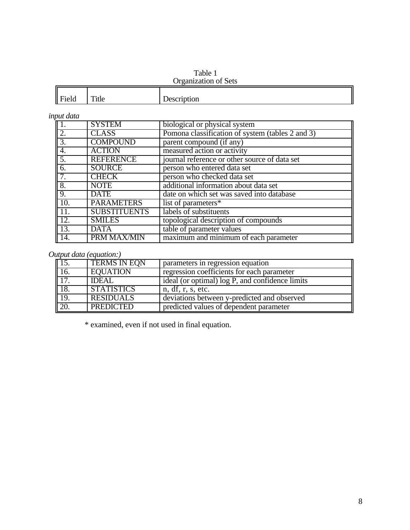#### Table 1 Organization of Sets

| $\parallel$ Fi | m.     |                 |  |  |
|----------------|--------|-----------------|--|--|
| ield           | 1 itie | ption<br>`VJVI. |  |  |

## *input data*

|                  | <b>SYSTEM</b>       | biological or physical system                    |
|------------------|---------------------|--------------------------------------------------|
| 2.               | <b>CLASS</b>        | Pomona classification of system (tables 2 and 3) |
| $\overline{3}$ . | <b>COMPOUND</b>     | parent compound (if any)                         |
| 4.               | <b>ACTION</b>       | measured action or activity                      |
| 5.               | <b>REFERENCE</b>    | journal reference or other source of data set    |
| 6.               | <b>SOURCE</b>       | person who entered data set                      |
|                  | <b>CHECK</b>        | person who checked data set                      |
| 8.               | <b>NOTE</b>         | additional information about data set            |
| $\overline{9}$ . | <b>DATE</b>         | date on which set was saved into database        |
| 10.              | <b>PARAMETERS</b>   | list of parameters*                              |
| 11.              | <b>SUBSTITUENTS</b> | labels of substituents                           |
| 12.              | <b>SMILES</b>       | topological description of compounds             |
| 13.              | <b>DATA</b>         | table of parameter values                        |
| 14.              | PRM MAX/MIN         | maximum and minimum of each parameter            |

# *Output data (equation:)*

|                   | <b>TERMS IN EQN</b> | parameters in regression equation               |
|-------------------|---------------------|-------------------------------------------------|
| $\overline{16}$ . | <b>EOUATION</b>     | regression coefficients for each parameter      |
| $\sqrt{17}$       | IDEAL               | ideal (or optimal) log P, and confidence limits |
| 18.               | <b>STATISTICS</b>   | n, df, r, s, etc.                               |
| $\overline{19}$ . | <b>RESIDUALS</b>    | deviations between y-predicted and observed     |
| 20.               | <b>PREDICTED</b>    | predicted values of dependent parameter         |

\* examined, even if not used in final equation.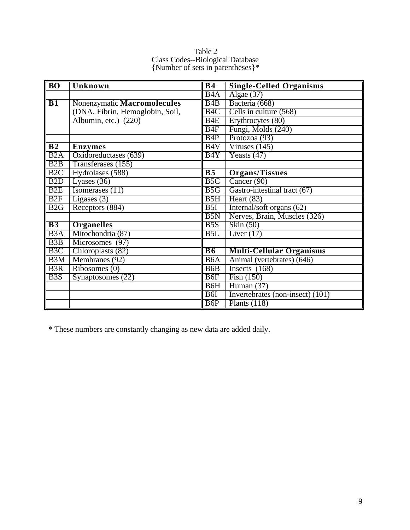| Table 2                                 |
|-----------------------------------------|
| <b>Class Codes--Biological Database</b> |
| {Number of sets in parentheses}*        |

| <b>BO</b>        | Unknown                         | B <sub>4</sub>   | <b>Single-Celled Organisms</b>     |
|------------------|---------------------------------|------------------|------------------------------------|
|                  |                                 | B4A              | Algae $(37)$                       |
| B1               | Nonenzymatic Macromolecules     | B4B              | Bacteria (668)                     |
|                  | (DNA, Fibrin, Hemoglobin, Soil, | B <sub>4</sub> C | Cells in culture (568)             |
|                  | Albumin, etc.) (220)            | B <sub>4</sub> E | Erythrocytes (80)                  |
|                  |                                 | B4F              | Fungi, Molds (240)                 |
|                  |                                 | B4P              | Protozoa (93)                      |
| $\overline{B2}$  | <b>Enzymes</b>                  | B4V              | Viruses $(145)$                    |
| B2A              | Oxidoreductases (639)           | B4Y              | $\sqrt{\text{Feasts} (47)}$        |
| B2B              | Transferases (155)              |                  |                                    |
| B <sub>2</sub> C | Hydrolases (588)                | $\overline{B5}$  | <b>Organs/Tissues</b>              |
| B <sub>2</sub> D | Lyases $(36)$                   | B5C              | Cancer (90)                        |
| B2E              | Isomerases $(11)$               | B5G              | Gastro-intestinal tract (67)       |
| B2F              | Ligases $(3)$                   | B5H              | Heart $(83)$                       |
| B2G              | Receptors (884)                 | B5I              | Internal/soft organs (62)          |
|                  |                                 | B5N              | Nerves, Brain, Muscles (326)       |
| $\overline{B3}$  | <b>Organelles</b>               | B5S              | Skin $(50)$                        |
| B3A              | Mitochondria (87)               | B5L              | Liver $(17)$                       |
| B <sub>3</sub> B | Microsomes (97)                 |                  |                                    |
| B <sub>3</sub> C | Chloroplasts (82)               | <b>B6</b>        | <b>Multi-Cellular Organisms</b>    |
| B <sub>3</sub> M | Membranes (92)                  | B6A              | Animal (vertebrates) (646)         |
| B <sub>3</sub> R | Ribosomes(0)                    | B <sub>6</sub> B | Insects $(168)$                    |
| B <sub>3</sub> S | Synaptosomes (22)               | B <sub>6F</sub>  | Fish $(150)$                       |
|                  |                                 | B6H              | Human $(37)$                       |
|                  |                                 | B6I              | Invertebrates (non-insect) $(101)$ |
|                  |                                 | B <sub>6</sub> P | Plants $(118)$                     |

\* These numbers are constantly changing as new data are added daily.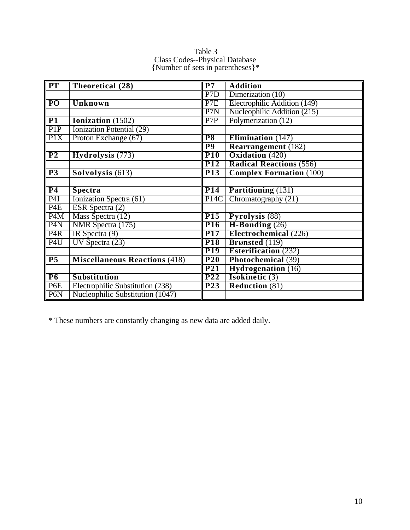| $\overline{\text{PT}}$ | Theoretical (28)                     | P7                | <b>Addition</b>                |
|------------------------|--------------------------------------|-------------------|--------------------------------|
|                        |                                      | P <sub>7</sub> D  | Dimerization $(10)$            |
| <b>PO</b>              | Unknown                              | P7E               | Electrophilic Addition (149)   |
|                        |                                      | P7N               | Nucleophilic Addition (215)    |
| P1                     | Ionization (1502)                    | P7P               | Polymerization (12)            |
| P <sub>1</sub> P       | Ionization Potential (29)            |                   |                                |
| P1X                    | Proton Exchange (67)                 | P <sub>8</sub>    | Elimination $(147)$            |
|                        |                                      | $\overline{P9}$   | <b>Rearrangement</b> (182)     |
| P <sub>2</sub>         | Hydrolysis (773)                     | $\overline{P10}$  | <b>Oxidation</b> (420)         |
|                        |                                      | <b>P12</b>        | <b>Radical Reactions (556)</b> |
| P3                     | Solvolysis (613)                     | P <sub>13</sub>   | <b>Complex Formation (100)</b> |
|                        |                                      |                   |                                |
| P <sub>4</sub>         | <b>Spectra</b>                       | P <sub>14</sub>   | Partitioning (131)             |
| P4I                    | Ionization Spectra (61)              | P <sub>14</sub> C | Chromatography (21)            |
| P <sub>4</sub> E       | ESR Spectra $(2)$                    |                   |                                |
| P <sub>4</sub> M       | Mass Spectra (12)                    | <b>P15</b>        | Pyrolysis (88)                 |
| P <sub>4</sub> N       | NMR Spectra (175)                    | <b>P16</b>        | $H-Bonding(26)$                |
| P <sub>4</sub> R       | IR Spectra $(9)$                     | P <sub>17</sub>   | Electrochemical (226)          |
| P <sub>4U</sub>        | UV Spectra $(23)$                    | P <sub>18</sub>   | Brønsted (119)                 |
|                        |                                      | P <sub>19</sub>   | Esterification $(232)$         |
| P <sub>5</sub>         | <b>Miscellaneous Reactions (418)</b> | P <sub>20</sub>   | Photochemical (39)             |
|                        |                                      | P <sub>21</sub>   | <b>Hydrogenation</b> (16)      |
| P6                     | <b>Substitution</b>                  | P <sub>22</sub>   | <b>Isokinetic</b> $(3)$        |
| P <sub>6</sub> E       | Electrophilic Substitution (238)     | P <sub>23</sub>   | <b>Reduction (81)</b>          |
| P <sub>6</sub> N       | Nucleophilic Substitution (1047)     |                   |                                |

Table 3 Class Codes--Physical Database {Number of sets in parentheses}\*

\* These numbers are constantly changing as new data are added daily.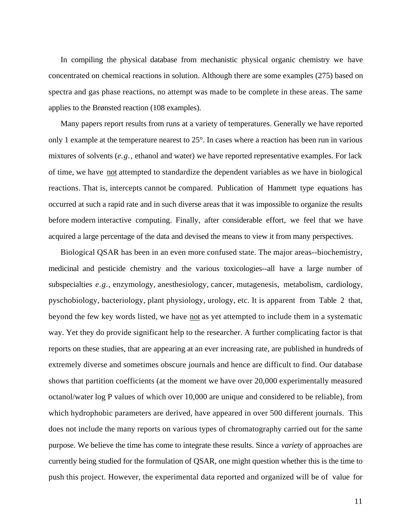In compiling the physical database from mechanistic physical organic chemistry we have concentrated on chemical reactions in solution. Although there are some examples (275) based on spectra and gas phase reactions, no attempt was made to be complete in these areas. The same applies to the Brønsted reaction (108 examples).

Many papers report results from runs at a variety of temperatures. Generally we have reported only 1 example at the temperature nearest to 25°. In cases where a reaction has been run in various mixtures of solvents (*e.g.,* ethanol and water) we have reported representative examples. For lack of time, we have not attempted to standardize the dependent variables as we have in biological reactions. That is, intercepts cannot be compared. Publication of Hammett type equations has occurred at such a rapid rate and in such diverse areas that it was impossible to organize the results before modern interactive computing. Finally, after considerable effort, we feel that we have acquired a large percentage of the data and devised the means to view it from many perspectives.

Biological QSAR has been in an even more confused state. The major areas--biochemistry, medicinal and pesticide chemistry and the various toxicologies--all have a large number of subspecialties *e.g.,* enzymology, anesthesiology, cancer, mutagenesis, metabolism, cardiology, pyschobiology, bacteriology, plant physiology, urology, etc. It is apparent from Table 2 that, beyond the few key words listed, we have not as yet attempted to include them in a systematic way. Yet they do provide significant help to the researcher. A further complicating factor is that reports on these studies, that are appearing at an ever increasing rate, are published in hundreds of extremely diverse and sometimes obscure journals and hence are difficult to find. Our database shows that partition coefficients (at the moment we have over 20,000 experimentally measured octanol/water log P values of which over 10,000 are unique and considered to be reliable), from which hydrophobic parameters are derived, have appeared in over 500 different journals. This does not include the many reports on various types of chromatography carried out for the same purpose. We believe the time has come to integrate these results. Since a *variety* of approaches are currently being studied for the formulation of QSAR, one might question whether this is the time to push this project. However, the experimental data reported and organized will be of value for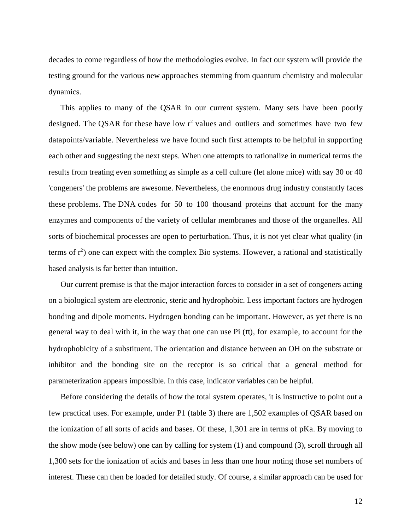decades to come regardless of how the methodologies evolve. In fact our system will provide the testing ground for the various new approaches stemming from quantum chemistry and molecular dynamics.

This applies to many of the QSAR in our current system. Many sets have been poorly designed. The QSAR for these have low  $r^2$  values and outliers and sometimes have two few datapoints/variable. Nevertheless we have found such first attempts to be helpful in supporting each other and suggesting the next steps. When one attempts to rationalize in numerical terms the results from treating even something as simple as a cell culture (let alone mice) with say 30 or 40 'congeners' the problems are awesome. Nevertheless, the enormous drug industry constantly faces these problems. The DNA codes for 50 to 100 thousand proteins that account for the many enzymes and components of the variety of cellular membranes and those of the organelles. All sorts of biochemical processes are open to perturbation. Thus, it is not yet clear what quality (in terms of  $r^2$ ) one can expect with the complex Bio systems. However, a rational and statistically based analysis is far better than intuition.

Our current premise is that the major interaction forces to consider in a set of congeners acting on a biological system are electronic, steric and hydrophobic. Less important factors are hydrogen bonding and dipole moments. Hydrogen bonding can be important. However, as yet there is no general way to deal with it, in the way that one can use Pi ( ), for example, to account for the hydrophobicity of a substituent. The orientation and distance between an OH on the substrate or inhibitor and the bonding site on the receptor is so critical that a general method for parameterization appears impossible. In this case, indicator variables can be helpful.

Before considering the details of how the total system operates, it is instructive to point out a few practical uses. For example, under P1 (table 3) there are 1,502 examples of QSAR based on the ionization of all sorts of acids and bases. Of these, 1,301 are in terms of pKa. By moving to the show mode (see below) one can by calling for system (1) and compound (3), scroll through all 1,300 sets for the ionization of acids and bases in less than one hour noting those set numbers of interest. These can then be loaded for detailed study. Of course, a similar approach can be used for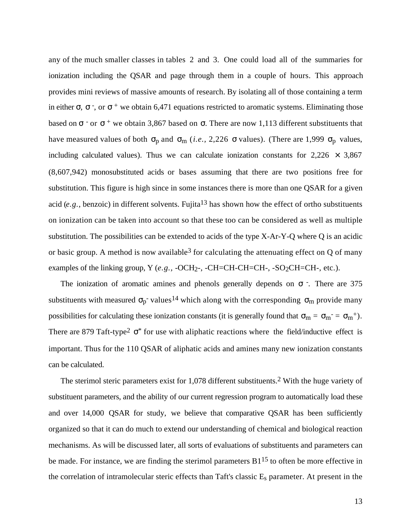any of the much smaller classes in tables 2 and 3. One could load all of the summaries for ionization including the QSAR and page through them in a couple of hours. This approach provides mini reviews of massive amounts of research. By isolating all of those containing a term in either  $\,$ ,  $\,$ , or  $\,$  + we obtain 6,471 equations restricted to aromatic systems. Eliminating those based on  $\overline{\phantom{a}}$  or  $\overline{\phantom{a}}$  + we obtain 3,867 based on . There are now 1,113 different substituents that have measured values of both  $_{p}$  and  $_{m}$  (*i.e.*, 2,226 values). (There are 1,999  $_{p}$  values, including calculated values). Thus we can calculate ionization constants for  $2,226 \times 3,867$ (8,607,942) monosubstituted acids or bases assuming that there are two positions free for substitution. This figure is high since in some instances there is more than one QSAR for a given acid (*e.g.*, benzoic) in different solvents. Fujita<sup>13</sup> has shown how the effect of ortho substituents on ionization can be taken into account so that these too can be considered as well as multiple substitution. The possibilities can be extended to acids of the type X-Ar-Y-Q where Q is an acidic or basic group. A method is now available  $3$  for calculating the attenuating effect on Q of many examples of the linking group, Y (e.g., -OCH<sub>2</sub>-, -CH=CH-CH=CH-, -SO<sub>2</sub>CH=CH-, etc.).

The ionization of aromatic amines and phenols generally depends on -. There are 375 substituents with measured  $p^{-1}$  values<sup>14</sup> which along with the corresponding  $m$  provide many possibilities for calculating these ionization constants (it is generally found that  $m = m^- = m^+$ ). There are 879 Taft-type<sup>2</sup>  $*$  for use with aliphatic reactions where the field/inductive effect is important. Thus for the 110 QSAR of aliphatic acids and amines many new ionization constants can be calculated.

The sterimol steric parameters exist for 1,078 different substituents.2 With the huge variety of substituent parameters, and the ability of our current regression program to automatically load these and over 14,000 QSAR for study, we believe that comparative QSAR has been sufficiently organized so that it can do much to extend our understanding of chemical and biological reaction mechanisms. As will be discussed later, all sorts of evaluations of substituents and parameters can be made. For instance, we are finding the sterimol parameters  $B1^{15}$  to often be more effective in the correlation of intramolecular steric effects than Taft's classic E<sub>s</sub> parameter. At present in the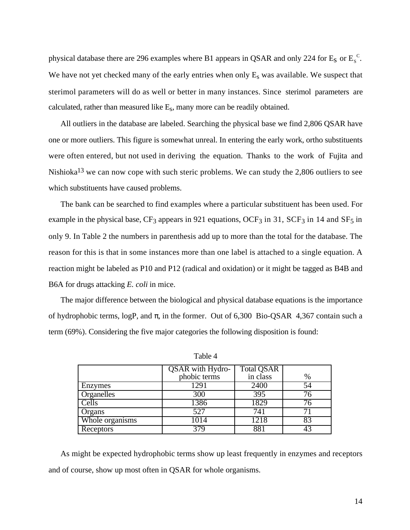physical database there are 296 examples where B1 appears in QSAR and only 224 for  $E_S$  or  $E_S^C$ . We have not yet checked many of the early entries when only  $E_s$  was available. We suspect that sterimol parameters will do as well or better in many instances. Since sterimol parameters are calculated, rather than measured like Es , many more can be readily obtained.

All outliers in the database are labeled. Searching the physical base we find 2,806 QSAR have one or more outliers. This figure is somewhat unreal. In entering the early work, ortho substituents were often entered, but not used in deriving the equation. Thanks to the work of Fujita and Nishioka13 we can now cope with such steric problems. We can study the 2,806 outliers to see which substituents have caused problems.

The bank can be searched to find examples where a particular substituent has been used. For example in the physical base,  $CF_3$  appears in 921 equations, OCF<sub>3</sub> in 31, SCF<sub>3</sub> in 14 and SF<sub>5</sub> in only 9. In Table 2 the numbers in parenthesis add up to more than the total for the database. The reason for this is that in some instances more than one label is attached to a single equation. A reaction might be labeled as P10 and P12 (radical and oxidation) or it might be tagged as B4B and B6A for drugs attacking *E. coli* in mice.

The major difference between the biological and physical database equations is the importance of hydrophobic terms, logP, and , in the former. Out of 6,300 Bio-QSAR 4,367 contain such a term (69%). Considering the five major categories the following disposition is found:

|                 | <b>QSAR</b> with Hydro- | <b>Total QSAR</b> |    |
|-----------------|-------------------------|-------------------|----|
|                 | phobic terms            | in class          | %  |
| Enzymes         | 1291                    | 2400              | 54 |
| Organelles      | 300                     | 395               |    |
| Cells           | 1386                    | 1829              | 76 |
| Organs          | 527                     | 741               |    |
| Whole organisms | 1014                    | 1218              | 83 |
| Receptors       | 379                     | 881               |    |

Table 4

As might be expected hydrophobic terms show up least frequently in enzymes and receptors and of course, show up most often in QSAR for whole organisms.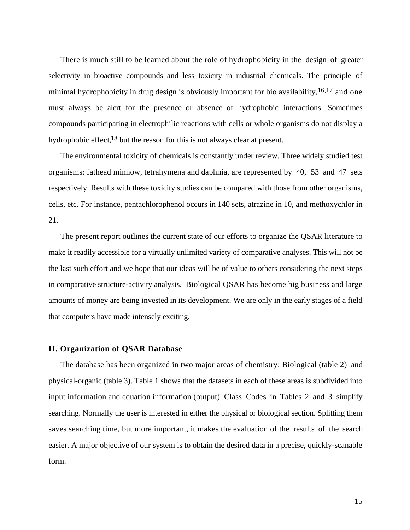There is much still to be learned about the role of hydrophobicity in the design of greater selectivity in bioactive compounds and less toxicity in industrial chemicals. The principle of minimal hydrophobicity in drug design is obviously important for bio availability,  $16,17$  and one must always be alert for the presence or absence of hydrophobic interactions. Sometimes compounds participating in electrophilic reactions with cells or whole organisms do not display a hydrophobic effect,<sup>18</sup> but the reason for this is not always clear at present.

The environmental toxicity of chemicals is constantly under review. Three widely studied test organisms: fathead minnow, tetrahymena and daphnia, are represented by 40, 53 and 47 sets respectively. Results with these toxicity studies can be compared with those from other organisms, cells, etc. For instance, pentachlorophenol occurs in 140 sets, atrazine in 10, and methoxychlor in 21.

The present report outlines the current state of our efforts to organize the QSAR literature to make it readily accessible for a virtually unlimited variety of comparative analyses. This will not be the last such effort and we hope that our ideas will be of value to others considering the next steps in comparative structure-activity analysis. Biological QSAR has become big business and large amounts of money are being invested in its development. We are only in the early stages of a field that computers have made intensely exciting.

#### **II. Organization of QSAR Database**

The database has been organized in two major areas of chemistry: Biological (table 2) and physical-organic (table 3). Table 1 shows that the datasets in each of these areas is subdivided into input information and equation information (output). Class Codes in Tables 2 and 3 simplify searching. Normally the user is interested in either the physical or biological section. Splitting them saves searching time, but more important, it makes the evaluation of the results of the search easier. A major objective of our system is to obtain the desired data in a precise, quickly-scanable form.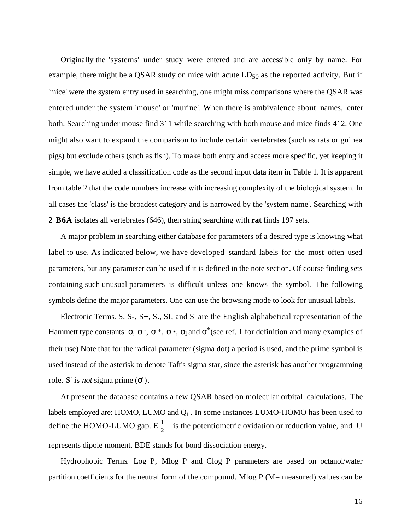Originally the 'systems' under study were entered and are accessible only by name. For example, there might be a QSAR study on mice with acute  $LD_{50}$  as the reported activity. But if 'mice' were the system entry used in searching, one might miss comparisons where the QSAR was entered under the system 'mouse' or 'murine'. When there is ambivalence about names, enter both. Searching under mouse find 311 while searching with both mouse and mice finds 412. One might also want to expand the comparison to include certain vertebrates (such as rats or guinea pigs) but exclude others (such as fish). To make both entry and access more specific, yet keeping it simple, we have added a classification code as the second input data item in Table 1. It is apparent from table 2 that the code numbers increase with increasing complexity of the biological system. In all cases the 'class' is the broadest category and is narrowed by the 'system name'. Searching with **2 B6A** isolates all vertebrates (646), then string searching with **rat** finds 197 sets.

A major problem in searching either database for parameters of a desired type is knowing what label to use. As indicated below, we have developed standard labels for the most often used parameters, but any parameter can be used if it is defined in the note section. Of course finding sets containing such unusual parameters is difficult unless one knows the symbol. The following symbols define the major parameters. One can use the browsing mode to look for unusual labels.

 Electronic Terms . S, S-, S+, S., SI, and S' are the English alphabetical representation of the Hammett type constants:  $\cdot$ ,  $\cdot$ ,  $\cdot$ ,  $\cdot$ ,  $\cdot$ ,  $\cdot$ ,  $\cdot$ ,  $\cdot$ ,  $\cdot$ ,  $\cdot$ ,  $\cdot$ ,  $\cdot$ ,  $\cdot$ ,  $\cdot$ ,  $\cdot$ ,  $\cdot$ ,  $\cdot$ ,  $\cdot$ ,  $\cdot$ ,  $\cdot$ ,  $\cdot$ ,  $\cdot$ ,  $\cdot$ ,  $\cdot$ ,  $\cdot$ ,  $\cdot$ ,  $\cdot$ ,  $\cdot$ ,  $\cdot$ ,  $\cdot$ ,  $\cdot$ ,  $\cdot$ ,  $\cdot$ , their use) Note that for the radical parameter (sigma dot) a period is used, and the prime symbol is used instead of the asterisk to denote Taft's sigma star, since the asterisk has another programming role. S' is *not* sigma prime ( ').

At present the database contains a few QSAR based on molecular orbital calculations. The labels employed are: HOMO, LUMO and  $Q_{\rm i}$  . In some instances LUMO-HOMO has been used to define the HOMO-LUMO gap.  $E\frac{1}{2}$  is the potentiometric oxidation or reduction value, and U represents dipole moment. BDE stands for bond dissociation energy.

Hydrophobic Terms. Log P, Mlog P and Clog P parameters are based on octanol/water partition coefficients for the neutral form of the compound. Mlog P (M= measured) values can be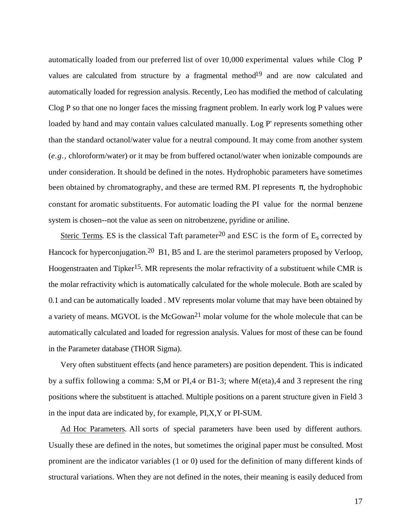automatically loaded from our preferred list of over 10,000 experimental values while Clog P values are calculated from structure by a fragmental method<sup>19</sup> and are now calculated and automatically loaded for regression analysis. Recently, Leo has modified the method of calculating Clog P so that one no longer faces the missing fragment problem. In early work log P values were loaded by hand and may contain values calculated manually. Log P' represents something other than the standard octanol/water value for a neutral compound. It may come from another system (*e.g.,* chloroform/water) or it may be from buffered octanol/water when ionizable compounds are under consideration. It should be defined in the notes. Hydrophobic parameters have sometimes been obtained by chromatography, and these are termed RM. PI represents , the hydrophobic constant for aromatic substituents. For automatic loading the PI value for the normal benzene system is chosen--not the value as seen on nitrobenzene, pyridine or aniline.

Steric Terms. ES is the classical Taft parameter<sup>20</sup> and ESC is the form of  $E_s$  corrected by Hancock for hyperconjugation.<sup>20</sup> B1, B5 and L are the sterimol parameters proposed by Verloop, Hoogenstraaten and Tipker<sup>15</sup>. MR represents the molar refractivity of a substituent while CMR is the molar refractivity which is automatically calculated for the whole molecule. Both are scaled by 0.1 and can be automatically loaded . MV represents molar volume that may have been obtained by a variety of means. MGVOL is the McGowan<sup>21</sup> molar volume for the whole molecule that can be automatically calculated and loaded for regression analysis. Values for most of these can be found in the Parameter database (THOR Sigma).

Very often substituent effects (and hence parameters) are position dependent. This is indicated by a suffix following a comma: S,M or PI,4 or B1-3; where M(eta),4 and 3 represent the ring positions where the substituent is attached. Multiple positions on a parent structure given in Field 3 in the input data are indicated by, for example, PI,X,Y or PI-SUM.

 Ad Hoc Parameters . All sorts of special parameters have been used by different authors. Usually these are defined in the notes, but sometimes the original paper must be consulted. Most prominent are the indicator variables (1 or 0) used for the definition of many different kinds of structural variations. When they are not defined in the notes, their meaning is easily deduced from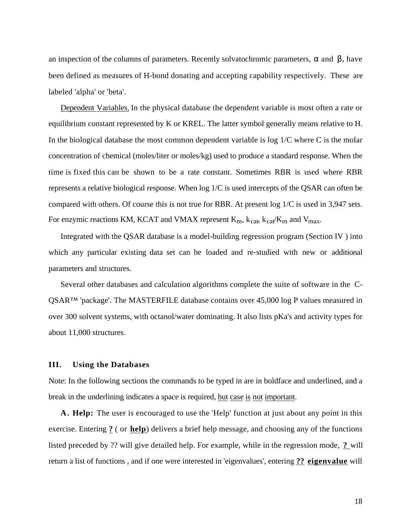an inspection of the columns of parameters. Recently solvatochromic parameters, and β, have been defined as measures of H-bond donating and accepting capability respectively. These are labeled 'alpha' or 'beta'.

 Dependent Variables. In the physical database the dependent variable is most often a rate or equilibrium constant represented by K or KREL. The latter symbol generally means relative to H. In the biological database the most common dependent variable is  $log 1/C$  where C is the molar concentration of chemical (moles/liter or moles/kg) used to produce a standard response. When the time is fixed this can be shown to be a rate constant. Sometimes RBR is used where RBR represents a relative biological response. When log 1/C is used intercepts of the QSAR can often be compared with others. Of course this is not true for RBR. At present log 1/C is used in 3,947 sets. For enzymic reactions KM, KCAT and VMAX represent  $K_m$ ,  $k_{cat}$ ,  $k_{cat}/K_m$  and  $V_{max}$ .

Integrated with the QSAR database is a model-building regression program (Section IV ) into which any particular existing data set can be loaded and re-studied with new or additional parameters and structures.

Several other databases and calculation algorithms complete the suite of software in the C-QSAR™ 'package'. The MASTERFILE database contains over 45,000 log P values measured in over 300 solvent systems, with octanol/water dominating. It also lists pKa's and activity types for about 11,000 structures.

#### **III. Using the Databases**

Note: In the following sections the commands to be typed in are in boldface and underlined, and a break in the underlining indicates a space is required, but case is not important.

**A. Help:** The user is encouraged to use the 'Help' function at just about any point in this exercise. Entering **?** ( or **help** ) delivers a brief help message, and choosing any of the functions listed preceded by ?? will give detailed help. For example, while in the regression mode, **?** will return a list of functions , and if one were interested in 'eigenvalues', entering **?? eigenvalue** will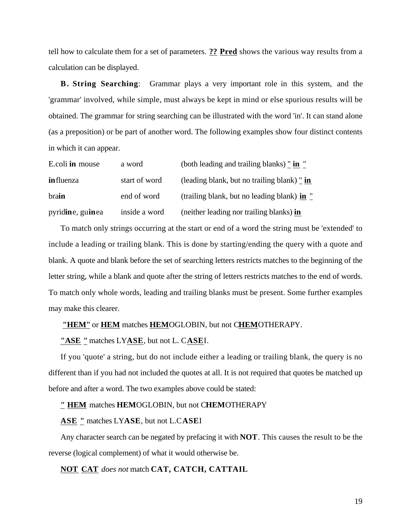tell how to calculate them for a set of parameters. **?? Pred** shows the various way results from a calculation can be displayed.

**B. String Searching**: Grammar plays a very important role in this system, and the 'grammar' involved, while simple, must always be kept in mind or else spurious results will be obtained. The grammar for string searching can be illustrated with the word 'in'. It can stand alone (as a preposition) or be part of another word. The following examples show four distinct contents in which it can appear.

| E.coli in mouse   | a word        | (both leading and trailing blanks) " in "   |
|-------------------|---------------|---------------------------------------------|
| <b>in</b> fluenza | start of word | (leading blank, but no trailing blank) " in |
| brain             | end of word   | (trailing blank, but no leading blank) in " |
| pyridine, guinea  | inside a word | (neither leading nor trailing blanks) in    |

To match only strings occurring at the start or end of a word the string must be 'extended' to include a leading or trailing blank. This is done by starting/ending the query with a quote and blank. A quote and blank before the set of searching letters restricts matches to the beginning of the letter string, while a blank and quote after the string of letters restricts matches to the end of words. To match only whole words, leading and trailing blanks must be present. Some further examples may make this clearer.

#### **"HEM"** or **HEM** matches **HEM** OGLOBIN, but not C **HEM** OTHERAPY.

**"ASE "** matches LY **ASE** , but not L. C **ASE** I.

If you 'quote' a string, but do not include either a leading or trailing blank, the query is no different than if you had not included the quotes at all. It is not required that quotes be matched up before and after a word. The two examples above could be stated:

#### **" HEM** matches **HEM**OGLOBIN, but not C**HEM**OTHERAPY

#### **ASE "** matches LY**ASE**, but not L.C**ASE**I

Any character search can be negated by prefacing it with **NOT**. This causes the result to be the reverse (logical complement) of what it would otherwise be.

#### **NOT CAT** *does not* match **CAT, CATCH, CATTAIL**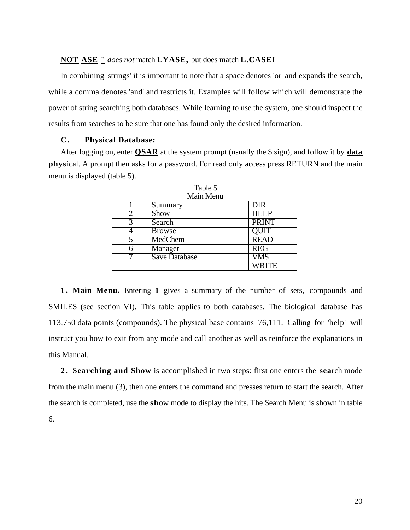#### **NOT ASE "** *does not* match **LYASE,** but does match **L.CASEI**

In combining 'strings' it is important to note that a space denotes 'or' and expands the search, while a comma denotes 'and' and restricts it. Examples will follow which will demonstrate the power of string searching both databases. While learning to use the system, one should inspect the results from searches to be sure that one has found only the desired information.

#### **C. Physical Database:**

After logging on, enter **QSAR** at the system prompt (usually the \$ sign), and follow it by **data physical.** A prompt then asks for a password. For read only access press RETURN and the main menu is displayed (table 5).

| тиант тисни          |              |  |  |  |
|----------------------|--------------|--|--|--|
| Summary              | <b>DIR</b>   |  |  |  |
| Show                 | <b>HELP</b>  |  |  |  |
| Search               | <b>PRINT</b> |  |  |  |
| <b>Browse</b>        | QUIT         |  |  |  |
| MedChem              | <b>READ</b>  |  |  |  |
| Manager              | <b>REG</b>   |  |  |  |
| <b>Save Database</b> | <b>VMS</b>   |  |  |  |
|                      | <b>WRITE</b> |  |  |  |

Table 5 Main Menu

**1 . Main Menu.** Entering **1** gives a summary of the number of sets, compounds and SMILES (see section VI). This table applies to both databases. The biological database has 113,750 data points (compounds). The physical base contains 76,111. Calling for 'help' will instruct you how to exit from any mode and call another as well as reinforce the explanations in this Manual.

**2. Searching and Show** is accomplished in two steps: first one enters the **search** mode from the main menu (3), then one enters the command and presses return to start the search. After the search is completed, use the **sh**ow mode to display the hits. The Search Menu is shown in table 6.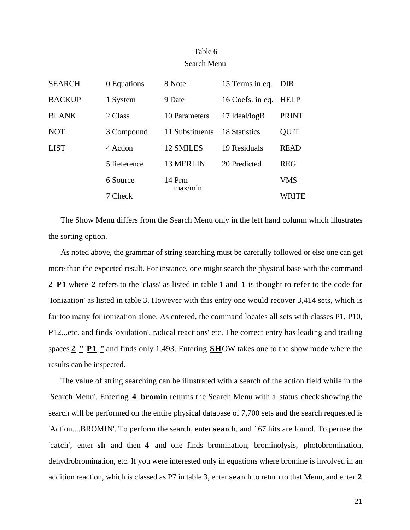## Table 6 Search Menu

| <b>SEARCH</b> | 0 Equations         | 8 Note           | 15 Terms in eq.  | DIR          |
|---------------|---------------------|------------------|------------------|--------------|
| <b>BACKUP</b> | 1 System            | 9 Date           | 16 Coefs. in eq. | <b>HELP</b>  |
| <b>BLANK</b>  | 2 Class             | 10 Parameters    | 17 Ideal/logB    | <b>PRINT</b> |
| <b>NOT</b>    | 3 Compound          | 11 Substituents  | 18 Statistics    | <b>QUIT</b>  |
| <b>LIST</b>   | 4 Action            | <b>12 SMILES</b> | 19 Residuals     | <b>READ</b>  |
|               | 5 Reference         | <b>13 MERLIN</b> | 20 Predicted     | <b>REG</b>   |
|               | 6 Source<br>7 Check | 14 Prm           |                  | <b>VMS</b>   |
|               |                     | max/min          |                  | WRITE        |

The Show Menu differs from the Search Menu only in the left hand column which illustrates the sorting option.

As noted above, the grammar of string searching must be carefully followed or else one can get more than the expected result. For instance, one might search the physical base with the command **2 P1** where **2** refers to the 'class' as listed in table 1 and **1** is thought to refer to the code for 'Ionization' as listed in table 3. However with this entry one would recover 3,414 sets, which is far too many for ionization alone. As entered, the command locates all sets with classes P1, P10, P12...etc. and finds 'oxidation', radical reactions' etc. The correct entry has leading and trailing spaces **2 " P1 "** and finds only 1,493. Entering **SH** OW takes one to the show mode where the results can be inspected.

The value of string searching can be illustrated with a search of the action field while in the 'Search Menu'. Entering **4 bromin** returns the Search Menu with a status check showing the search will be performed on the entire physical database of 7,700 sets and the search requested is 'Action....BROMIN'. To perform the search, enter **sea** rch, and 167 hits are found. To peruse the 'catch', enter **sh** and then **4** and one finds bromination, brominolysis, photobromination, dehydrobromination, etc. If you were interested only in equations where bromine is involved in an addition reaction, which is classed as P7 in table 3, enter **sea** rch to return to that Menu, and enter **2**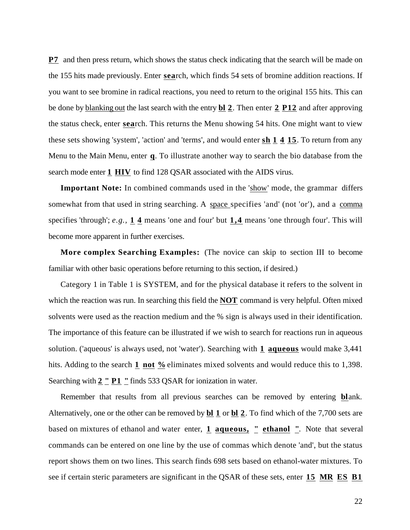**P7** and then press return, which shows the status check indicating that the search will be made on the 155 hits made previously. Enter **sea** rch, which finds 54 sets of bromine addition reactions. If you want to see bromine in radical reactions, you need to return to the original 155 hits. This can be done by blanking out the last search with the entry **bl 2** . Then enter **2 P12** and after approving the status check, enter **sea** rch. This returns the Menu showing 54 hits. One might want to view these sets showing 'system', 'action' and 'terms', and would enter **sh 1 4 15** . To return from any Menu to the Main Menu, enter q. To illustrate another way to search the bio database from the search mode enter **1 HIV** to find 128 QSAR associated with the AIDS virus.

**Important Note:** In combined commands used in the 'show ' mode, the grammar differs somewhat from that used in string searching. A space specifies 'and' (not 'or'), and a comma specifies 'through'; *e.g.,* **1 4** means 'one and four' but **1,4** means 'one through four'. This will become more apparent in further exercises.

**More complex Searching Examples:** (The novice can skip to section III to become familiar with other basic operations before returning to this section, if desired.)

Category 1 in Table 1 is SYSTEM, and for the physical database it refers to the solvent in which the reaction was run. In searching this field the **NOT** command is very helpful. Often mixed solvents were used as the reaction medium and the % sign is always used in their identification. The importance of this feature can be illustrated if we wish to search for reactions run in aqueous solution. ('aqueous' is always used, not 'water'). Searching with **1 aqueous** would make 3,441 hits. Adding to the search **1 not** <sup>*n*</sup> eliminates mixed solvents and would reduce this to 1,398. Searching with  $2 \nightharpoonup P1$  " finds 533 QSAR for ionization in water.

Remember that results from all previous searches can be removed by entering **blank**. Alternatively, one or the other can be removed by **bl 1** or **bl 2** . To find which of the 7,700 sets are based on mixtures of ethanol and water enter, **1 aqueous, " ethanol "**. Note that several commands can be entered on one line by the use of commas which denote 'and', but the status report shows them on two lines. This search finds 698 sets based on ethanol-water mixtures. To see if certain steric parameters are significant in the QSAR of these sets, enter **15 MR ES B1**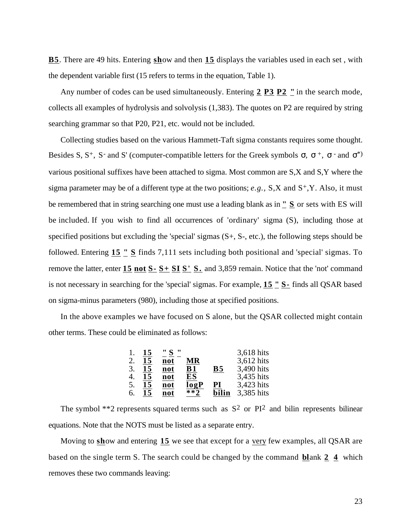**B5**. There are 49 hits. Entering **show** and then **15** displays the variables used in each set, with the dependent variable first (15 refers to terms in the equation, Table 1).

Any number of codes can be used simultaneously. Entering  $2 \overline{P3} \overline{P2}$  " in the search mode, collects all examples of hydrolysis and solvolysis (1,383). The quotes on P2 are required by string searching grammar so that P20, P21, etc. would not be included.

Collecting studies based on the various Hammett-Taft sigma constants requires some thought. Besides S,  $S^+$ , S and S' (computer-compatible letters for the Greek symbols ,  $\rightarrow$  and  $\rightarrow$ various positional suffixes have been attached to sigma. Most common are S,X and S,Y where the sigma parameter may be of a different type at the two positions; *e.g.*, S,X and S<sup>+</sup>,Y. Also, it must be remembered that in string searching one must use a leading blank as in **" S** or sets with ES will be included. If you wish to find all occurrences of 'ordinary' sigma (S), including those at specified positions but excluding the 'special' sigmas (S+, S-, etc.), the following steps should be followed. Entering **15 " S** finds 7,111 sets including both positional and 'special' sigmas. To remove the latter, enter **15 not S- S+ SI S' S .** and 3,859 remain. Notice that the 'not' command is not necessary in searching for the 'special' sigmas. For example, **15 " S-** finds all QSAR based on sigma-minus parameters (980), including those at specified positions.

In the above examples we have focused on S alone, but the QSAR collected might contain other terms. These could be eliminated as follows:

|    | 15 | " S " |       |           | 3,618 hits |
|----|----|-------|-------|-----------|------------|
| 2. | 15 | not   | MR    |           | 3,612 hits |
| 3. | 15 | not   | Β1    | <b>B5</b> | 3,490 hits |
| 4. | 15 | not   | ES    |           | 3,435 hits |
| 5. | 15 | not   | logP  | PI        | 3,423 hits |
| 6. | 15 | not   | $**7$ | bilin     | 3,385 hits |

The symbol \*\*2 represents squared terms such as  $S^2$  or  $PI^2$  and bilin represents bilinear equations. Note that the NOTS must be listed as a separate entry.

Moving to show and entering 15 we see that except for a very few examples, all QSAR are based on the single term S. The search could be changed by the command **bl** ank **2 4** which removes these two commands leaving: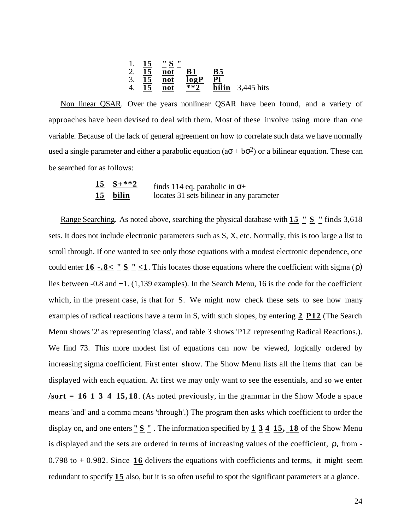| 1. $\frac{15}{15}$ | $\frac{''}{15}$ | $\frac{8}{15}$ | $\frac{1}{15}$ | $\frac{1}{15}$ | $\frac{1}{15}$ | $\frac{1}{15}$ | $\frac{1}{15}$ | $\frac{1}{15}$ | $\frac{1}{15}$ | $\frac{1}{15}$ | $\frac{1}{15}$ | $\frac{1}{15}$ | $\frac{1}{15}$ | $\frac{1}{15}$ | $\frac{1}{15}$ | $\frac{1}{15}$ | $\frac{1}{15}$ | $\frac{1}{15}$ | $\frac{1}{15}$ | $\frac{1}{15}$ | $\frac{1}{15}$ | $\frac{1}{15}$ | $\frac{1}{15}$ | $\frac{1}{15}$ | $\frac{1}{15}$ | $\frac{1}{15}$ | $\frac{1}{15}$ | $\frac{1}{15}$ | $\frac{1}{15}$ | $\frac{1}{15}$ | $\frac{1}{15}$ | $\frac{1}{15}$ | $\frac{1}{15}$ | $\frac{1}{15}$ | $\frac{1}{15}$ | $\frac{1}{15}$ | $\frac{1}{15}$ | $\frac{1}{15}$ | $\frac{1}{15}$ | $\frac{1}{15}$ | $\frac{1}{15}$ | $\frac{1}{15}$ | $\frac{1}{15}$ | $\frac{1}{15}$ | $\frac{1}{15}$ | $\frac{1}{15}$ |
|--------------------|-----------------|----------------|----------------|----------------|----------------|----------------|----------------|----------------|----------------|----------------|----------------|----------------|----------------|----------------|----------------|----------------|----------------|----------------|----------------|----------------|----------------|----------------|----------------|----------------|----------------|----------------|----------------|----------------|----------------|----------------|----------------|----------------|----------------|----------------|----------------|----------------|----------------|----------------|----------------|----------------|----------------|----------------|----------------|----------------|----------------|----------------|
|--------------------|-----------------|----------------|----------------|----------------|----------------|----------------|----------------|----------------|----------------|----------------|----------------|----------------|----------------|----------------|----------------|----------------|----------------|----------------|----------------|----------------|----------------|----------------|----------------|----------------|----------------|----------------|----------------|----------------|----------------|----------------|----------------|----------------|----------------|----------------|----------------|----------------|----------------|----------------|----------------|----------------|----------------|----------------|----------------|----------------|----------------|----------------|

 Non linear QSAR . Over the years nonlinear QSAR have been found, and a variety of approaches have been devised to deal with them. Most of these involve using more than one variable. Because of the lack of general agreement on how to correlate such data we have normally used a single parameter and either a parabolic equation ( $a + b$   $2$ ) or a bilinear equation. These can be searched for as follows:

| $15 S+**2$ | finds 114 eq. parabolic in $+$            |
|------------|-------------------------------------------|
| 15 bilin   | locates 31 sets bilinear in any parameter |

Range Searching. As noted above, searching the physical database with **15** " S " finds 3,618 sets. It does not include electronic parameters such as S, X, etc. Normally, this is too large a list to scroll through. If one wanted to see only those equations with a modest electronic dependence, one could enter  $\underline{16}$  -.8< "  $\underline{S}$  " <1. This locates those equations where the coefficient with sigma () lies between -0.8 and +1. (1,139 examples). In the Search Menu, 16 is the code for the coefficient which, in the present case, is that for S. We might now check these sets to see how many examples of radical reactions have a term in S, with such slopes, by entering **2 P12** (The Search Menu shows '2' as representing 'class', and table 3 shows 'P12' representing Radical Reactions.). We find 73. This more modest list of equations can now be viewed, logically ordered by increasing sigma coefficient. First enter **show**. The Show Menu lists all the items that can be displayed with each equation. At first we may only want to see the essentials, and so we enter  $\sqrt{\text{sort}} = 16$  1 3 4 15, 18. (As noted previously, in the grammar in the Show Mode a space means 'and' and a comma means 'through'.) The program then asks which coefficient to order the display on, and one enters **"**  $S$  **"** . The information specified by 1 3 4 15, 18 of the Show Menu is displayed and the sets are ordered in terms of increasing values of the coefficient, r from -0.798 to + 0.982. Since **16** delivers the equations with coefficients and terms, it might seem redundant to specify **15** also, but it is so often useful to spot the significant parameters at a glance.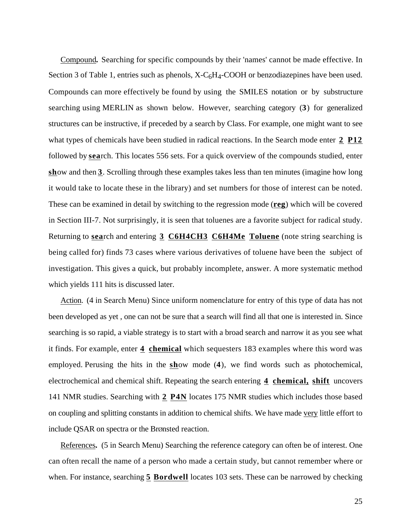Compound. Searching for specific compounds by their 'names' cannot be made effective. In Section 3 of Table 1, entries such as phenols,  $X-C<sub>6</sub>H<sub>4</sub>-COOH$  or benzodiazepines have been used. Compounds can more effectively be found by using the SMILES notation or by substructure searching using MERLIN as shown below. However, searching category (**3**) for generalized structures can be instructive, if preceded by a search by Class. For example, one might want to see what types of chemicals have been studied in radical reactions. In the Search mode enter **2 P12**  followed by **sea**rch. This locates 556 sets. For a quick overview of the compounds studied, enter **show** and then **3**. Scrolling through these examples takes less than ten minutes (imagine how long it would take to locate these in the library) and set numbers for those of interest can be noted. These can be examined in detail by switching to the regression mode (**reg** ) which will be covered in Section III-7. Not surprisingly, it is seen that toluenes are a favorite subject for radical study. Returning to **sea** rch and entering **3 C6H4CH3 C6H4Me Toluene** (note string searching is being called for) finds 73 cases where various derivatives of toluene have been the subject of investigation. This gives a quick, but probably incomplete, answer. A more systematic method which yields 111 hits is discussed later.

 Action . (4 in Search Menu) Since uniform nomenclature for entry of this type of data has not been developed as yet , one can not be sure that a search will find all that one is interested in. Since searching is so rapid, a viable strategy is to start with a broad search and narrow it as you see what it finds. For example, enter **4 chemical** which sequesters 183 examples where this word was employed. Perusing the hits in the **sh**ow mode (4), we find words such as photochemical, electrochemical and chemical shift. Repeating the search entering **4 chemical, shift** uncovers 141 NMR studies. Searching with **2 P4N** locates 175 NMR studies which includes those based on coupling and splitting constants in addition to chemical shifts. We have made very little effort to include QSAR on spectra or the BrØnsted reaction.

References. (5 in Search Menu) Searching the reference category can often be of interest. One can often recall the name of a person who made a certain study, but cannot remember where or when. For instance, searching **5** Bordwell locates 103 sets. These can be narrowed by checking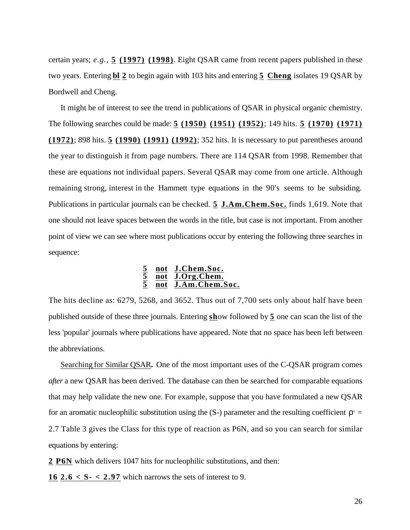certain years; *e.g.,* **5 (1997) (1998)** . Eight QSAR came from recent papers published in these two years. Entering **bl 2** to begin again with 103 hits and entering **5 Cheng** isolates 19 QSAR by Bordwell and Cheng.

It might be of interest to see the trend in publications of QSAR in physical organic chemistry. The following searches could be made: **5 (1950) (1951) (1952)** ; 149 hits. **5 (1970) (1971) (1972)** ; 898 hits. **5 (1990) (1991) (1992)** ; 352 hits. It is necessary to put parentheses around the year to distinguish it from page numbers. There are 114 QSAR from 1998. Remember that these are equations not individual papers. Several QSAR may come from one article. Although remaining strong, interest in the Hammett type equations in the 90's seems to be subsiding. Publications in particular journals can be checked. **5 J.Am.Chem.Soc.** finds 1,619. Note that one should not leave spaces between the words in the title, but case is not important. From another point of view we can see where most publications occur by entering the following three searches in sequence:

#### **5 not J.Chem.Soc. 5 not J.Org.Chem. 5 not J.Am.Chem.Soc.**

The hits decline as: 6279, 5268, and 3652. Thus out of 7,700 sets only about half have been published outside of these three journals. Entering **sh** ow followed by **5** one can scan the list of the less 'popular' journals where publications have appeared. Note that no space has been left between the abbreviations.

 Searching for Similar QSAR **.** One of the most important uses of the C-QSAR program comes *after* a new QSAR has been derived. The database can then be searched for comparable equations that may help validate the new one. For example, suppose that you have formulated a new QSAR for an aromatic nucleophilic substitution using the  $(S-)$  parameter and the resulting coefficient  $\overline{\phantom{a}}$  = 2.7 Table 3 gives the Class for this type of reaction as P6N, and so you can search for similar equations by entering:

**2 P6N** which delivers 1047 hits for nucleophilic substitutions, and then:

**16 2.6 < S- < 2.97** which narrows the sets of interest to 9.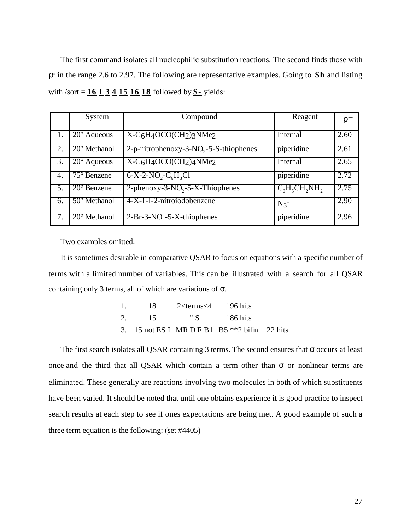The first command isolates all nucleophilic substitution reactions. The second finds those with - in the range 2.6 to 2.97. The following are representative examples. Going to **Sh** and listing with /sort = **16 1 3 4 15 16 18** followed by **S-** yields:

|    | System                | Compound                                           | Reagent            |      |
|----|-----------------------|----------------------------------------------------|--------------------|------|
|    | $20^{\circ}$ Aqueous  | $X-C6H4OCO(CH2)3NMe2$                              | Internal           | 2.60 |
| 2. | $20^{\circ}$ Methanol | 2-p-nitrophenoxy-3-NO <sub>2</sub> -5-S-thiophenes | piperidine         | 2.61 |
| 3. | $20^\circ$ Aqueous    | $X-C6H4OCO(CH2)4NMe2$                              | Internal           | 2.65 |
| 4. | $75^\circ$ Benzene    | $6-X-2-NO_2-C_6H_3Cl$                              | piperidine         | 2.72 |
| 5. | $20^{\circ}$ Benzene  | 2-phenoxy-3- $NO2$ -5-X-Thiophenes                 | $C_6H_5CH_2NH_2$   | 2.75 |
| 6. | $50^\circ$ Methanol   | 4-X-1-I-2-nitroiodobenzene                         | $N_3$ <sup>-</sup> | 2.90 |
| 7. | $20^{\circ}$ Methanol | $2-Br-3-NO2-5-X-thiophenes$                        | piperidine         | 2.96 |

Two examples omitted.

It is sometimes desirable in comparative QSAR to focus on equations with a specific number of terms with a limited number of variables. This can be illustrated with a search for all QSAR containing only 3 terms, all of which are variations of .

|    | 18 | $2$ <terms 196="" 4="" <="" hits<="" th=""><th></th><th></th></terms> |                                                 |  |
|----|----|-----------------------------------------------------------------------|-------------------------------------------------|--|
| 2. | 15 | $\degree$ S 186 hits                                                  |                                                 |  |
|    |    |                                                                       | 3. 15 not ES I MR D F B1 B5 $**2$ bilin 22 hits |  |

The first search isolates all QSAR containing 3 terms. The second ensures that occurs at least once and the third that all QSAR which contain a term other than or nonlinear terms are eliminated. These generally are reactions involving two molecules in both of which substituents have been varied. It should be noted that until one obtains experience it is good practice to inspect search results at each step to see if ones expectations are being met. A good example of such a three term equation is the following: (set #4405)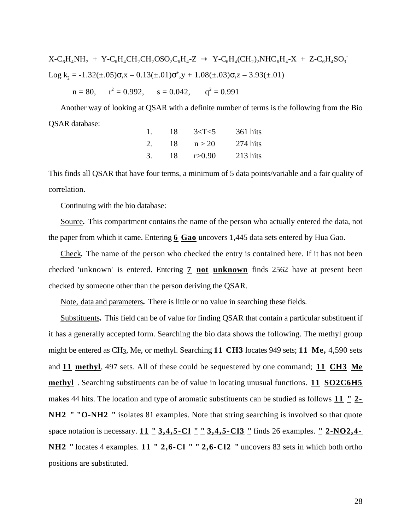$X-C_6H_4NH_2 + Y-C_6H_4CH_2CH_2OSO_2C_6H_4-Z$   $Y-C_6H_4(CH_2)_2NHC_6H_4-X + Z-C_6H_4SO_3$ Log k<sub>2</sub> = -1.32( $\pm$ .05) ,x – 0.13( $\pm$ .01) <sup>+</sup>,y + 1.08( $\pm$ .03) ,z – 3.93( $\pm$ .01)  $n = 80$ ,  $r^2 = 0.992$ ,  $s = 0.042$ ,  $q^2 = 0.991$ 

Another way of looking at QSAR with a definite number of terms is the following from the Bio QSAR database:

| 1. | 18 | 3 < T < 5 | 361 hits |
|----|----|-----------|----------|
| 2. | 18 | n > 20    | 274 hits |
| 3. | 18 | r > 0.90  | 213 hits |

This finds all QSAR that have four terms, a minimum of 5 data points/variable and a fair quality of correlation.

Continuing with the bio database:

Source. This compartment contains the name of the person who actually entered the data, not the paper from which it came. Entering **6 Gao** uncovers 1,445 data sets entered by Hua Gao.

Check. The name of the person who checked the entry is contained here. If it has not been checked 'unknown' is entered. Entering **7 not unknown** finds 2562 have at present been checked by someone other than the person deriving the QSAR.

Note, data and parameters. There is little or no value in searching these fields.

Substituents. This field can be of value for finding QSAR that contain a particular substituent if it has a generally accepted form. Searching the bio data shows the following. The methyl group might be entered as CH3, Me, or methyl. Searching **11 CH3** locates 949 sets; **11 Me,** 4,590 sets and **11 methyl**, 497 sets. All of these could be sequestered by one command; **11 CH3 Me methyl** . Searching substituents can be of value in locating unusual functions. **11 SO2C6H5**  makes 44 hits. The location and type of aromatic substituents can be studied as follows **11 " 2- NH2 " "O-NH2 "** isolates 81 examples. Note that string searching is involved so that quote space notation is necessary. **11 " 3,4,5-Cl " " 3,4,5-Cl3 "** finds 26 examples. **" 2-NO2 ,4- NH2** " locates 4 examples. **11** " **2,6-Cl** " " **2,6-Cl2** " uncovers 83 sets in which both ortho positions are substituted.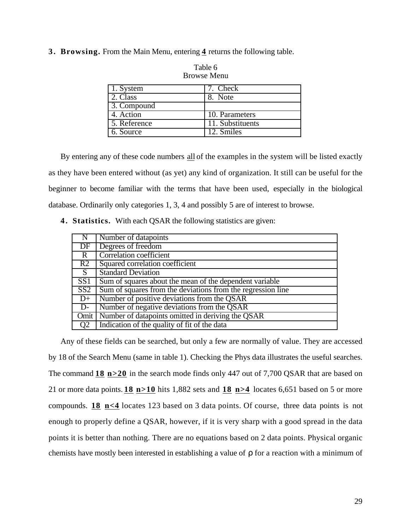**3 . Browsing.** From the Main Menu, entering **4** returns the following table.

| 1. System    | 7. Check                       |
|--------------|--------------------------------|
| 2. Class     | 8. Note                        |
| 3. Compound  |                                |
| 4. Action    | 10. Parameters                 |
| 5. Reference | $\overline{11}$ . Substituents |
| 6. Source    | 12. Smiles                     |

Table 6 Browse Menu

By entering any of these code numbers all of the examples in the system will be listed exactly as they have been entered without (as yet) any kind of organization. It still can be useful for the beginner to become familiar with the terms that have been used, especially in the biological database. Ordinarily only categories 1, 3, 4 and possibly 5 are of interest to browse.

**4 . Statistics.** With each QSAR the following statistics are given:

| $\mathbb{N}$            | Number of datapoints                                        |
|-------------------------|-------------------------------------------------------------|
| DF                      | Degrees of freedom                                          |
| $\overline{R}$          | <b>Correlation coefficient</b>                              |
| R2                      | Squared correlation coefficient                             |
| S                       | <b>Standard Deviation</b>                                   |
| SS1                     | Sum of squares about the mean of the dependent variable     |
| $\overline{\text{SS2}}$ | Sum of squares from the deviations from the regression line |
| $D+$                    | Number of positive deviations from the QSAR                 |
| $D-$                    | Number of negative deviations from the QSAR                 |
|                         | Omit   Number of datapoints omitted in deriving the QSAR    |
| Q <sub>2</sub>          | Indication of the quality of fit of the data                |

Any of these fields can be searched, but only a few are normally of value. They are accessed by 18 of the Search Menu (same in table 1). Checking the Phys data illustrates the useful searches. The command **18 n>20** in the search mode finds only 447 out of 7,700 QSAR that are based on 21 or more data points. **18 n>10** hits 1,882 sets and **18 n>4** locates 6,651 based on 5 or more compounds. **18 n<4** locates 123 based on 3 data points. Of course, three data points is not enough to properly define a QSAR, however, if it is very sharp with a good spread in the data points it is better than nothing. There are no equations based on 2 data points. Physical organic chemists have mostly been interested in establishing a value of for a reaction with a minimum of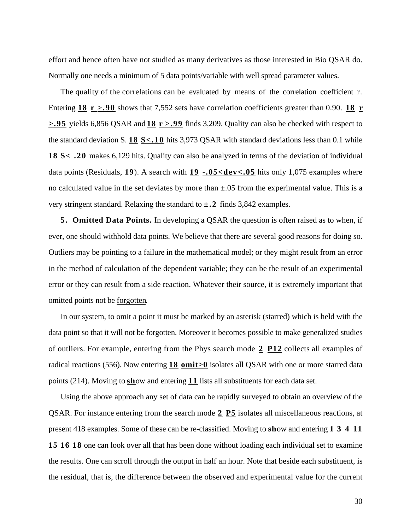effort and hence often have not studied as many derivatives as those interested in Bio QSAR do. Normally one needs a minimum of 5 data points/variable with well spread parameter values.

The quality of the correlations can be evaluated by means of the correlation coefficient r. Entering 18  $r > 0.90$  shows that 7,552 sets have correlation coefficients greater than 0.90. 18 **r > .95** yields 6,856 QSAR and **18 r >.99** finds 3,209. Quality can also be checked with respect to the standard deviation S. **18 S< .10** hits 3,973 QSAR with standard deviations less than 0.1 while **18 S< .20** makes 6,129 hits. Quality can also be analyzed in terms of the deviation of individual data points (Residuals, 19). A search with  $19 - 05 <$ dev $< 0.05$  hits only 1,075 examples where no calculated value in the set deviates by more than  $\pm .05$  from the experimental value. This is a very stringent standard. Relaxing the standard to **±.2** finds 3,842 examples.

**5 . Omitted Data Points.** In developing a QSAR the question is often raised as to when, if ever, one should withhold data points. We believe that there are several good reasons for doing so. Outliers may be pointing to a failure in the mathematical model; or they might result from an error in the method of calculation of the dependent variable; they can be the result of an experimental error or they can result from a side reaction. Whatever their source, it is extremely important that omitted points not be forgotten.

In our system, to omit a point it must be marked by an asterisk (starred) which is held with the data point so that it will not be forgotten. Moreover it becomes possible to make generalized studies of outliers. For example, entering from the Phys search mode **2 P12** collects all examples of radical reactions (556). Now entering **18 omit>0** isolates all QSAR with one or more starred data points (214). Moving to **sh** ow and entering **11** lists all substituents for each data set.

Using the above approach any set of data can be rapidly surveyed to obtain an overview of the QSAR. For instance entering from the search mode **2 P5** isolates all miscellaneous reactions, at present 418 examples. Some of these can be re-classified. Moving to show and entering 1 3 4 11 **15 16 18** one can look over all that has been done without loading each individual set to examine the results. One can scroll through the output in half an hour. Note that beside each substituent, is the residual, that is, the difference between the observed and experimental value for the current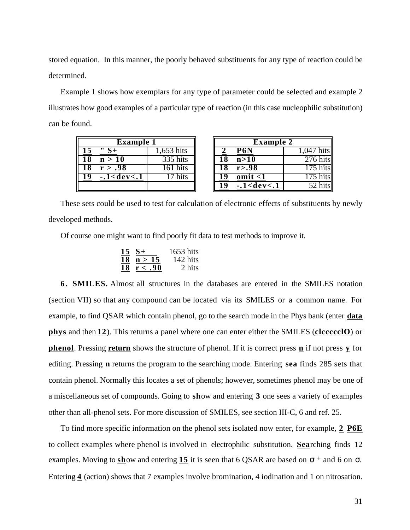stored equation. In this manner, the poorly behaved substituents for any type of reaction could be determined.

Example 1 shows how exemplars for any type of parameter could be selected and example 2 illustrates how good examples of a particular type of reaction (in this case nucleophilic substitution) can be found.

| <b>Example 1</b>     |             | <b>Example 2</b>  |
|----------------------|-------------|-------------------|
|                      | $.653$ hits | P6N               |
| 18<br>n > 10         | 335 hits    | n>10              |
| 18<br>r > .98        | 161 hits    | r > .98           |
| 19<br>$-.1 <$ dev<.1 | 17 hits     | $\text{omit} < 1$ |
|                      |             | $-.1 <$ dev<.1    |

| <b>Example 1</b> |                   |           | <b>Example 2</b> |                  |          |
|------------------|-------------------|-----------|------------------|------------------|----------|
| 15               |                   | ,653 hits |                  | P <sub>6</sub> N | hits     |
| 18               | n > 10            | 335 hits  |                  | n>10             | 276 hits |
| 18               | r > .98           | 161 hits  |                  | r > .98          |          |
| 19               | $-1 <$ dev $<$ .1 | hits      |                  | $\text{omit}$ <1 |          |
|                  |                   |           |                  | $-.1 <$ dev<.1   |          |

These sets could be used to test for calculation of electronic effects of substituents by newly developed methods.

Of course one might want to find poorly fit data to test methods to improve it.

| 15 | $S+$    | 1653 hits |
|----|---------|-----------|
| 18 | n > 15  | 142 hits  |
| 18 | r < .90 | 2 hits    |

**6 . SMILES.** Almost all structures in the databases are entered in the SMILES notation (section VII) so that any compound can be located via its SMILES or a common name. For example, to find QSAR which contain phenol, go to the search mode in the Phys bank (enter **data phys** and then **12** ) . This returns a panel where one can enter either the SMILES (**clccccclO** ) or **phenol**. Pressing **return** shows the structure of phenol. If it is correct press **n** if not press **y** for editing. Pressing **n** returns the program to the searching mode. Entering **sea** finds 285 sets that contain phenol. Normally this locates a set of phenols; however, sometimes phenol may be one of a miscellaneous set of compounds. Going to **sh**ow and entering 3 one sees a variety of examples other than all-phenol sets. For more discussion of SMILES, see section III-C, 6 and ref. 25.

To find more specific information on the phenol sets isolated now enter, for example, **2 P6E**  to collect examples where phenol is involved in electrophilic substitution. **Searching finds** 12 examples. Moving to  $\frac{\text{sh}}{\text{ow}}$  and entering 15 it is seen that 6 QSAR are based on  $\pm$  and 6 on. Entering **4** (action) shows that 7 examples involve bromination, 4 iodination and 1 on nitrosation.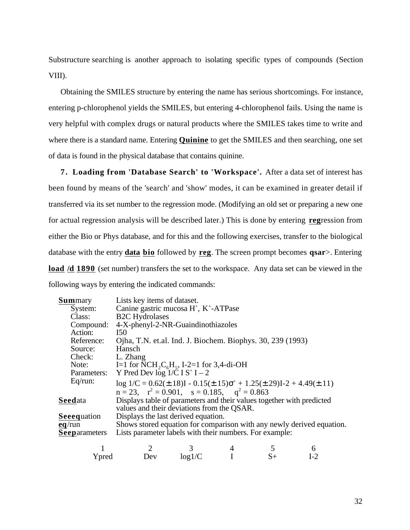Substructure searching is another approach to isolating specific types of compounds (Section VIII).

Obtaining the SMILES structure by entering the name has serious shortcomings. For instance, entering p-chlorophenol yields the SMILES, but entering 4-chlorophenol fails. Using the name is very helpful with complex drugs or natural products where the SMILES takes time to write and where there is a standard name. Entering **Quinine** to get the SMILES and then searching, one set of data is found in the physical database that contains quinine.

**7 . Loading from 'Database Search' to 'Workspace'.** After a data set of interest has been found by means of the 'search' and 'show' modes, it can be examined in greater detail if transferred via its set number to the regression mode. (Modifying an old set or preparing a new one for actual regression analysis will be described later.) This is done by entering **reg**ression from either the Bio or Phys database, and for this and the following exercises, transfer to the biological database with the entry **data bio** followed by **reg** . The screen prompt becomes **qsar**>. Entering **load /d 1890** (set number) transfers the set to the workspace. Any data set can be viewed in the following ways by entering the indicated commands:

| <b>Summary</b>       | Lists key items of dataset.                                                                                         |
|----------------------|---------------------------------------------------------------------------------------------------------------------|
| System:              | Canine gastric mucosa H <sup>+</sup> , K <sup>+</sup> -ATPase                                                       |
| Class:               | <b>B2C</b> Hydrolases                                                                                               |
| Compound:            | 4-X-phenyl-2-NR-Guaindinothiazoles                                                                                  |
| Action:              | <b>I50</b>                                                                                                          |
| Reference:           | Ojha, T.N. et.al. Ind. J. Biochem. Biophys. 30, 239 (1993)                                                          |
| Source:              | Hansch                                                                                                              |
| Check:               | L. Zhang                                                                                                            |
| Note:                | I=1 for NCH <sub>2</sub> C <sub>6</sub> H <sub>5</sub> , I-2=1 for 3,4-di-OH                                        |
|                      | Parameters: Y Pred Dev $\log 1/\tilde{C} I S^+ I - 2$                                                               |
| Eq(run)              | $log 1/C = 0.62(\pm .18)I - 0.15(\pm .15)^{+} + 1.25(\pm .29)I - 2 + 4.49(\pm .11)$                                 |
|                      | $n = 23$ , $r^2 = 0.901$ , $s = 0.185$ , $q^2 = 0.863$                                                              |
| Seedata              | Displays table of parameters and their values together with predicted<br>values and their deviations from the QSAR. |
| <b>Seeequation</b>   | Displays the last derived equation.                                                                                 |
| $eq$ /run            | Shows stored equation for comparison with any newly derived equation.                                               |
| <b>Seeparameters</b> | Lists parameter labels with their numbers. For example:                                                             |
|                      |                                                                                                                     |

| Ypred | Dev | log1/C | S+ | $1-2$ |
|-------|-----|--------|----|-------|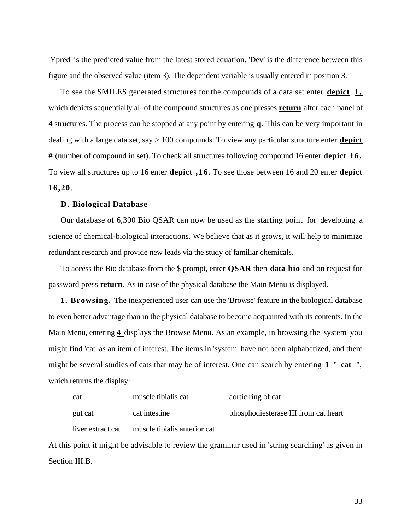'Ypred' is the predicted value from the latest stored equation. 'Dev' is the difference between this figure and the observed value (item 3). The dependent variable is usually entered in position 3.

To see the SMILES generated structures for the compounds of a data set enter **depict 1 ,**  which depicts sequentially all of the compound structures as one presses **return** after each panel of 4 structures. The process can be stopped at any point by entering **q** . This can be very important in dealing with a large data set, say > 100 compounds. To view any particular structure enter **depict #** (number of compound in set). To check all structures following compound 16 enter **depict 16,**  To view all structures up to 16 enter **depict ,16** . To see those between 16 and 20 enter **depict 16,20** .

#### **D. Biological Database**

Our database of 6,300 Bio QSAR can now be used as the starting point for developing a science of chemical-biological interactions. We believe that as it grows, it will help to minimize redundant research and provide new leads via the study of familiar chemicals.

To access the Bio database from the \$ prompt, enter **QSAR** then **data bio** and on request for password press **return** . As in case of the physical database the Main Menu is displayed.

**1. Browsing.** The inexperienced user can use the 'Browse' feature in the biological database to even better advantage than in the physical database to become acquainted with its contents. In the Main Menu, entering **4** displays the Browse Menu. As an example, in browsing the 'system' you might find 'cat' as an item of interest. The items in 'system' have not been alphabetized, and there might be several studies of cats that may be of interest. One can search by entering  $1 \cdot \frac{1}{2}$  cat  $\frac{1}{2}$ , which returns the display:

| cat               | muscle tibialis cat          | aortic ring of cat                   |
|-------------------|------------------------------|--------------------------------------|
| gut cat           | cat intestine                | phosphodiesterase III from cat heart |
| liver extract cat | muscle tibialis anterior cat |                                      |

At this point it might be advisable to review the grammar used in 'string searching' as given in Section III.B.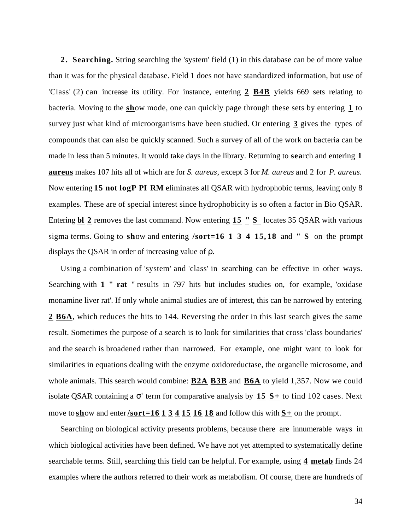**2 . Searching.** String searching the 'system' field (1) in this database can be of more value than it was for the physical database. Field 1 does not have standardized information, but use of 'Class' (2) can increase its utility. For instance, entering **2 B4B** yields 669 sets relating to bacteria. Moving to the **sh**ow mode, one can quickly page through these sets by entering 1 to survey just what kind of microorganisms have been studied. Or entering **3** gives the types of compounds that can also be quickly scanned. Such a survey of all of the work on bacteria can be made in less than 5 minutes. It would take days in the library. Returning to **search** and entering 1 **aureus** makes 107 hits all of which are for *S. aureus*, except 3 for *M. aureus* and 2 for *P. aureus*. Now entering **15 not logP PI RM** eliminates all QSAR with hydrophobic terms, leaving only 8 examples. These are of special interest since hydrophobicity is so often a factor in Bio QSAR. Entering **bl** 2 removes the last command. Now entering 15 " S locates 35 QSAR with various sigma terms. Going to  $\frac{\text{show}}{\text{show}}$  and entering **/sort=16** 1 3 4 15,18 and **"**  $\frac{\text{Sum}}{\text{Sum}}$  **S** on the prompt displays the QSAR in order of increasing value of .

Using a combination of 'system' and 'class' in searching can be effective in other ways. Searching with  $1 \cdot \text{rat}$   $\text{rat}$  results in 797 hits but includes studies on, for example, 'oxidase monamine liver rat'. If only whole animal studies are of interest, this can be narrowed by entering 2 B6A, which reduces the hits to 144. Reversing the order in this last search gives the same result. Sometimes the purpose of a search is to look for similarities that cross 'class boundaries' and the search is broadened rather than narrowed. For example, one might want to look for similarities in equations dealing with the enzyme oxidoreductase, the organelle microsome, and whole animals. This search would combine: **B2A B3B** and **B6A** to yield 1,357. Now we could isolate QSAR containing a  $+$  term for comparative analysis by  $15 S+$  to find 102 cases. Next move to show and enter **/sort=16 1 3 4 15 16 18** and follow this with  $S<sup>+</sup>$  on the prompt.

Searching on biological activity presents problems, because there are innumerable ways in which biological activities have been defined. We have not yet attempted to systematically define searchable terms. Still, searching this field can be helpful. For example, using **4 metab** finds 24 examples where the authors referred to their work as metabolism. Of course, there are hundreds of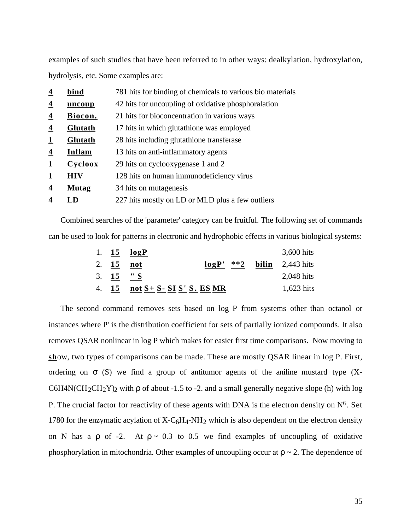examples of such studies that have been referred to in other ways: dealkylation, hydroxylation, hydrolysis, etc. Some examples are:

| 4 | bind         | 781 hits for binding of chemicals to various bio materials |
|---|--------------|------------------------------------------------------------|
| 4 | uncoup       | 42 hits for uncoupling of oxidative phosphoralation        |
| 4 | Biocon.      | 21 hits for bioconcentration in various ways               |
| 4 | Glutath      | 17 hits in which glutathione was employed                  |
|   | Glutath      | 28 hits including glutathione transferase                  |
| 4 | Inflam       | 13 hits on anti-inflammatory agents                        |
|   | Cycloox      | 29 hits on cyclooxygenase 1 and 2                          |
|   | <b>HIV</b>   | 128 hits on human immunodeficiency virus                   |
| 4 | <b>Mutag</b> | 34 hits on mutagenesis                                     |
|   | LD           | 227 hits mostly on LD or MLD plus a few outliers           |

Combined searches of the 'parameter' category can be fruitful. The following set of commands can be used to look for patterns in electronic and hydrophobic effects in various biological systems:

|             | 1. $15 \quad \log P$                  |                                | 3,600 hits   |
|-------------|---------------------------------------|--------------------------------|--------------|
| 2. $15$ not |                                       | $\log P'$ **2 bilin 2,443 hits |              |
| 3. $15 "S$  |                                       |                                | 2,048 hits   |
|             | 4. $15$ not $S + S - SI S' S$ . ES MR |                                | $1,623$ hits |

The second command removes sets based on log P from systems other than octanol or instances where P' is the distribution coefficient for sets of partially ionized compounds. It also removes QSAR nonlinear in log P which makes for easier first time comparisons. Now moving to show, two types of comparisons can be made. These are mostly QSAR linear in log P. First, ordering on (S) we find a group of antitumor agents of the aniline mustard type (X-C6H4N(CH<sub>2</sub>CH<sub>2</sub>Y)<sub>2</sub> with of about -1.5 to -2. and a small generally negative slope (h) with log P. The crucial factor for reactivity of these agents with DNA is the electron density on  $N^6$ . Set 1780 for the enzymatic acylation of  $X-C<sub>6</sub>H<sub>4</sub>-NH<sub>2</sub>$  which is also dependent on the electron density on N has a of  $-2$ . At  $\sim 0.3$  to 0.5 we find examples of uncoupling of oxidative phosphorylation in mitochondria. Other examples of uncoupling occur at  $\sim$  2. The dependence of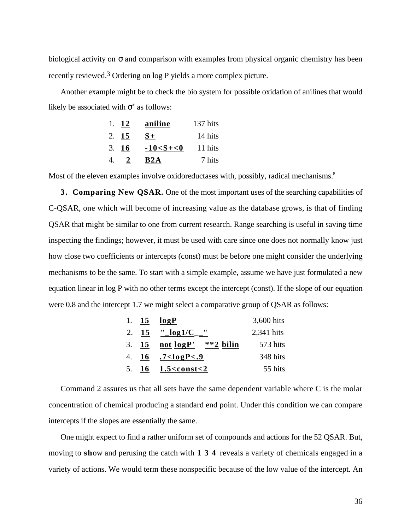biological activity on and comparison with examples from physical organic chemistry has been recently reviewed.3 Ordering on log P yields a more complex picture.

Another example might be to check the bio system for possible oxidation of anilines that would likely be associated with  $+$  as follows:

|    | 1. 12        | aniline         | 137 hits |
|----|--------------|-----------------|----------|
|    | 2. 15        | $S+$            | 14 hits  |
|    | 3.16         | $-10 < S + < 0$ | 11 hits  |
| 4. | <sup>2</sup> | B2A             | 7 hits   |

Most of the eleven examples involve oxidoreductases with, possibly, radical mechanisms.<sup>8</sup>

**3 . Comparing New QSAR.** One of the most important uses of the searching capabilities of C-QSAR, one which will become of increasing value as the database grows, is that of finding QSAR that might be similar to one from current research. Range searching is useful in saving time inspecting the findings; however, it must be used with care since one does not normally know just how close two coefficients or intercepts (const) must be before one might consider the underlying mechanisms to be the same. To start with a simple example, assume we have just formulated a new equation linear in log P with no other terms except the intercept (const). If the slope of our equation were 0.8 and the intercept 1.7 we might select a comparative group of QSAR as follows:

|  | 1. $15 \quad logP$             | 3,600 hits |
|--|--------------------------------|------------|
|  | 2. 15 $"log1/C$ <sup>"</sup>   | 2,341 hits |
|  | 3. $15$ not $log P'$ **2 bilin | 573 hits   |
|  | 4. $16 \quad .7 < logP < .9$   | 348 hits   |
|  | 5. $16 \quad 1.5 < const < 2$  | 55 hits    |

Command 2 assures us that all sets have the same dependent variable where C is the molar concentration of chemical producing a standard end point. Under this condition we can compare intercepts if the slopes are essentially the same.

One might expect to find a rather uniform set of compounds and actions for the 52 QSAR. But, moving to show and perusing the catch with 1 3 4 reveals a variety of chemicals engaged in a variety of actions. We would term these nonspecific because of the low value of the intercept. An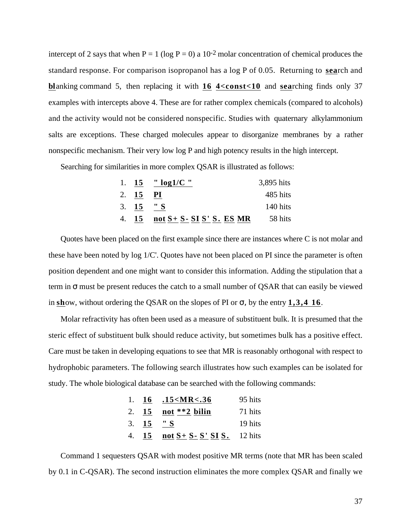intercept of 2 says that when  $P = 1$  (log  $P = 0$ ) a 10<sup>-2</sup> molar concentration of chemical produces the standard response. For comparison isopropanol has a log P of 0.05. Returning to **sea** rch and **blanking command 5, then replacing it with <b>16 4<const<10** and **searching finds** only 37 examples with intercepts above 4. These are for rather complex chemicals (compared to alcohols) and the activity would not be considered nonspecific. Studies with quaternary alkylammonium salts are exceptions. These charged molecules appear to disorganize membranes by a rather nonspecific mechanism. Their very low log P and high potency results in the high intercept.

Searching for similarities in more complex QSAR is illustrated as follows:

|            | 1. 15 $"log1/C"$              | 3,895 hits |
|------------|-------------------------------|------------|
| 2. $15$    | - PI                          | 485 hits   |
| 3. $15 "S$ |                               | 140 hits   |
| 4. 15      | not $S + S - SI S' S$ . ES MR | 58 hits    |

Quotes have been placed on the first example since there are instances where C is not molar and these have been noted by log 1/C'. Quotes have not been placed on PI since the parameter is often position dependent and one might want to consider this information. Adding the stipulation that a term in must be present reduces the catch to a small number of QSAR that can easily be viewed in show, without ordering the QSAR on the slopes of PI or  $\mu$ , by the entry 1,3,4 16.

Molar refractivity has often been used as a measure of substituent bulk. It is presumed that the steric effect of substituent bulk should reduce activity, but sometimes bulk has a positive effect. Care must be taken in developing equations to see that MR is reasonably orthogonal with respect to hydrophobic parameters. The following search illustrates how such examples can be isolated for study. The whole biological database can be searched with the following commands:

|            | 1. $16$ .15 < MR < .36                 | 95 hits |
|------------|----------------------------------------|---------|
|            | 2. $15$ not **2 bilin                  | 71 hits |
| 3. $15 "S$ |                                        | 19 hits |
|            | 4. $15$ not $S + S - S'$ SI S. 12 hits |         |

Command 1 sequesters QSAR with modest positive MR terms (note that MR has been scaled by 0.1 in C-QSAR). The second instruction eliminates the more complex QSAR and finally we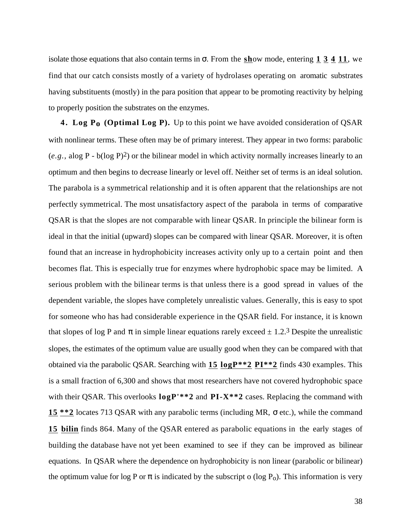isolate those equations that also contain terms in From the  $\frac{\text{sh}}{\text{ow}}$  mode, entering  $1\overline{3}$   $4\overline{11}$ , we find that our catch consists mostly of a variety of hydrolases operating on aromatic substrates having substituents (mostly) in the para position that appear to be promoting reactivity by helping to properly position the substrates on the enzymes.

**4 . Log Po (Optimal Log P).** Up to this point we have avoided consideration of QSAR with nonlinear terms. These often may be of primary interest. They appear in two forms: parabolic (*e.g.,* alog P - b(log P)2) or the bilinear model in which activity normally increases linearly to an optimum and then begins to decrease linearly or level off. Neither set of terms is an ideal solution. The parabola is a symmetrical relationship and it is often apparent that the relationships are not perfectly symmetrical. The most unsatisfactory aspect of the parabola in terms of comparative QSAR is that the slopes are not comparable with linear QSAR. In principle the bilinear form is ideal in that the initial (upward) slopes can be compared with linear QSAR. Moreover, it is often found that an increase in hydrophobicity increases activity only up to a certain point and then becomes flat. This is especially true for enzymes where hydrophobic space may be limited. A serious problem with the bilinear terms is that unless there is a good spread in values of the dependent variable, the slopes have completely unrealistic values. Generally, this is easy to spot for someone who has had considerable experience in the QSAR field. For instance, it is known that slopes of log P and in simple linear equations rarely exceed  $\pm$  1.2.<sup>3</sup> Despite the unrealistic slopes, the estimates of the optimum value are usually good when they can be compared with that obtained via the parabolic QSAR. Searching with **15 logP\*\*2 PI\*\*2** finds 430 examples. This is a small fraction of 6,300 and shows that most researchers have not covered hydrophobic space with their QSAR. This overlooks  $\log P'$ <sup>\*\*</sup>2 and  $PI-X$ <sup>\*\*</sup>2 cases. Replacing the command with **15 \*\*2** locates 713 QSAR with any parabolic terms (including MR, etc.), while the command **15 bilin** finds 864. Many of the QSAR entered as parabolic equations in the early stages of building the database have not yet been examined to see if they can be improved as bilinear equations. In QSAR where the dependence on hydrophobicity is non linear (parabolic or bilinear) the optimum value for log P or is indicated by the subscript o (log  $P_0$ ). This information is very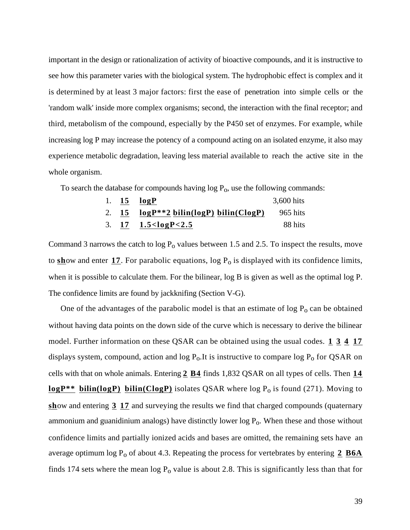important in the design or rationalization of activity of bioactive compounds, and it is instructive to see how this parameter varies with the biological system. The hydrophobic effect is complex and it is determined by at least 3 major factors: first the ease of penetration into simple cells or the 'random walk' inside more complex organisms; second, the interaction with the final receptor; and third, metabolism of the compound, especially by the P450 set of enzymes. For example, while increasing log P may increase the potency of a compound acting on an isolated enzyme, it also may experience metabolic degradation, leaving less material available to reach the active site in the whole organism.

To search the database for compounds having  $log P_0$ , use the following commands:

|  | 1. $15 \quad \log P$                                  | 3,600 hits |
|--|-------------------------------------------------------|------------|
|  | 2. $15 \log P^{*2}$ bilin(logP) bilin(ClogP) 965 hits |            |
|  | 3. $17 \quad 1.5 < logP < 2.5$                        | -88 hits   |

Command 3 narrows the catch to  $log P_0$  values between 1.5 and 2.5. To inspect the results, move to  $\frac{\sinh(\theta)}{\sinh(\theta)}$  and enter 17. For parabolic equations, log  $P_0$  is displayed with its confidence limits, when it is possible to calculate them. For the bilinear, log B is given as well as the optimal log P. The confidence limits are found by jackknifing (Section V-G).

One of the advantages of the parabolic model is that an estimate of  $\log P_0$  can be obtained without having data points on the down side of the curve which is necessary to derive the bilinear model. Further information on these QSAR can be obtained using the usual codes. **1 3 4 17**  displays system, compound, action and  $log P_0$ . It is instructive to compare  $log P_0$  for QSAR on cells with that on whole animals. Entering **2 B4** finds 1,832 QSAR on all types of cells. Then **14 logP**\*\* **bilin(logP) bilin(ClogP)** isolates QSAR where log P<sub>o</sub> is found (271). Moving to **sh**ow and entering 3 17 and surveying the results we find that charged compounds (quaternary ammonium and guanidinium analogs) have distinctly lower log  $P_0$ . When these and those without confidence limits and partially ionized acids and bases are omitted, the remaining sets have an average optimum log P<sub>o</sub> of about 4.3. Repeating the process for vertebrates by entering  $2 \underline{B6A}$ finds 174 sets where the mean  $log P_0$  value is about 2.8. This is significantly less than that for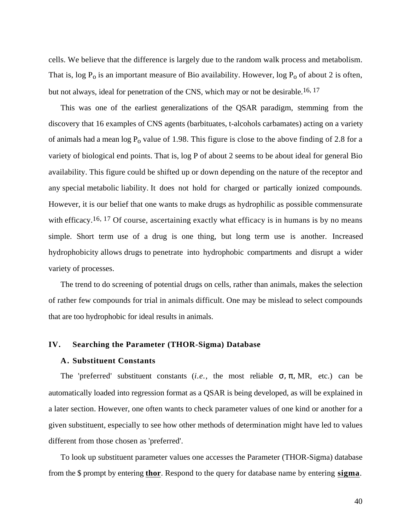cells. We believe that the difference is largely due to the random walk process and metabolism. That is, log  $P_0$  is an important measure of Bio availability. However, log  $P_0$  of about 2 is often, but not always, ideal for penetration of the CNS, which may or not be desirable.<sup>16, 17</sup>

This was one of the earliest generalizations of the QSAR paradigm, stemming from the discovery that 16 examples of CNS agents (barbituates, t-alcohols carbamates) acting on a variety of animals had a mean  $log P_0$  value of 1.98. This figure is close to the above finding of 2.8 for a variety of biological end points. That is, log P of about 2 seems to be about ideal for general Bio availability. This figure could be shifted up or down depending on the nature of the receptor and any special metabolic liability. It does not hold for charged or partically ionized compounds. However, it is our belief that one wants to make drugs as hydrophilic as possible commensurate with efficacy.<sup>16, 17</sup> Of course, ascertaining exactly what efficacy is in humans is by no means simple. Short term use of a drug is one thing, but long term use is another. Increased hydrophobicity allows drugs to penetrate into hydrophobic compartments and disrupt a wider variety of processes.

The trend to do screening of potential drugs on cells, rather than animals, makes the selection of rather few compounds for trial in animals difficult. One may be mislead to select compounds that are too hydrophobic for ideal results in animals.

#### **IV. Searching the Parameter (THOR-Sigma) Database**

#### **A. Substituent Constants**

The 'preferred' substituent constants (*i.e.*, the most reliable , , MR, etc.) can be automatically loaded into regression format as a QSAR is being developed, as will be explained in a later section. However, one often wants to check parameter values of one kind or another for a given substituent, especially to see how other methods of determination might have led to values different from those chosen as 'preferred'.

To look up substituent parameter values one accesses the Parameter (THOR-Sigma) database from the \$ prompt by entering **thor** . Respond to the query for database name by entering **sigma** .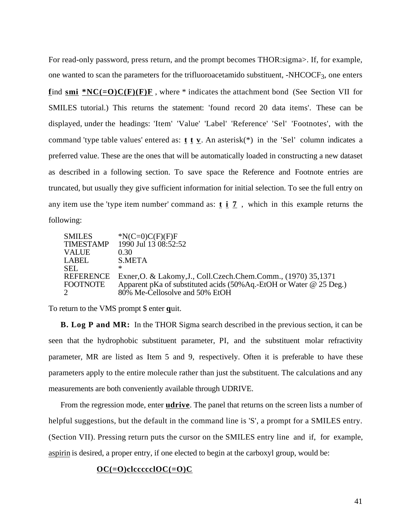For read-only password, press return, and the prompt becomes THOR:sigma>. If, for example, one wanted to scan the parameters for the trifluoroacetamido substituent, -NHCOCF3, one enters **find smi \*NC(=O)C(F)(F)F**, where \* indicates the attachment bond (See Section VII for SMILES tutorial.) This returns the statement: 'found record 20 data items'. These can be displayed, under the headings: 'Item' 'Value' 'Label' 'Reference' 'Sel' 'Footnotes', with the command 'type table values' entered as: **t t v** . An asterisk(\*) in the 'Sel' column indicates a preferred value. These are the ones that will be automatically loaded in constructing a new dataset as described in a following section. To save space the Reference and Footnote entries are truncated, but usually they give sufficient information for initial selection. To see the full entry on any item use the 'type item number' command as: **t i 7** , which in this example returns the following:

| <b>SMILES</b><br><b>TIMESTAMP</b> | $N(C=0)C(F)(F)F$<br>1990 Jul 13 08:52:52                                                                                                                                             |
|-----------------------------------|--------------------------------------------------------------------------------------------------------------------------------------------------------------------------------------|
| <b>VALUE</b>                      | 0.30                                                                                                                                                                                 |
| LABEL                             | S.META                                                                                                                                                                               |
| <b>SEL</b>                        | ж                                                                                                                                                                                    |
| <b>FOOTNOTE</b><br>$\overline{2}$ | REFERENCE Exner, O. & Lakomy, J., Coll. Czech. Chem. Comm., (1970) 35, 1371<br>Apparent pKa of substituted acids (50% Aq.-EtOH or Water @ 25 Deg.)<br>80% Me-Cellosolve and 50% EtOH |

To return to the VMS prompt \$ enter quit.

**B. Log P and MR:** In the THOR Sigma search described in the previous section, it can be seen that the hydrophobic substituent parameter, PI, and the substituent molar refractivity parameter, MR are listed as Item 5 and 9, respectively. Often it is preferable to have these parameters apply to the entire molecule rather than just the substituent. The calculations and any measurements are both conveniently available through UDRIVE.

From the regression mode, enter **udrive**. The panel that returns on the screen lists a number of helpful suggestions, but the default in the command line is 'S', a prompt for a SMILES entry. (Section VII). Pressing return puts the cursor on the SMILES entry line and if, for example, aspirin is desired, a proper entry, if one elected to begin at the carboxyl group, would be:

# **OC(=O) clccccclOC(=O)C**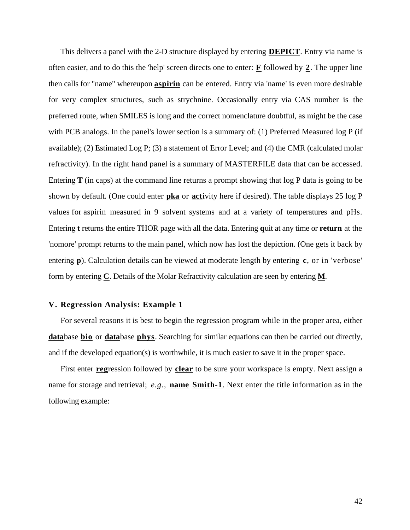This delivers a panel with the 2-D structure displayed by entering **DEPICT** . Entry via name is often easier, and to do this the 'help' screen directs one to enter: **F** followed by **2** . The upper line then calls for "name" whereupon **aspirin** can be entered. Entry via 'name' is even more desirable for very complex structures, such as strychnine. Occasionally entry via CAS number is the preferred route, when SMILES is long and the correct nomenclature doubtful, as might be the case with PCB analogs. In the panel's lower section is a summary of: (1) Preferred Measured log P (if available); (2) Estimated Log P; (3) a statement of Error Level; and (4) the CMR (calculated molar refractivity). In the right hand panel is a summary of MASTERFILE data that can be accessed. Entering **T** (in caps) at the command line returns a prompt showing that log P data is going to be shown by default. (One could enter **pka** or **activity** here if desired). The table displays 25 log P values for aspirin measured in 9 solvent systems and at a variety of temperatures and pHs. Entering **t** returns the entire THOR page with all the data. Entering quit at any time or **return** at the 'nomore' prompt returns to the main panel, which now has lost the depiction. (One gets it back by entering **p**). Calculation details can be viewed at moderate length by entering **c**, or in 'verbose' form by entering **C** . Details of the Molar Refractivity calculation are seen by entering **M** .

#### **V. Regression Analysis: Example 1**

For several reasons it is best to begin the regression program while in the proper area, either database bio or database phys. Searching for similar equations can then be carried out directly, and if the developed equation(s) is worthwhile, it is much easier to save it in the proper space.

First enter **reg** ression followed by **clear** to be sure your workspace is empty. Next assign a name for storage and retrieval; *e.g.,* **name Smith-1** . Next enter the title information as in the following example: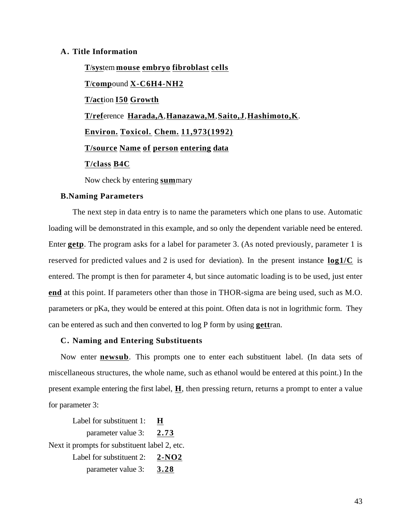# **A. Title Information**

 **T** /**s ys** tem **mouse embryo fibroblast cells T** /**comp** ound **X-C6H4-NH2 T/act** ion **I50 Growth T/ ref** erence **Harada,A** , **Hanazawa,M** , **Saito,J** , **Hashimoto,K** .  **Environ. Toxicol . Chem. 11,973(1992) T/source Name of person entering data T/class B4C** 

Now check by entering **sum** mary

# **B.Naming Parameters**

The next step in data entry is to name the parameters which one plans to use. Automatic loading will be demonstrated in this example, and so only the dependent variable need be entered. Enter **getp**. The program asks for a label for parameter 3. (As noted previously, parameter 1 is reserved for predicted values and 2 is used for deviation). In the present instance **log1/C** is entered. The prompt is then for parameter 4, but since automatic loading is to be used, just enter **end** at this point. If parameters other than those in THOR-sigma are being used, such as M.O. parameters or pKa, they would be entered at this point. Often data is not in logrithmic form. They can be entered as such and then converted to  $log P$  form by using **gettran**.

## **C. Naming and Entering Substituents**

Now enter **newsub**. This prompts one to enter each substituent label. (In data sets of miscellaneous structures, the whole name, such as ethanol would be entered at this point.) In the present example entering the first label, **H** , then pressing return, returns a prompt to enter a value for parameter 3:

Label for substituent 1: **H**  parameter value 3: **2.73**  Next it prompts for substituent label 2, etc. Label for substituent 2: **2-NO2**  parameter value 3: **3.28**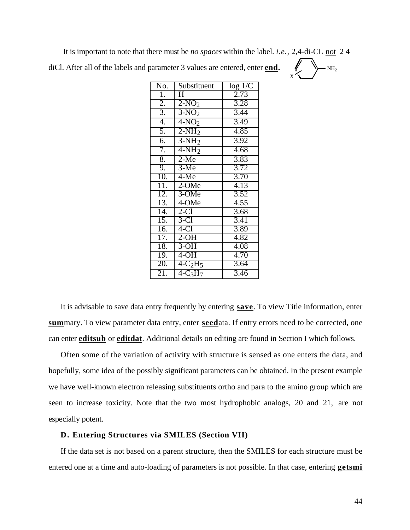It is important to note that there must be *no spaces* within the label. *i.e.,* 2,4-di-CL not 2 4 diCl. After all of the labels and parameter 3 values are entered, enter **end.** 

X

| No.               | Substituent               | log 1/C           |
|-------------------|---------------------------|-------------------|
| $\overline{1}$ .  | $\overline{\mathrm{H}}$   | 2.73              |
| $\overline{2}$ .  | $2-NO2$                   | 3.28              |
| $\overline{3}$ .  | $3-NO2$                   | 3.44              |
| 4.                | $\overline{4-NO_2}$       | 3.49              |
| 5.                | $2-NH_2$                  | $\overline{4.85}$ |
| 6.                | $3-NH2$                   | 3.92              |
| 7.                | $4-NH2$                   | 4.68              |
| 8.                | $2-Me$                    | 3.83              |
| 9.                | $3-Me$                    | 3.72              |
| 10.               | $4-Me$                    | $\overline{3.70}$ |
| 11.               | $2$ -OMe                  | 4.13              |
| 12.               | 3-OMe                     | 3.52              |
| $\overline{13}$ . | $\overline{4\text{-}OMe}$ | $\overline{4.55}$ |
| 14.               | $2-C1$                    | 3.68              |
| $\overline{15}$ . | $3-C1$                    | 3.41              |
| $\overline{16}$ . | $4-C1$                    | 3.89              |
| 17.               | $2-OH$                    | 4.82              |
| 18.               | $3-OH$                    | 4.08              |
| 19.               | $4-OH$                    | 4.70              |
| 20.               | $4-C2H5$                  | 3.64              |
| 21.               | $4-C_3H_7$                | $\overline{3.46}$ |

It is advisable to save data entry frequently by entering **save** . To view Title information, enter **sum** mary. To view parameter data entry, enter **seed** ata. If entry errors need to be corrected, one can enter **editsub** or **editdat** . Additional details on editing are found in Section I which follows.

Often some of the variation of activity with structure is sensed as one enters the data, and hopefully, some idea of the possibly significant parameters can be obtained. In the present example we have well-known electron releasing substituents ortho and para to the amino group which are seen to increase toxicity. Note that the two most hydrophobic analogs, 20 and 21, are not especially potent.

## **D. Entering Structures via SMILES (Section VII)**

If the data set is not based on a parent structure, then the SMILES for each structure must be entered one at a time and auto-loading of parameters is not possible. In that case, entering **getsmi**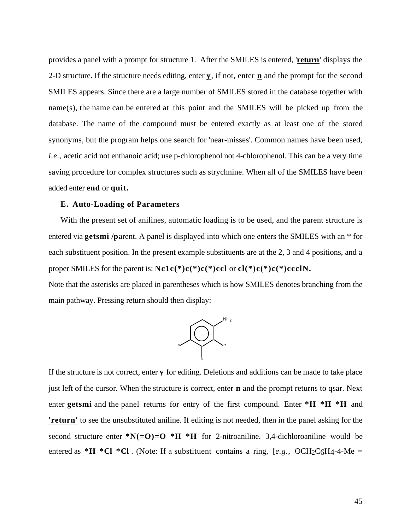provides a panel with a prompt for structure 1. After the SMILES is entered, '**return** ' displays the 2-D structure. If the structure needs editing, enter **y** , if not, enter **n** and the prompt for the second SMILES appears. Since there are a large number of SMILES stored in the database together with name(s), the name can be entered at this point and the SMILES will be picked up from the database. The name of the compound must be entered exactly as at least one of the stored synonyms, but the program helps one search for 'near-misses'. Common names have been used, *i.e.,* acetic acid not enthanoic acid; use p-chlorophenol not 4-chlorophenol. This can be a very time saving procedure for complex structures such as strychnine. When all of the SMILES have been added enter **end** or **quit.** 

#### **E. Auto-Loading of Parameters**

With the present set of anilines, automatic loading is to be used, and the parent structure is entered via **getsmi /p** arent. A panel is displayed into which one enters the SMILES with an \* for each substituent position. In the present example substituents are at the 2, 3 and 4 positions, and a proper SMILES for the parent is: **Nc1c(\*)c(\*)c(\*)ccl** or **cl(\*)c(\*)c(\*)ccclN.**

Note that the asterisks are placed in parentheses which is how SMILES denotes branching from the main pathway. Pressing return should then display:



If the structure is not correct, enter **y** for editing. Deletions and additions can be made to take place just left of the cursor. When the structure is correct, enter **n** and the prompt returns to qsar. Next enter **getsmi** and the panel returns for entry of the first compound. Enter  $*H *H *H$  and **'return'** to see the unsubstituted aniline. If editing is not needed, then in the panel asking for the second structure enter  $N(=0)=0$  \*H \*H for 2-nitroaniline. 3,4-dichloroaniline would be entered as  $*H *Cl * Cl$ . (Note: If a substituent contains a ring, [e.g., OCH<sub>2</sub>C<sub>6</sub>H<sub>4</sub>-4-Me =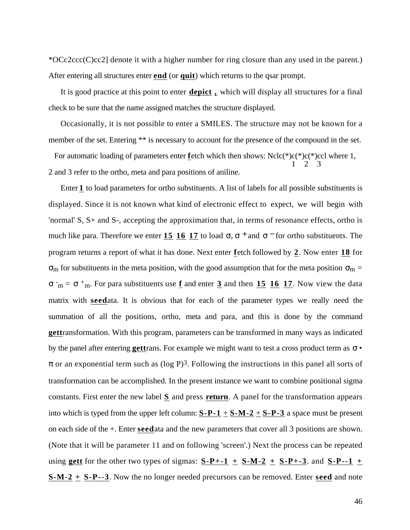\*OCc2ccc(C)cc2] denote it with a higher number for ring closure than any used in the parent.) After entering all structures enter **end** (or **quit**) which returns to the qsar prompt.

It is good practice at this point to enter **depict ,** which will display all structures for a final check to be sure that the name assigned matches the structure displayed.

Occasionally, it is not possible to enter a SMILES. The structure may not be known for a member of the set. Entering \*\* is necessary to account for the presence of the compound in the set.

For automatic loading of parameters enter **f**etch which then shows: Nclc(\*)c(\*)c(\*)ccl where 1, 1 2 3 2 and 3 refer to the ortho, meta and para positions of aniline.

Enter **1** to load parameters for ortho substituents. A list of labels for all possible substituents is displayed. Since it is not known what kind of electronic effect to expect, we will begin with 'normal' S, S+ and S-, accepting the approximation that, in terms of resonance effects, ortho is much like para. Therefore we enter **15 16 17** to load d <sup>+</sup> and <sup>-</sup> for ortho substituents. The program returns a report of what it has done. Next enter **f** etch followed by **2** . Now enter **18** for  $<sub>m</sub>$  for substituents in the meta position, with the good assumption that for the meta position  $<sub>m</sub>$  =</sub></sub>  $m =$ m. For para substituents use **f** and enter **3** and then **15 16 17** . Now view the data matrix with **seed** ata. It is obvious that for each of the parameter types we really need the summation of all the positions, ortho, meta and para, and this is done by the command **gettransformation.** With this program, parameters can be transformed in many ways as indicated

or an exponential term such as  $(\log P)^3$ . Following the instructions in this panel all sorts of transformation can be accomplished. In the present instance we want to combine positional sigma constants. First enter the new label **S** and press **return** . A panel for the transformation appears into which is typed from the upper left column: **S-P-1** + **S-M-2** + **S-P-3** a space must be present on each side of the +. Enter **seed** ata and the new parameters that cover all 3 positions are shown. (Note that it will be parameter 11 and on following 'screen'.) Next the process can be repeated using **gett** for the other two types of sigmas:  $S-P+-1 + S-M-2 + S-P+-3$ . and  $S-P--1 +$ **S-M-2 + S-P--3** . Now the no longer needed precursors can be removed. Enter **seed** and note

by the panel after entering **gett** rans. For example we might want to test a cross product term as •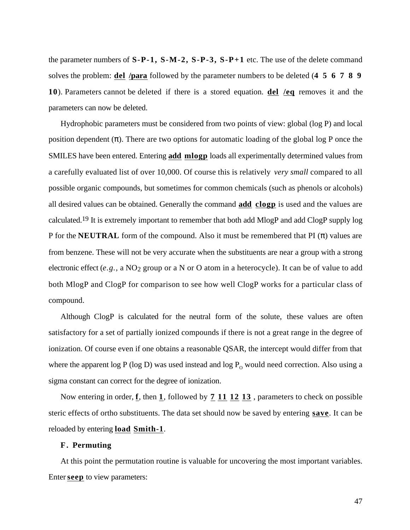the parameter numbers of **S-P-1, S-M-2, S-P-3, S-P+1** etc. The use of the delete command solves the problem: **del /para** followed by the parameter numbers to be deleted (**4 5 6 7 8 9 10**). Parameters cannot be deleted if there is a stored equation. **del /eq** removes it and the parameters can now be deleted.

Hydrophobic parameters must be considered from two points of view: global (log P) and local position dependent ( ). There are two options for automatic loading of the global log P once the SMILES have been entered. Entering **add mlogp** loads all experimentally determined values from a carefully evaluated list of over 10,000. Of course this is relatively *very small* compared to all possible organic compounds, but sometimes for common chemicals (such as phenols or alcohols) all desired values can be obtained. Generally the command **add clogp** is used and the values are calculated.19 It is extremely important to remember that both add MlogP and add ClogP supply log P for the **NEUTRAL** form of the compound. Also it must be remembered that PI ( ) values are from benzene. These will not be very accurate when the substituents are near a group with a strong electronic effect (*e.g.*, a NO<sub>2</sub> group or a N or O atom in a heterocycle). It can be of value to add both MlogP and ClogP for comparison to see how well ClogP works for a particular class of compound.

Although ClogP is calculated for the neutral form of the solute, these values are often satisfactory for a set of partially ionized compounds if there is not a great range in the degree of ionization. Of course even if one obtains a reasonable QSAR, the intercept would differ from that where the apparent  $log P$  ( $log D$ ) was used instead and  $log P_0$  would need correction. Also using a sigma constant can correct for the degree of ionization.

Now entering in order, **f**, then **1**, followed by **7 11 12 13**, parameters to check on possible steric effects of ortho substituents. The data set should now be saved by entering **save** . It can be reloaded by entering **load Smith-1** .

## **F. Permuting**

At this point the permutation routine is valuable for uncovering the most important variables. Enter **seep** to view parameters: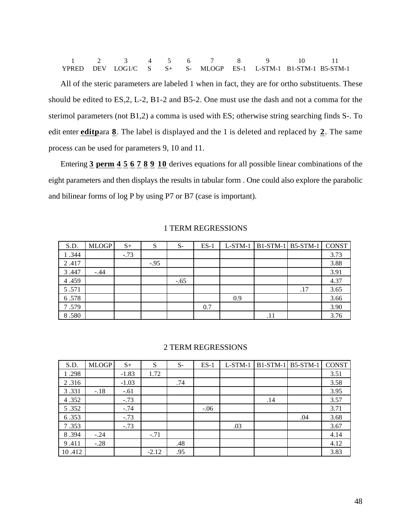|  |  |  |  | 1 2 3 4 5 6 7 8 9 10 11                                         |  |
|--|--|--|--|-----------------------------------------------------------------|--|
|  |  |  |  | YPRED DEV LOG1/C S $S+$ S- MLOGP ES-1 L-STM-1 B1-STM-1 B5-STM-1 |  |

All of the steric parameters are labeled 1 when in fact, they are for ortho substituents. These should be edited to ES,2, L-2, B1-2 and B5-2. One must use the dash and not a comma for the sterimol parameters (not B1,2) a comma is used with ES; otherwise string searching finds S-. To edit enter **editpara 8**. The label is displayed and the 1 is deleted and replaced by 2. The same process can be used for parameters 9, 10 and 11.

Entering **3 perm 4 5 6 7 8 9 10** derives equations for all possible linear combinations of the eight parameters and then displays the results in tabular form . One could also explore the parabolic and bilinear forms of log P by using P7 or B7 (case is important).

| S.D.  | <b>MLOGP</b> | $S+$   | S      | $S-$   | $ES-1$ | $L-STM-1$ |     | $BI-STM-1$ B5-STM-1 | <b>CONST</b> |
|-------|--------------|--------|--------|--------|--------|-----------|-----|---------------------|--------------|
| 1.344 |              | $-.73$ |        |        |        |           |     |                     | 3.73         |
| 2.417 |              |        | $-.95$ |        |        |           |     |                     | 3.88         |
| 3.447 | $-.44$       |        |        |        |        |           |     |                     | 3.91         |
| 4.459 |              |        |        | $-.65$ |        |           |     |                     | 4.37         |
| 5.571 |              |        |        |        |        |           |     | .17                 | 3.65         |
| 6.578 |              |        |        |        |        | 0.9       |     |                     | 3.66         |
| 7.579 |              |        |        |        | 0.7    |           |     |                     | 3.90         |
| 8.580 |              |        |        |        |        |           | .11 |                     | 3.76         |

## 1 TERM REGRESSIONS

#### 2 TERM REGRESSIONS

| S.D.   | <b>MLOGP</b> | $S+$    | S       | $S-$ | $ES-1$ | $L-STM-1$ |     | $B1-STM-1$ B5-STM-1 | <b>CONST</b> |
|--------|--------------|---------|---------|------|--------|-----------|-----|---------------------|--------------|
| 1.298  |              | $-1.83$ | 1.72    |      |        |           |     |                     | 3.51         |
| 2.316  |              | $-1.03$ |         | .74  |        |           |     |                     | 3.58         |
| 3.331  | $-.18$       | $-.61$  |         |      |        |           |     |                     | 3.95         |
| 4.352  |              | $-.73$  |         |      |        |           | .14 |                     | 3.57         |
| 5.352  |              | $-.74$  |         |      | $-.06$ |           |     |                     | 3.71         |
| 6.353  |              | $-.73$  |         |      |        |           |     | .04                 | 3.68         |
| 7.353  |              | $-.73$  |         |      |        | .03       |     |                     | 3.67         |
| 8.394  | $-.24$       |         | $-.71$  |      |        |           |     |                     | 4.14         |
| 9.411  | $-.28$       |         |         | .48  |        |           |     |                     | 4.12         |
| 10.412 |              |         | $-2.12$ | .95  |        |           |     |                     | 3.83         |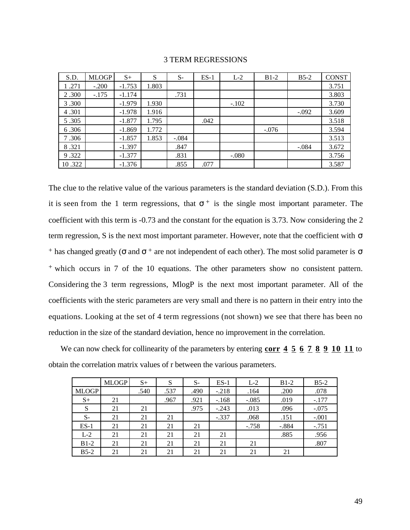| S.D.   | <b>MLOGP</b> | $S+$     | S     | $S-$    | $ES-1$ | $L-2$   | $B1-2$  | $B5-2$  | <b>CONST</b> |
|--------|--------------|----------|-------|---------|--------|---------|---------|---------|--------------|
| 1.271  | $-.200$      | $-1.753$ | 1.803 |         |        |         |         |         | 3.751        |
| 2.300  | $-.175$      | $-1.174$ |       | .731    |        |         |         |         | 3.803        |
| 3.300  |              | $-1.979$ | 1.930 |         |        | $-.102$ |         |         | 3.730        |
| 4.301  |              | $-1.978$ | 1.916 |         |        |         |         | $-.092$ | 3.609        |
| 5.305  |              | $-1.877$ | 1.795 |         | .042   |         |         |         | 3.518        |
| 6.306  |              | $-1.869$ | 1.772 |         |        |         | $-.076$ |         | 3.594        |
| 7.306  |              | $-1.857$ | 1.853 | $-.084$ |        |         |         |         | 3.513        |
| 8.321  |              | $-1.397$ |       | .847    |        |         |         | $-.084$ | 3.672        |
| 9.322  |              | $-1.377$ |       | .831    |        | $-.080$ |         |         | 3.756        |
| 10.322 |              | $-1.376$ |       | .855    | .077   |         |         |         | 3.587        |

#### 3 TERM REGRESSIONS

The clue to the relative value of the various parameters is the standard deviation (S.D.). From this it is seen from the 1 term regressions, that  $+$  is the single most important parameter. The coefficient with this term is -0.73 and the constant for the equation is 3.73. Now considering the 2 term regression, S is the next most important parameter. However, note that the coefficient with + has changed greatly ( and  $\rightarrow$  are not independent of each other). The most solid parameter is + which occurs in 7 of the 10 equations. The other parameters show no consistent pattern. Considering the 3 term regressions, MlogP is the next most important parameter. All of the coefficients with the steric parameters are very small and there is no pattern in their entry into the equations. Looking at the set of 4 term regressions (not shown) we see that there has been no reduction in the size of the standard deviation, hence no improvement in the correlation.

We can now check for collinearity of the parameters by entering **corr 4 5 6 7 8 9 10 11** to obtain the correlation matrix values of r between the various parameters.

|              | <b>MLOGP</b> | $S+$ | S    | $S-$ | $ES-1$  | $L-2$   | $B1-2$  | $B5-2$  |
|--------------|--------------|------|------|------|---------|---------|---------|---------|
| <b>MLOGP</b> |              | .540 | .537 | .490 | $-.218$ | .164    | .200    | .078    |
| $S+$         | 21           |      | .967 | .921 | $-.168$ | $-.085$ | .019    | $-.177$ |
| S            | 21           | 21   |      | .975 | $-.243$ | .013    | .096    | $-.075$ |
| $S-$         | 21           | 21   | 21   |      | $-.337$ | .068    | .151    | $-.001$ |
| $ES-1$       | 21           | 21   | 21   | 21   |         | $-.758$ | $-.884$ | $-.751$ |
| $L-2$        | 21           | 21   | 21   | 21   | 21      |         | .885    | .956    |
| $B1-2$       | 21           | 21   | 21   | 21   | 21      | 21      |         | .807    |
| $B5-2$       | 21           | 21   | 21   | 21   | 21      | 21      | 21      |         |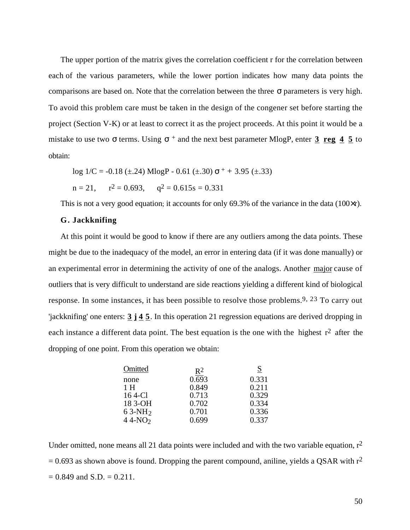The upper portion of the matrix gives the correlation coefficient r for the correlation between each of the various parameters, while the lower portion indicates how many data points the comparisons are based on. Note that the correlation between the three parameters is very high. To avoid this problem care must be taken in the design of the congener set before starting the project (Section V-K) or at least to correct it as the project proceeds. At this point it would be a mistake to use two terms. Using  $+$  and the next best parameter MlogP, enter  $3 \text{ reg } 4 5$  to obtain:

$$
\log 1/C = -0.18 \ (\pm .24) \ \text{Mlog} \ \text{P} - 0.61 \ (\pm .30) \ + + 3.95 \ (\pm .33)
$$

$$
n = 21
$$
,  $r^2 = 0.693$ ,  $q^2 = 0.615s = 0.331$ 

This is not a very good equation; it accounts for only 69.3% of the variance in the data  $(100 \times r)$ .

## **G. Jackknifing**

At this point it would be good to know if there are any outliers among the data points. These might be due to the inadequacy of the model, an error in entering data (if it was done manually) or an experimental error in determining the activity of one of the analogs. Another major cause of outliers that is very difficult to understand are side reactions yielding a different kind of biological response. In some instances, it has been possible to resolve those problems.9, 23 To carry out 'jackknifing' one enters: **3 j 4 5** . In this operation 21 regression equations are derived dropping in each instance a different data point. The best equation is the one with the highest  $r^2$  after the dropping of one point. From this operation we obtain:

| Omitted  | $R^2$ | S     |
|----------|-------|-------|
| none     | 0.693 | 0.331 |
| 1 H      | 0.849 | 0.211 |
| 16 4-Cl  | 0.713 | 0.329 |
| 18 3-OH  | 0.702 | 0.334 |
| $63-NH2$ | 0.701 | 0.336 |
| $44-NO2$ | 0.699 | 0.337 |
|          |       |       |

Under omitted, none means all 21 data points were included and with the two variable equation,  $r^2$  $= 0.693$  as shown above is found. Dropping the parent compound, aniline, yields a QSAR with  $r^2$  $= 0.849$  and S.D.  $= 0.211$ .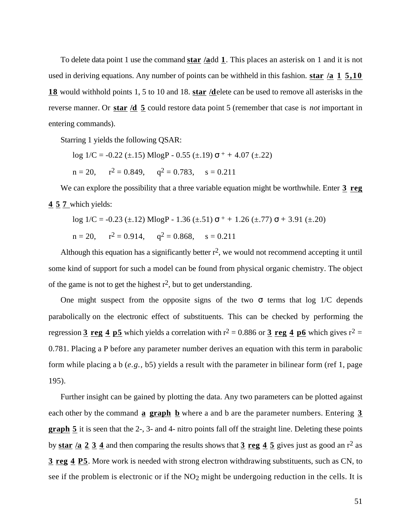To delete data point 1 use the command **star /a** dd **1** . This places an asterisk on 1 and it is not used in deriving equations. Any number of points can be withheld in this fashion. **star /a 1 5,10 18** would withhold points 1, 5 to 10 and 18. **star /d** elete can be used to remove all asterisks in the reverse manner. Or **star /d 5** could restore data point 5 (remember that case is *not* important in entering commands).

Starring 1 yields the following QSAR:

 $log 1/C = -0.22 (\pm .15) MlogP - 0.55 (\pm .19)$  + + 4.07 ( $\pm .22$ )  $n = 20$ ,  $r^2 = 0.849$ ,  $q^2 = 0.783$ ,  $s = 0.211$ 

We can explore the possibility that a three variable equation might be worthwhile. Enter **3** reg **4 5 7** which yields:

log 
$$
1/C = -0.23 \ (\pm .12)
$$
 MlogP - 1.36 ( $\pm .51$ )  $+$  + 1.26 ( $\pm .77$ ) + 3.91 ( $\pm .20$ )  
n = 20, r<sup>2</sup> = 0.914, q<sup>2</sup> = 0.868, s = 0.211

Although this equation has a significantly better  $r^2$ , we would not recommend accepting it until some kind of support for such a model can be found from physical organic chemistry. The object of the game is not to get the highest  $r^2$ , but to get understanding.

One might suspect from the opposite signs of the two terms that log 1/C depends parabolically on the electronic effect of substituents. This can be checked by performing the regression **3 reg 4 p5** which yields a correlation with  $r^2 = 0.886$  or **3 reg 4 p6** which gives  $r^2 =$ 0.781. Placing a P before any parameter number derives an equation with this term in parabolic form while placing a b (*e.g.,* b5) yields a result with the parameter in bilinear form (ref 1, page 195).

Further insight can be gained by plotting the data. Any two parameters can be plotted against each other by the command **a graph b** where a and b are the parameter numbers. Entering **3 graph 5** it is seen that the 2-, 3- and 4- nitro points fall off the straight line. Deleting these points by **star /a 2 3 4** and then comparing the results shows that **3 reg 4 5** gives just as good an r2 as **3 reg 4 P5** . More work is needed with strong electron withdrawing substituents, such as CN, to see if the problem is electronic or if the  $NO<sub>2</sub>$  might be undergoing reduction in the cells. It is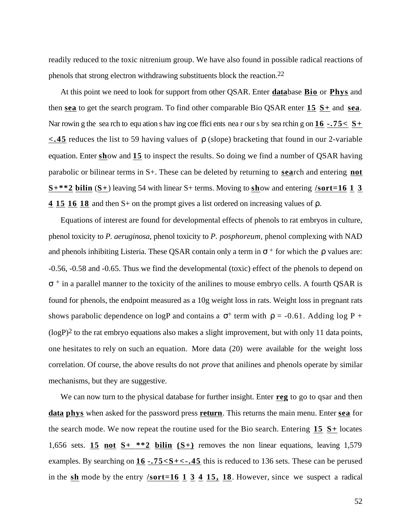readily reduced to the toxic nitrenium group. We have also found in possible radical reactions of phenols that strong electron withdrawing substituents block the reaction.22

At this point we need to look for support from other QSAR. Enter **data** base **Bio** or **Phys** and then **sea** to get the search program. To find other comparable Bio QSAR enter **15 S+** and **sea** . Nar rowin g the sea rch to equ ation s hav ing coe ffici ents nea r our s by sea rchin g on  $16 - 75 < S<sub>+</sub>$ **<.45** reduces the list to 59 having values of (slope) bracketing that found in our 2-variable equation. Enter **sh**ow and 15 to inspect the results. So doing we find a number of QSAR having parabolic or bilinear terms in S+. These can be deleted by returning to **sea**rch and entering **not**  $S^{***2}$  bilin  $(S^{+})$  leaving 54 with linear  $S^{+}$  terms. Moving to show and entering **/sort=16 1 3 4 15 16 18** and then S+ on the prompt gives a list ordered on increasing values of .

Equations of interest are found for developmental effects of phenols to rat embryos in culture, phenol toxicity to *P. aeruginosa,* phenol toxicity to *P. posphoreum,* phenol complexing with NAD and phenols inhibiting Listeria. These QSAR contain only a term in  $+$  for which the values are: -0.56, -0.58 and -0.65. Thus we find the developmental (toxic) effect of the phenols to depend on + in a parallel manner to the toxicity of the anilines to mouse embryo cells. A fourth QSAR is found for phenols, the endpoint measured as a 10g weight loss in rats. Weight loss in pregnant rats shows parabolic dependence on logP and contains a  $+$  term with  $= -0.61$ . Adding log P +  $(logP)^2$  to the rat embryo equations also makes a slight improvement, but with only 11 data points, one hesitates to rely on such an equation. More data (20) were available for the weight loss correlation. Of course, the above results do not *prove* that anilines and phenols operate by similar mechanisms, but they are suggestive.

We can now turn to the physical database for further insight. Enter **reg** to go to qsar and then **data phys** when asked for the password press **return** . This returns the main menu. Enter **sea** for the search mode. We now repeat the routine used for the Bio search. Entering **15 S+** locates 1,656 sets. **15 not S** $+$   $*$   $*$  **2 bilin** (S $+$ ) removes the non linear equations, leaving 1,579 examples. By searching on  $16 - 75 < S + < -0.45$  this is reduced to 136 sets. These can be perused in the **sh** mode by the entry **/sort=16 1 3 4 15, 18** . However, since we suspect a radical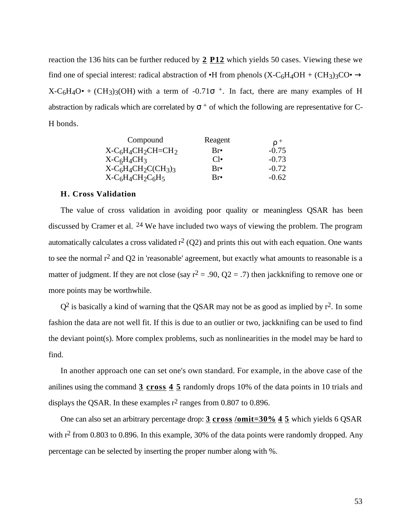reaction the 136 hits can be further reduced by **2 P12** which yields 50 cases. Viewing these we find one of special interest: radical abstraction of  $\bullet$ H from phenols (X-C<sub>6</sub>H<sub>4</sub>OH + (CH<sub>3</sub>)<sub>3</sub>CO $\bullet$  $X-C_6H_4O \bullet + (CH_3)_3(OH)$  with a term of -0.71 <sup>+</sup>. In fact, there are many examples of H abstraction by radicals which are correlated by  $+$  of which the following are representative for C-H bonds.

| Compound          | Reagent              |         |
|-------------------|----------------------|---------|
| $X-C6H4CH2CH=CH2$ | Br•                  | $-0.75$ |
| $X-C6H4CH3$       | $\bigcap$            | $-0.73$ |
| $X-C6H4CH2CCH3)3$ | Br <sub>•</sub>      | $-0.72$ |
| $X-C6H4CH2C6H5$   | $\operatorname{Rre}$ | $-0.62$ |

#### **H. Cross Validation**

The value of cross validation in avoiding poor quality or meaningless QSAR has been discussed by Cramer et al. 24 We have included two ways of viewing the problem. The program automatically calculates a cross validated  $r^2$  (Q2) and prints this out with each equation. One wants to see the normal  $r^2$  and Q2 in 'reasonable' agreement, but exactly what amounts to reasonable is a matter of judgment. If they are not close (say  $r^2 = .90$ , Q2 = .7) then jackknifing to remove one or more points may be worthwhile.

 $Q^2$  is basically a kind of warning that the QSAR may not be as good as implied by  $r^2$ . In some fashion the data are not well fit. If this is due to an outlier or two, jackknifing can be used to find the deviant point(s). More complex problems, such as nonlinearities in the model may be hard to find.

In another approach one can set one's own standard. For example, in the above case of the anilines using the command **3 cross 4 5** randomly drops 10% of the data points in 10 trials and displays the QSAR. In these examples  $r^2$  ranges from 0.807 to 0.896.

One can also set an arbitrary percentage drop: **3 cross /omit=30% 4 5** which yields 6 QSAR with  $r^2$  from 0.803 to 0.896. In this example, 30% of the data points were randomly dropped. Any percentage can be selected by inserting the proper number along with %.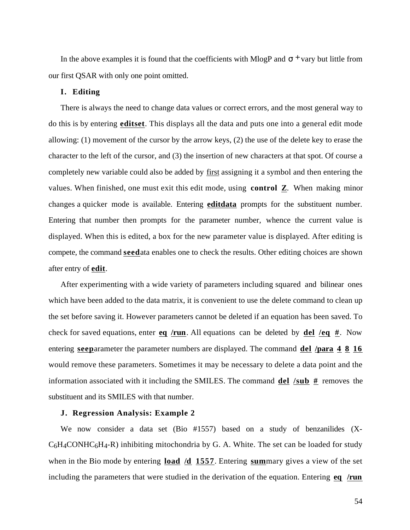In the above examples it is found that the coefficients with MlogP and <sup>+</sup> vary but little from our first QSAR with only one point omitted.

# **I. Editing**

There is always the need to change data values or correct errors, and the most general way to do this is by entering **editset** . This displays all the data and puts one into a general edit mode allowing: (1) movement of the cursor by the arrow keys, (2) the use of the delete key to erase the character to the left of the cursor, and (3) the insertion of new characters at that spot. Of course a completely new variable could also be added by first assigning it a symbol and then entering the values. When finished, one must exit this edit mode, using **control Z**. When making minor changes a quicker mode is available. Entering **editdata** prompts for the substituent number. Entering that number then prompts for the parameter number, whence the current value is displayed. When this is edited, a box for the new parameter value is displayed. After editing is compete, the command **seed** ata enables one to check the results. Other editing choices are shown after entry of **edit** .

After experimenting with a wide variety of parameters including squared and bilinear ones which have been added to the data matrix, it is convenient to use the delete command to clean up the set before saving it. However parameters cannot be deleted if an equation has been saved. To check for saved equations, enter **eq /run** . All equations can be deleted by **del /eq #** . Now entering **seep** arameter the parameter numbers are displayed. The command **del /para 4 8 16**  would remove these parameters. Sometimes it may be necessary to delete a data point and the information associated with it including the SMILES. The command **del /sub #** removes the substituent and its SMILES with that number.

#### **J. Regression Analysis: Example 2**

We now consider a data set (Bio #1557) based on a study of benzanilides (X- $C_6H_4COMHC_6H_4-R$ ) inhibiting mitochondria by G. A. White. The set can be loaded for study when in the Bio mode by entering **load /d 1557** . Entering **sum** mary gives a view of the set including the parameters that were studied in the derivation of the equation. Entering **eq /run**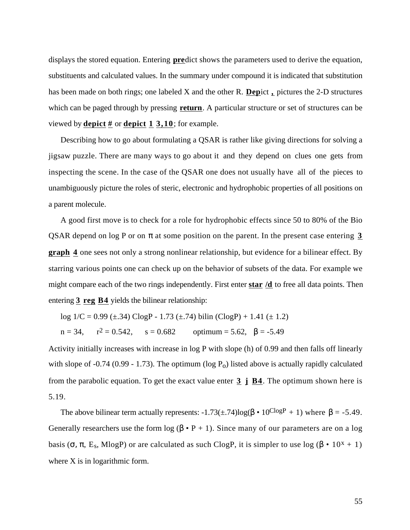displays the stored equation. Entering **pre** dict shows the parameters used to derive the equation, substituents and calculated values. In the summary under compound it is indicated that substitution has been made on both rings; one labeled X and the other R. **Depict**, pictures the 2-D structures which can be paged through by pressing **return**. A particular structure or set of structures can be viewed by **depict #** or **depict 1 3,10** ; for example.

Describing how to go about formulating a QSAR is rather like giving directions for solving a jigsaw puzzle. There are many ways to go about it and they depend on clues one gets from inspecting the scene. In the case of the QSAR one does not usually have all of the pieces to unambiguously picture the roles of steric, electronic and hydrophobic properties of all positions on a parent molecule.

A good first move is to check for a role for hydrophobic effects since 50 to 80% of the Bio QSAR depend on log P or on at some position on the parent. In the present case entering **3 graph 4** one sees not only a strong nonlinear relationship, but evidence for a bilinear effect. By starring various points one can check up on the behavior of subsets of the data. For example we might compare each of the two rings independently. First enter **star /d** to free all data points. Then entering **3 reg B4** yields the bilinear relationship:

log  $1/C = 0.99 \ (\pm .34) \text{ ClogP} - 1.73 \ (\pm .74) \text{ bilin} (\text{ClogP}) + 1.41 \ (\pm 1.2)$  $n = 34$ ,  $r^2 = 0.542$ ,  $s = 0.682$  $\text{optimum} = 5.62, \quad = -5.49$ 

Activity initially increases with increase in log P with slope (h) of 0.99 and then falls off linearly with slope of -0.74 (0.99 - 1.73). The optimum ( $log P_0$ ) listed above is actually rapidly calculated from the parabolic equation. To get the exact value enter **3 j B4** . The optimum shown here is 5.19.

The above bilinear term actually represents:  $-1.73(\pm .74) \log(-10^{\text{ClogP}} + 1)$  where = -5.49. Generally researchers use the form  $log(-P+1)$ . Since many of our parameters are on a log basis (, , E<sub>s</sub>, MlogP) or are calculated as such ClogP, it is simpler to use log ( $\cdot 10^{x} + 1$ ) where X is in logarithmic form.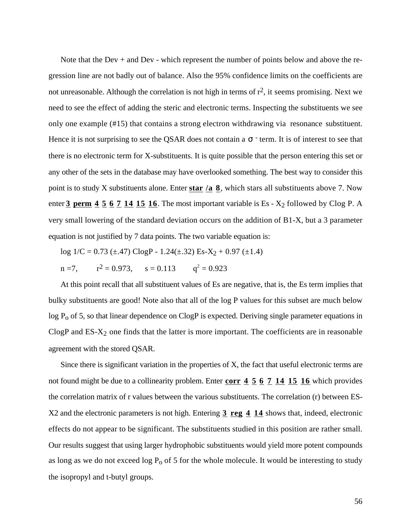Note that the Dev + and Dev - which represent the number of points below and above the regression line are not badly out of balance. Also the 95% confidence limits on the coefficients are not unreasonable. Although the correlation is not high in terms of  $r^2$ , it seems promising. Next we need to see the effect of adding the steric and electronic terms. Inspecting the substituents we see only one example (#15) that contains a strong electron withdrawing via resonance substituent. Hence it is not surprising to see the QSAR does not contain a <sup>-</sup> term. It is of interest to see that there is no electronic term for X-substituents. It is quite possible that the person entering this set or any other of the sets in the database may have overlooked something. The best way to consider this point is to study X substituents alone. Enter star /a  $\frac{8}{10}$ , which stars all substituents above 7. Now enter  $\frac{3}{2}$  perm  $\frac{4}{5}$   $\frac{5}{2}$   $\frac{7}{14}$   $\frac{15}{15}$   $\frac{16}{16}$ . The most important variable is Es -  $X_2$  followed by Clog P. A very small lowering of the standard deviation occurs on the addition of B1-X, but a 3 parameter equation is not justified by 7 data points. The two variable equation is:

log  $1/C = 0.73$  (±.47) ClogP -  $1.24$ (±.32) Es-X<sub>2</sub> + 0.97 (±1.4)  $n = 7$ .  $2 = 0.973$ ,  $s = 0.113$   $q^2 = 0.923$ 

At this point recall that all substituent values of Es are negative, that is, the Es term implies that bulky substituents are good! Note also that all of the log P values for this subset are much below  $log P<sub>o</sub>$  of 5, so that linear dependence on ClogP is expected. Deriving single parameter equations in ClogP and  $ES-X<sub>2</sub>$  one finds that the latter is more important. The coefficients are in reasonable agreement with the stored QSAR.

Since there is significant variation in the properties of X, the fact that useful electronic terms are not found might be due to a collinearity problem. Enter **corr 4 5 6 7 14 15 16** which provides the correlation matrix of r values between the various substituents. The correlation (r) between ES-X2 and the electronic parameters is not high. Entering **3 reg 4 14** shows that, indeed, electronic effects do not appear to be significant. The substituents studied in this position are rather small. Our results suggest that using larger hydrophobic substituents would yield more potent compounds as long as we do not exceed log  $P_0$  of 5 for the whole molecule. It would be interesting to study the isopropyl and t-butyl groups.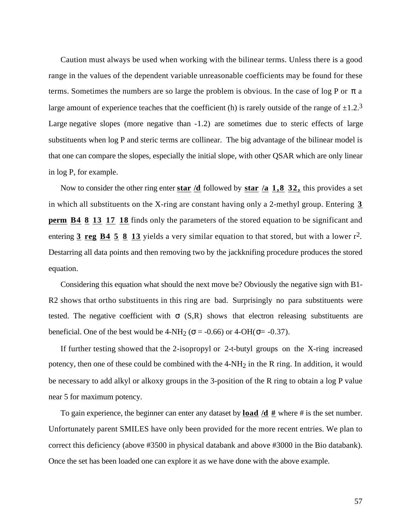Caution must always be used when working with the bilinear terms. Unless there is a good range in the values of the dependent variable unreasonable coefficients may be found for these terms. Sometimes the numbers are so large the problem is obvious. In the case of log P or a large amount of experience teaches that the coefficient (h) is rarely outside of the range of  $\pm 1.2$ .<sup>3</sup> Large negative slopes (more negative than -1.2) are sometimes due to steric effects of large substituents when log P and steric terms are collinear. The big advantage of the bilinear model is that one can compare the slopes, especially the initial slope, with other QSAR which are only linear in log P, for example.

Now to consider the other ring enter **star /d** followed by **star /a 1,8 32,** this provides a set in which all substituents on the X-ring are constant having only a 2-methyl group. Entering **3 perm B4 8 13 17 18** finds only the parameters of the stored equation to be significant and entering **3 reg B4 5 8 13** yields a very similar equation to that stored, but with a lower r2. Destarring all data points and then removing two by the jackknifing procedure produces the stored equation.

Considering this equation what should the next move be? Obviously the negative sign with B1- R2 shows that ortho substituents in this ring are bad. Surprisingly no para substituents were tested. The negative coefficient with  $(S,R)$  shows that electron releasing substituents are beneficial. One of the best would be  $4-NH_2$  ( = -0.66) or  $4-OH$  ( = -0.37).

If further testing showed that the 2-isopropyl or 2-t-butyl groups on the X-ring increased potency, then one of these could be combined with the 4-NH<sub>2</sub> in the R ring. In addition, it would be necessary to add alkyl or alkoxy groups in the 3-position of the R ring to obtain a log P value near 5 for maximum potency.

To gain experience, the beginner can enter any dataset by **load /d #** where # is the set number. Unfortunately parent SMILES have only been provided for the more recent entries. We plan to correct this deficiency (above #3500 in physical databank and above #3000 in the Bio databank). Once the set has been loaded one can explore it as we have done with the above example.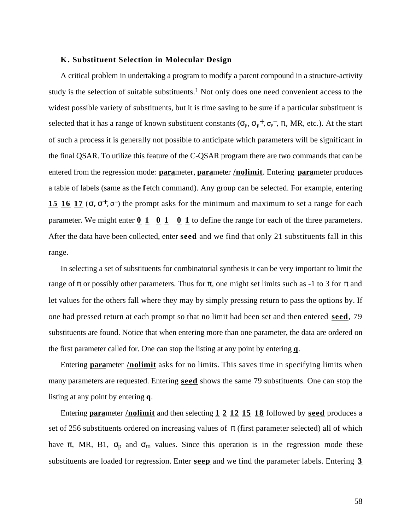#### **K. Substituent Selection in Molecular Design**

A critical problem in undertaking a program to modify a parent compound in a structure-activity study is the selection of suitable substituents.<sup>1</sup> Not only does one need convenient access to the widest possible variety of substituents, but it is time saving to be sure if a particular substituent is selected that it has a range of known substituent constants  $(\rho_{\rm p} - \rho_{\rm p}^+)$ , MR, etc.). At the start of such a process it is generally not possible to anticipate which parameters will be significant in the final QSAR. To utilize this feature of the C-QSAR program there are two commands that can be entered from the regression mode: **para** meter, **parameter** /**nolimit**. Entering **para** meter produces a table of labels (same as the **f** etch command). Any group can be selected. For example, entering **15 16 17**  $\left($ ,  $\frac{+}{2}$ ,  $\frac{+}{2}$  the prompt asks for the minimum and maximum to set a range for each parameter. We might enter  $\underline{0}$   $\underline{1}$   $\underline{0}$   $\underline{1}$   $\underline{0}$   $\underline{1}$  to define the range for each of the three parameters. After the data have been collected, enter **seed** and we find that only 21 substituents fall in this range.

In selecting a set of substituents for combinatorial synthesis it can be very important to limit the range of or possibly other parameters. Thus for , one might set limits such as -1 to 3 for and let values for the others fall where they may by simply pressing return to pass the options by. If one had pressed return at each prompt so that no limit had been set and then entered **seed** , 79 substituents are found. Notice that when entering more than one parameter, the data are ordered on the first parameter called for. One can stop the listing at any point by entering **q** .

Entering **para** meter **/nolimit** asks for no limits. This saves time in specifying limits when many parameters are requested. Entering **seed** shows the same 79 substituents. One can stop the listing at any point by entering **q**.

Entering **para** meter **/nolimit** and then selecting **1 2 12 15 18** followed by **seed** produces a set of 256 substituents ordered on increasing values of (first parameter selected) all of which have , MR, B1,  $_p$  and  $_m$  values. Since this operation is in the regression mode these substituents are loaded for regression. Enter **seep** and we find the parameter labels. Entering **3**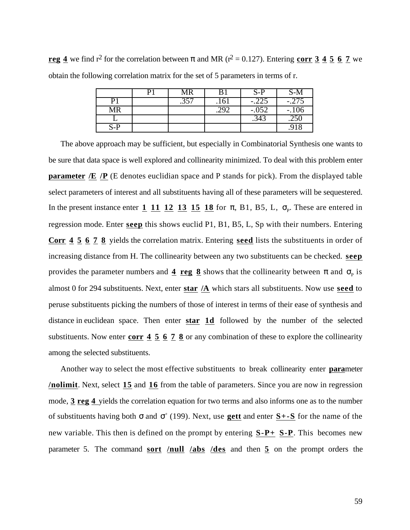**reg 4** we find  $r^2$  for the correlation between and MR ( $r^2 = 0.127$ ). Entering **corr 3 4 5 6 7** we obtain the following correlation matrix for the set of 5 parameters in terms of r.

|     | D١ | <b>MR</b> | B1   | $S-P$   | S-M     |
|-----|----|-----------|------|---------|---------|
| P1  |    | .357      | .161 | $-.225$ | $-.275$ |
| MR  |    |           | .292 | $-.052$ | $-.106$ |
|     |    |           |      | .343    | .250    |
| S-P |    |           |      |         | .918    |

The above approach may be sufficient, but especially in Combinatorial Synthesis one wants to be sure that data space is well explored and collinearity minimized. To deal with this problem enter **parameter /E /P** (E denotes euclidian space and P stands for pick). From the displayed table select parameters of interest and all substituents having all of these parameters will be sequestered. In the present instance enter  $1 \t11 \t12 \t13 \t15 \t18$  for , B1, B5, L, <sub>P</sub>. These are entered in regression mode. Enter **seep** this shows euclid P1, B1, B5, L, Sp with their numbers. Entering **Corr 4 5 6 7 8** yields the correlation matrix. Entering **seed** lists the substituents in order of increasing distance from H. The collinearity between any two substituents can be checked. **seep**  provides the parameter numbers and  $\frac{4}{9}$  reg  $\frac{8}{9}$  shows that the collinearity between and  $\mu$  is almost 0 for 294 substituents. Next, enter **star /A** which stars all substituents. Now use **seed** to peruse substituents picking the numbers of those of interest in terms of their ease of synthesis and distance in euclidean space. Then enter **star 1d** followed by the number of the selected substituents. Now enter **corr 4 5 6 7 8** or any combination of these to explore the collinearity among the selected substituents.

Another way to select the most effective substituents to break collinearity enter **para** meter **/ nolimit** . Next, select **15** and **16** from the table of parameters. Since you are now in regression mode, **3 reg 4** yields the correlation equation for two terms and also informs one as to the number of substituents having both and <sup>+</sup> (199). Next, use **gett** and enter **S+-S** for the name of the new variable. This then is defined on the prompt by entering  $S-P+ S-P$ . This becomes new parameter 5. The command **sort /null /abs /des** and then **5** on the prompt orders the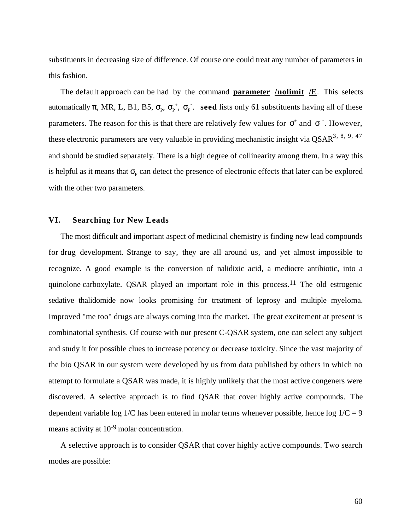substituents in decreasing size of difference. Of course one could treat any number of parameters in this fashion.

The default approach can be had by the command **parameter /nolimit /E**. This selects automatically , MR, L, B1, B5,  $_{P}$ ,  $_{P}^{+}$ ,  $_{P}^{-}$ . **seed** lists only 61 substituents having all of these parameters. The reason for this is that there are relatively few values for  $+$  and  $-$ . However, these electronic parameters are very valuable in providing mechanistic insight via  $\text{QSAR}^3$ ,  $8$ ,  $9$ ,  $47$ and should be studied separately. There is a high degree of collinearity among them. In a way this is helpful as it means that  $_{P}$  can detect the presence of electronic effects that later can be explored with the other two parameters.

#### **VI. Searching for New Leads**

The most difficult and important aspect of medicinal chemistry is finding new lead compounds for drug development. Strange to say, they are all around us, and yet almost impossible to recognize. A good example is the conversion of nalidixic acid, a mediocre antibiotic, into a quinolone carboxylate. QSAR played an important role in this process.11 The old estrogenic sedative thalidomide now looks promising for treatment of leprosy and multiple myeloma. Improved "me too" drugs are always coming into the market. The great excitement at present is combinatorial synthesis. Of course with our present C-QSAR system, one can select any subject and study it for possible clues to increase potency or decrease toxicity. Since the vast majority of the bio QSAR in our system were developed by us from data published by others in which no attempt to formulate a QSAR was made, it is highly unlikely that the most active congeners were discovered. A selective approach is to find QSAR that cover highly active compounds. The dependent variable log  $1/C$  has been entered in molar terms whenever possible, hence log  $1/C = 9$ means activity at 10-9 molar concentration.

A selective approach is to consider QSAR that cover highly active compounds. Two search modes are possible: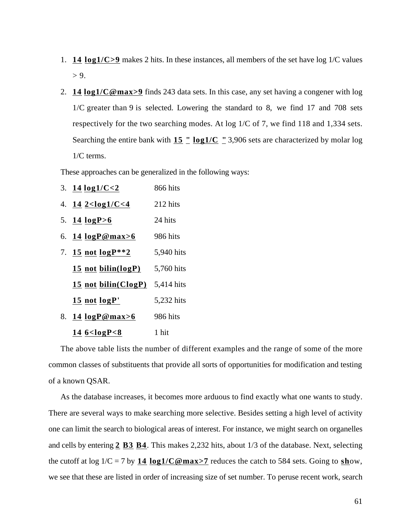- 1. **14 log1/C>9** makes 2 hits. In these instances, all members of the set have log 1/C values  $> 9.$
- 2. **14 log1/C@max>9** finds 243 data sets. In this case, any set having a congener with log 1/C greater than 9 is selected. Lowering the standard to 8, we find 17 and 708 sets respectively for the two searching modes. At log 1/C of 7, we find 118 and 1,334 sets. Searching the entire bank with **15 " log1/C "** 3,906 sets are characterized by molar log 1/C terms.

These approaches can be generalized in the following ways:

|    | 3. 14 $log1/C < 2$             | 866 hits   |
|----|--------------------------------|------------|
|    | 4. $14 \frac{2 < log1}{C < 4}$ | 212 hits   |
|    | 5. 14 $logP>6$                 | 24 hits    |
|    | 6. $14 \log P@max>6$           | 986 hits   |
|    | 7. 15 not $logP^{**}2$         | 5,940 hits |
|    | 15 not bilin( $log P$ )        | 5,760 hits |
|    | 15 not bilin( $ClogP$ )        | 5,414 hits |
|    | 15 not logP'                   | 5,232 hits |
| 8. | 14 logP@max>6                  | 986 hits   |
|    | 14 $6 < logP < 8$              | 1 hit      |

The above table lists the number of different examples and the range of some of the more common classes of substituents that provide all sorts of opportunities for modification and testing of a known QSAR.

As the database increases, it becomes more arduous to find exactly what one wants to study. There are several ways to make searching more selective. Besides setting a high level of activity one can limit the search to biological areas of interest. For instance, we might search on organelles and cells by entering **2 B3 B4** . This makes 2,232 hits, about 1/3 of the database. Next, selecting the cutoff at log  $1/C = 7$  by **14 log1/C@max>7** reduces the catch to 584 sets. Going to **sh**ow, we see that these are listed in order of increasing size of set number. To peruse recent work, search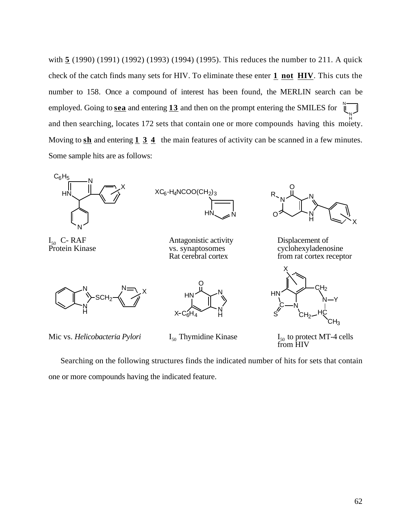employed. Going to **sea** and entering  $\overline{13}$  and then on the prompt entering the SMILES for  $\overline{\mathbb{I}}$ N and then searching, locates 172 sets that contain one or more compounds having this moiety. with **5** (1990) (1991) (1992) (1993) (1994) (1995). This reduces the number to 211. A quick check of the catch finds many sets for HIV. To eliminate these enter **1 not HIV** . This cuts the number to 158. Once a compound of interest has been found, the MERLIN search can be Moving to **sh** and entering **1 3 4** the main features of activity can be scanned in a few minutes. Some sample hits are as follows:



I<sub>50</sub> C- RAF<br>Protein Kinase



Antagonistic activity<br>
50 VS. Synaptosomes<br>
50 VS. Synaptosomes<br>
50 VS. Synaptosomes



vs. synaptosomes cyclohexyladenosine<br>
Rat cerebral cortex<br>
From rat cortex recent from rat cortex receptor

 $CH<sub>2</sub>$ 

HC N Y

X

N

 $CH<sub>2</sub>$ 

**HN** 

S

C



Mic vs. *Helicobacteria Pylori* 



 $I_{50}$  Thymidine Kinase

 $\mathsf{CH}_3$  $_{50}$  to protect MT-4 cells from HIV

Searching on the following structures finds the indicated number of hits for sets that contain one or more compounds having the indicated feature.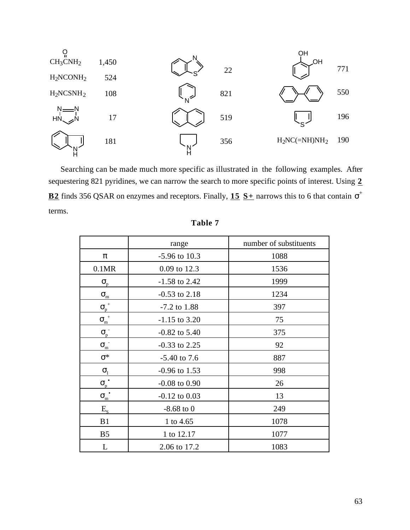

Searching can be made much more specific as illustrated in the following examples. After sequestering 821 pyridines, we can narrow the search to more specific points of interest. Using **2 B2** finds 356 QSAR on enzymes and receptors. Finally, **15** S<sub>+</sub> narrows this to 6 that contain <sup>+</sup> terms.

|                | range             | number of substituents |
|----------------|-------------------|------------------------|
|                | $-5.96$ to 10.3   | 1088                   |
| 0.1MR          | 0.09 to 12.3      | 1536                   |
| p              | $-1.58$ to 2.42   | 1999                   |
| $\mathbf m$    | $-0.53$ to 2.18   | 1234                   |
| $^{+}$<br>p    | $-7.2$ to 1.88    | 397                    |
| $\! +$<br>m    | $-1.15$ to 3.20   | 75                     |
| p              | $-0.82$ to 5.40   | 375                    |
| m              | $-0.33$ to 2.25   | 92                     |
| $\ast$         | $-5.40$ to 7.6    | 887                    |
| I              | $-0.96$ to 1.53   | 998                    |
| $\bullet$<br>p | $-0.08$ to $0.90$ | 26                     |
| m              | $-0.12$ to $0.03$ | 13                     |
| $E_{S}$        | $-8.68$ to 0      | 249                    |
| B1             | 1 to 4.65         | 1078                   |
| B <sub>5</sub> | 1 to 12.17        | 1077                   |
| L              | 2.06 to 17.2      | 1083                   |

# **Table 7**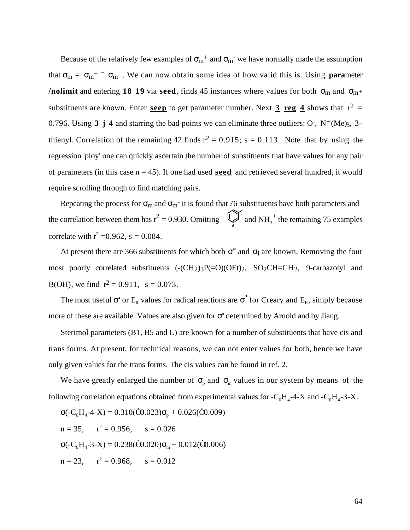Because of the relatively few examples of  $m^+$  and  $m^-$  we have normally made the assumption that  $_m = m^+ = m^-$ . We can now obtain some idea of how valid this is. Using **para**meter **<u>/nolimit</u>** and entering  $\frac{18}{19}$  via seed, finds 45 instances where values for both  $\frac{18}{19}$  m and  $\frac{14}{19}$ substituents are known. Enter seep to get parameter number. Next  $3 \text{ reg } 4$  shows that  $r^2 =$ 0.796. Using  $\frac{3}{4}$  **4** and starring the bad points we can eliminate three outliers: O<sup>-</sup>, N<sup>+</sup>(Me)<sub>3</sub>, 3thienyl. Correlation of the remaining 42 finds  $r^2 = 0.915$ ; s = 0.113. Note that by using the regression 'ploy' one can quickly ascertain the number of substituents that have values for any pair of parameters (in this case n = 45). If one had used **seed** and retrieved several hundred, it would require scrolling through to find matching pairs.

Repeating the process for  $m$  and  $m<sup>-</sup>$  it is found that 76 substituents have both parameters and the correlation between them has  $r^2 = 0.930$ . Omitting  $\begin{bmatrix} 1 \ 1 \end{bmatrix}$  and NH<sub>3</sub><sup>+</sup> the remaining 75 examples correlate with  $r^2 = 0.962$ , s = 0.084.

At present there are 366 substituents for which both  $*$  and I are known. Removing the four most poorly correlated substituents  $(-CH<sub>2</sub>)<sub>3</sub>P(=O)(OEt)<sub>2</sub>$ , SO<sub>2</sub>CH=CH<sub>2</sub>, 9-carbazolyl and  $B(OH)$ <sub>2</sub> we find  $r^2 = 0.911$ , s = 0.073.

The most useful • or  $E_R$  values for radical reactions are • for Creary and  $E_R$ , simply because more of these are available. Values are also given for **•** determined by Arnold and by Jiang.

Sterimol parameters (B1, B5 and L) are known for a number of substituents that have cis and trans forms. At present, for technical reasons, we can not enter values for both, hence we have only given values for the trans forms. The cis values can be found in ref. 2.

We have greatly enlarged the number of  $\int_{p}$  and  $\int_{m}$  values in our system by means of the following correlation equations obtained from experimental values for  $-C_6H_4$ -4-X and  $-C_6H_4$ -3-X.

$$
(-C_6H_4 - 4 - X) = 0.310(\hat{O}0.023)_{p} + 0.026(\hat{O}0.009)
$$
  
n = 35, r<sup>2</sup> = 0.956, s = 0.026  
(-C\_6H\_4 - 3 - X) = 0.238(\hat{O}0.020)\_{m} + 0.012(\hat{O}0.006)  
n = 23, r<sup>2</sup> = 0.968, s = 0.012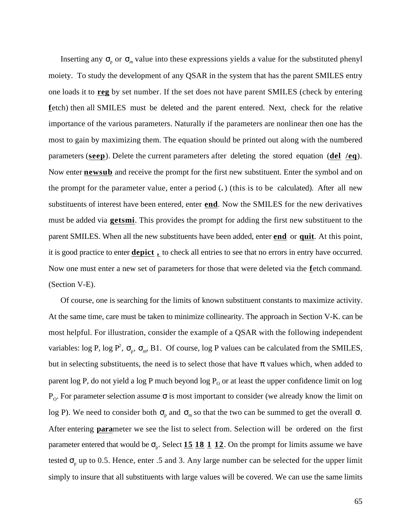Inserting any  $p_{\text{p}}$  or  $p_{\text{m}}$  value into these expressions yields a value for the substituted phenyl moiety. To study the development of any QSAR in the system that has the parent SMILES entry one loads it to **reg** by set number. If the set does not have parent SMILES (check by entering fetch) then all SMILES must be deleted and the parent entered. Next, check for the relative importance of the various parameters. Naturally if the parameters are nonlinear then one has the most to gain by maximizing them. The equation should be printed out along with the numbered parameters (**seep** ). Delete the current parameters after deleting the stored equation (**del /eq** ). Now enter **newsub** and receive the prompt for the first new substituent. Enter the symbol and on the prompt for the parameter value, enter a period (**.** ) (this is to be calculated). After all new substituents of interest have been entered, enter **end** . Now the SMILES for the new derivatives must be added via **getsmi**. This provides the prompt for adding the first new substituent to the parent SMILES. When all the new substituents have been added, enter **end** or **quit** . At this point, it is good practice to enter **depict ,** to check all entries to see that no errors in entry have occurred. Now one must enter a new set of parameters for those that were deleted via the fetch command. (Section V-E).

Of course, one is searching for the limits of known substituent constants to maximize activity. At the same time, care must be taken to minimize collinearity. The approach in Section V-K. can be most helpful. For illustration, consider the example of a QSAR with the following independent variables: log P, log P<sup>2</sup>,  $_{p}$ ,  $_{m}$ , B1. Of course, log P values can be calculated from the SMILES, but in selecting substituents, the need is to select those that have values which, when added to parent log P, do not yield a log P much beyond log  $P_0$  or at least the upper confidence limit on log P<sub>o</sub>. For parameter selection assume is most important to consider (we already know the limit on log P). We need to consider both  $_{p}$  and  $_{m}$  so that the two can be summed to get the overall. After entering **para**meter we see the list to select from. Selection will be ordered on the first parameter entered that would be  $_{p}$ . Select  $\underline{15}$   $\underline{18}$   $\underline{1}$   $\underline{12}$ . On the prompt for limits assume we have tested  $_{\text{p}}$  up to 0.5. Hence, enter .5 and 3. Any large number can be selected for the upper limit simply to insure that all substituents with large values will be covered. We can use the same limits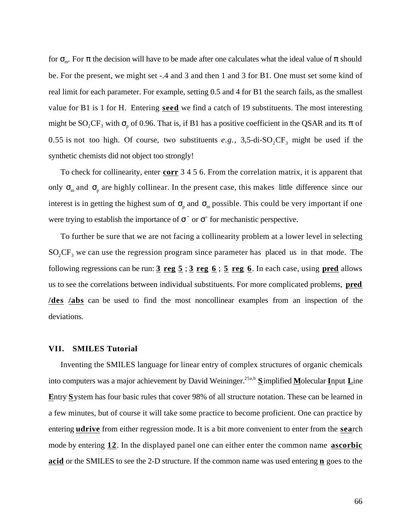for  $\mathbb{R}^m$ . For the decision will have to be made after one calculates what the ideal value of should be. For the present, we might set -.4 and 3 and then 1 and 3 for B1. One must set some kind of real limit for each parameter. For example, setting 0.5 and 4 for B1 the search fails, as the smallest value for B1 is 1 for H. Entering **seed** we find a catch of 19 substituents. The most interesting might be  $SO_2CF_3$  with  $p$  of 0.96. That is, if B1 has a positive coefficient in the QSAR and its of 0.55 is not too high. Of course, two substituents  $e.g., 3,5$ -di-SO<sub>2</sub>CF<sub>3</sub> might be used if the synthetic chemists did not object too strongly!

To check for collinearity, enter **corr** 3 4 5 6. From the correlation matrix, it is apparent that only  $\mu$  and  $\mu$  are highly collinear. In the present case, this makes little difference since our interest is in getting the highest sum of  $\int_{p}$  and  $\int_{m}$  possible. This could be very important if one were trying to establish the importance of  $\overline{\phantom{a}}$  or  $\overline{\phantom{a}}$  for mechanistic perspective.

To further be sure that we are not facing a collinearity problem at a lower level in selecting  $SO_2CF_3$  we can use the regression program since parameter has placed us in that mode. The following regressions can be run: **3 reg 5** ; **3 reg 6** ; **5 reg 6** . In each case, using **pred** allows us to see the correlations between individual substituents. For more complicated problems, **pred / des /abs** can be used to find the most noncollinear examples from an inspection of the deviations.

#### **VII. SMILES Tutorial**

Inventing the SMILES language for linear entry of complex structures of organic chemicals into computers was a major achievement by David Weininger.<sup>25a,b</sup> Simplified Molecular Input Line Entry System has four basic rules that cover 98% of all structure notation. These can be learned in a few minutes, but of course it will take some practice to become proficient. One can practice by entering **udrive** from either regression mode. It is a bit more convenient to enter from the **search** mode by entering **12** . In the displayed panel one can either enter the common name **ascorbic acid** or the SMILES to see the 2-D structure. If the common name was used entering **n** goes to the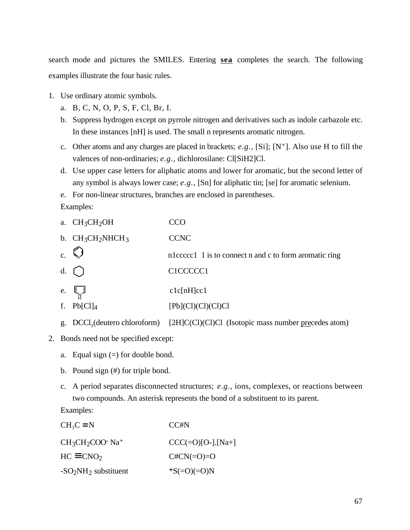search mode and pictures the SMILES. Entering **sea** completes the search. The following examples illustrate the four basic rules.

- 1. Use ordinary atomic symbols.
	- a. B, C, N, O, P, S, F, Cl, Br, I.
	- b. Suppress hydrogen except on pyrrole nitrogen and derivatives such as indole carbazole etc. In these instances [nH] is used. The small n represents aromatic nitrogen.
	- c. Other atoms and any charges are placed in brackets; *e.g.,* [Si]; [N+]. Also use H to fill the valences of non-ordinaries; *e.g.,* dichlorosilane: Cl[SiH2]Cl.
	- d. Use upper case letters for aliphatic atoms and lower for aromatic, but the second letter of any symbol is always lower case; *e.g.,* [Sn] for aliphatic tin; [se] for aromatic selenium.
	- e. For non-linear structures, branches are enclosed in parentheses.

Examples:

|                | a. $CH3CH2OH$       | CCO                                                                                |
|----------------|---------------------|------------------------------------------------------------------------------------|
|                | b. $CH_3CH_2NHCH_3$ | <b>CCNC</b>                                                                        |
| $\mathbf{c}$ . |                     | n1cccc1 1 is to connect n and c to form aromatic ring                              |
|                | $d.$ ()             | C1CCCCC1                                                                           |
|                | e. $\mathbb{L}_{N}$ | clc[nH]cc1                                                                         |
|                | f. $Pb[Cl]_4$       | $[Pb]$ $(Cl)$ $(Cl)$ $Cl$ $Cl$ $Cl$                                                |
| g.             |                     | $DCCl_3$ (deutero chloroform) [2H]C(Cl)(Cl)Cl (Isotopic mass number precedes atom) |

- 2. Bonds need not be specified except:
	- a. Equal sign  $(=)$  for double bond.
	- b. Pound sign (#) for triple bond.
	- c. A period separates disconnected structures; *e.g.,* ions, complexes, or reactions between two compounds. An asterisk represents the bond of a substituent to its parent.

Examples:

| $CH3C$ N              | CC#N                |
|-----------------------|---------------------|
| $CH3CH2COO- Na+$      | $CCC(=O)[O-].[Na+]$ |
| $HC$ $CNO2$           | $C#CN(=O)=O$        |
| $-SO2NH2$ substituent | $^*S(=O)(=O)N$      |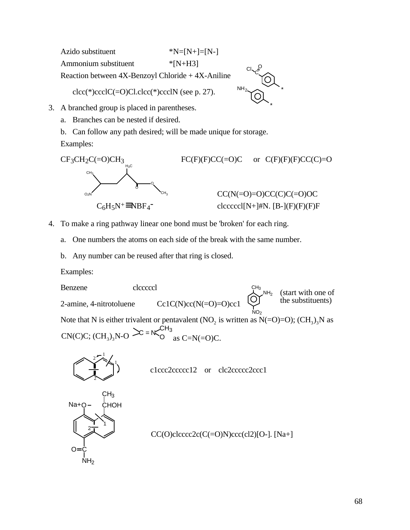$NH<sub>2</sub>$ C. \*  $C<sub>1</sub>$ <sup>O</sup> Azido substituent  $*N=[N+]=[N-]$ Ammonium substituent \*[N+H3] Reaction between 4X-Benzoyl Chloride + 4X-Aniline  $clec(*)ccclC(=O)Cl. clec(*)ccclN$  (see p. 27).

- 3. A branched group is placed in parentheses.
	- a. Branches can be nested if desired.
	- b. Can follow any path desired; will be made unique for storage.

Examples:



\*

- 4. To make a ring pathway linear one bond must be 'broken' for each ring.
	- a. One numbers the atoms on each side of the break with the same number.
	- b. Any number can be reused after that ring is closed.

Examples:

NO2  $NH<sub>2</sub>$  $CH<sub>3</sub>$ Benzene clcccccl 2-amine, 4-nitrotoluene  $Cc1C(N)cc(N=O)=O)cc1$ Note that N is either trivalent or pentavalent (NO<sub>2</sub> is written as N(=O)=O);  $(CH_3)_3N$  as  $CN(C)C$ ;  $(CH_3)_3N-O \cong N_{O}^{CH_3}$  as  $C=N(=O)C$ . (start with one of the substituents)



c1ccc2ccccc12 or clc2ccccc2ccc1



 $CC(O)$ clccc $2c(C=O)$ N $)$ cc $c$ (cl2)[O-]. [Na+]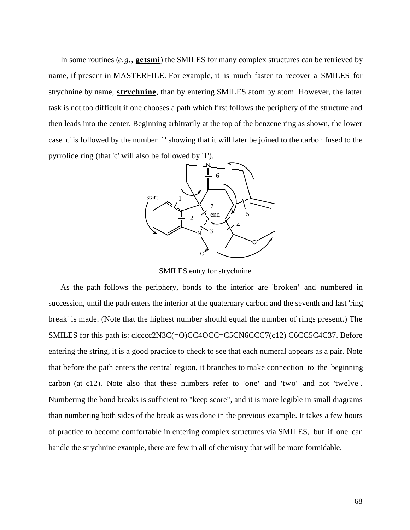In some routines (e.g., **getsmi**) the SMILES for many complex structures can be retrieved by name, if present in MASTERFILE. For example, it is much faster to recover a SMILES for strychnine by name, **strychnine**, than by entering SMILES atom by atom. However, the latter task is not too difficult if one chooses a path which first follows the periphery of the structure and then leads into the center. Beginning arbitrarily at the top of the benzene ring as shown, the lower case 'c' is followed by the number '1' showing that it will later be joined to the carbon fused to the pyrrolide ring (that 'c' will also be followed by '1').



SMILES entry for strychnine

As the path follows the periphery, bonds to the interior are 'broken' and numbered in succession, until the path enters the interior at the quaternary carbon and the seventh and last 'ring break' is made. (Note that the highest number should equal the number of rings present.) The SMILES for this path is: clcccc2N3C(=O)CC4OCC=C5CN6CCC7(c12) C6CC5C4C37. Before entering the string, it is a good practice to check to see that each numeral appears as a pair. Note that before the path enters the central region, it branches to make connection to the beginning carbon (at c12). Note also that these numbers refer to 'one' and 'two' and not 'twelve'. Numbering the bond breaks is sufficient to "keep score", and it is more legible in small diagrams than numbering both sides of the break as was done in the previous example. It takes a few hours of practice to become comfortable in entering complex structures via SMILES, but if one can handle the strychnine example, there are few in all of chemistry that will be more formidable.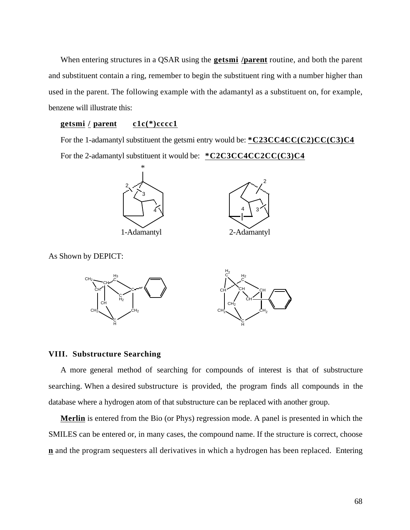When entering structures in a QSAR using the **getsmi /parent** routine, and both the parent and substituent contain a ring, remember to begin the substituent ring with a number higher than used in the parent. The following example with the adamantyl as a substituent on, for example, benzene will illustrate this:

# **getsmi / parent c1c(\*)cccc1**

For the 1-adamantyl substituent the getsmi entry would be: **\* C23CC4CC(C2)CC(C3)C4**  For the 2-adamantyl substituent it would be: **\* C2C3CC4CC2CC(C3)C4** 



As Shown by DEPICT:



#### **VIII. Substructure Searching**

A more general method of searching for compounds of interest is that of substructure searching. When a desired substructure is provided, the program finds all compounds in the database where a hydrogen atom of that substructure can be replaced with another group.

 **Merlin** is entered from the Bio (or Phys) regression mode. A panel is presented in which the SMILES can be entered or, in many cases, the compound name. If the structure is correct, choose **n** and the program sequesters all derivatives in which a hydrogen has been replaced. Entering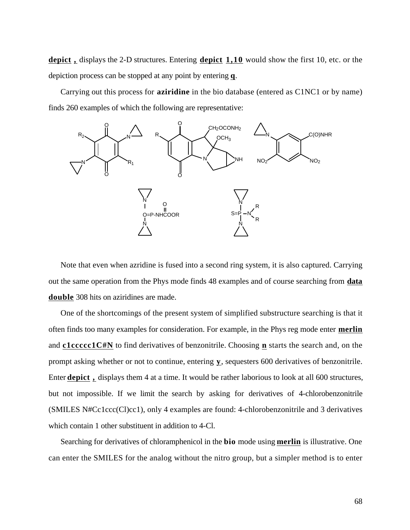**depict ,** displays the 2-D structures. Entering **depict 1,10** would show the first 10, etc. or the depiction process can be stopped at any point by entering **q** .

Carrying out this process for **aziridine** in the bio database (entered as C1NC1 or by name) finds 260 examples of which the following are representative:



Note that even when azridine is fused into a second ring system, it is also captured. Carrying out the same operation from the Phys mode finds 48 examples and of course searching from **data double** 308 hits on aziridines are made.

One of the shortcomings of the present system of simplified substructure searching is that it often finds too many examples for consideration. For example, in the Phys reg mode enter **merlin**  and **c1ccccc1C#N** to find derivatives of benzonitrile. Choosing **n** starts the search and, on the prompt asking whether or not to continue, entering **y**, sequesters 600 derivatives of benzonitrile. Enter **depict ,** displays them 4 at a time. It would be rather laborious to look at all 600 structures, but not impossible. If we limit the search by asking for derivatives of 4-chlorobenzonitrile (SMILES N#Cc1ccc(Cl)cc1), only 4 examples are found: 4-chlorobenzonitrile and 3 derivatives which contain 1 other substituent in addition to 4-Cl.

Searching for derivatives of chloramphenicol in the **bio** mode using **merlin** is illustrative. One can enter the SMILES for the analog without the nitro group, but a simpler method is to enter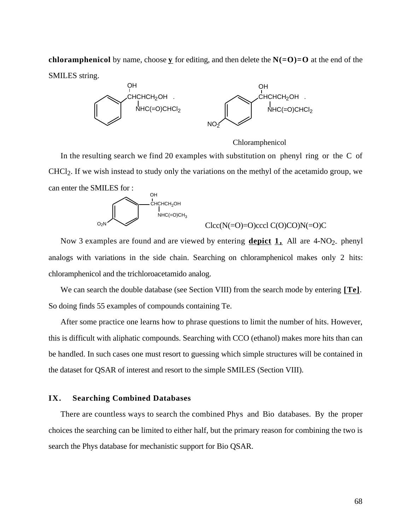**chloramphenicol** by name, choose **y** for editing, and then delete the  $N(-O)=O$  at the end of the SMILES string.



Chloramphenicol

 In the resulting search we find 20 examples with substitution on phenyl ring or the C of CHCl2. If we wish instead to study only the variations on the methyl of the acetamido group, we can enter the SMILES for :



 $Clcc(N(=O)=O)cccl C(O)CO)N(=O)C$ 

Now 3 examples are found and are viewed by entering **depict 1**, All are 4-NO<sub>2</sub> phenyl analogs with variations in the side chain. Searching on chloramphenicol makes only 2 hits: chloramphenicol and the trichloroacetamido analog.

We can search the double database (see Section VIII) from the search mode by entering [**Te**]. So doing finds 55 examples of compounds containing Te.

After some practice one learns how to phrase questions to limit the number of hits. However, this is difficult with aliphatic compounds. Searching with CCO (ethanol) makes more hits than can be handled. In such cases one must resort to guessing which simple structures will be contained in the dataset for QSAR of interest and resort to the simple SMILES (Section VIII).

# **IX. Searching Combined Databases**

There are countless ways to search the combined Phys and Bio databases. By the proper choices the searching can be limited to either half, but the primary reason for combining the two is search the Phys database for mechanistic support for Bio QSAR.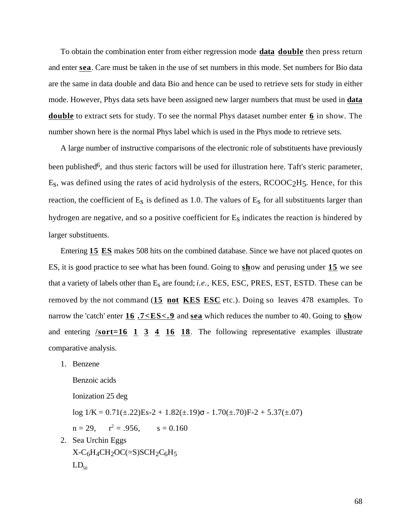To obtain the combination enter from either regression mode **data double** then press return and enter **sea** . Care must be taken in the use of set numbers in this mode. Set numbers for Bio data are the same in data double and data Bio and hence can be used to retrieve sets for study in either mode. However, Phys data sets have been assigned new larger numbers that must be used in **data double** to extract sets for study. To see the normal Phys dataset number enter **6** in show. The number shown here is the normal Phys label which is used in the Phys mode to retrieve sets.

A large number of instructive comparisons of the electronic role of substituents have previously been published<sup>6</sup>, and thus steric factors will be used for illustration here. Taft's steric parameter, Es, was defined using the rates of acid hydrolysis of the esters, RCOOC2H5. Hence, for this reaction, the coefficient of  $E_s$  is defined as 1.0. The values of  $E_s$  for all substituents larger than hydrogen are negative, and so a positive coefficient for  $E<sub>S</sub>$  indicates the reaction is hindered by larger substituents.

Entering **15 ES** makes 508 hits on the combined database. Since we have not placed quotes on ES, it is good practice to see what has been found. Going to **sh**ow and perusing under 15 we see that a variety of labels other than Es are found; *i.e.*, KES, ESC, PRES, EST, ESTD. These can be removed by the not command (**15 not KES ESC** etc.). Doing so leaves 478 examples. To narrow the 'catch' enter **16** .7<**ES**<.9 and **sea** which reduces the number to 40. Going to **show** and entering **/sort=16 1 3 4 16 18** . The following representative examples illustrate comparative analysis.

1. Benzene

Benzoic acids Ionization 25 deg log  $1/K = 0.71(\pm .22)Es - 2 + 1.82(\pm .19) - 1.70(\pm .70)F - 2 + 5.37(\pm .07)$  $n = 29$ ,  $r^2 = .956$ ,  $s = 0.160$ 2. Sea Urchin Eggs  $X-C_6H_4CH_2OC(=S)SCH_2C_6H_5$  $LD_{50}$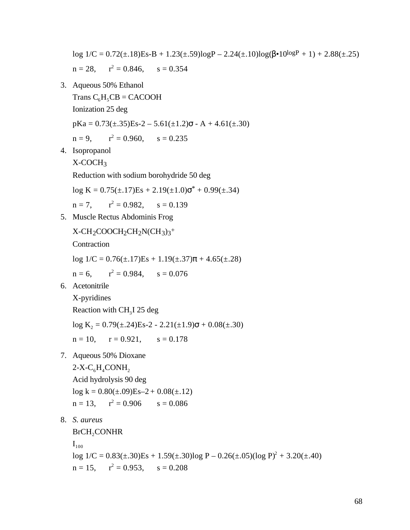log  $1/C = 0.72(\pm .18)$ Es-B +  $1.23(\pm .59)$ logP –  $2.24(\pm .10)$ log( $\cdot 10^{\log P}$  + 1) +  $2.88(\pm .25)$  $n = 28$ ,  $z^2 = 0.846$ ,  $s = 0.354$ 

- 3. Aqueous 50% Ethanol
	- Trans  $C_6H_5CB = CACOOH$

Ionization 25 deg

 $pKa = 0.73(\pm .35)Es-2 - 5.61(\pm 1.2) - A + 4.61(\pm .30)$ 

$$
n = 9
$$
,  $r^2 = 0.960$ ,  $s = 0.235$ 

4. Isopropanol

X-COCH3

Reduction with sodium borohydride 50 deg

 $log K = 0.75(\pm .17)Es + 2.19(\pm 1.0)^{*} + 0.99(\pm .34)$ 

 $n = 7$ ,  $r^2 = 0.982$ ,  $s = 0.139$ 

5. Muscle Rectus Abdominis Frog

```
X-CH<sub>2</sub>COOCH<sub>2</sub>CH<sub>2</sub>N(CH<sub>3</sub>)<sub>3</sub><sup>+</sup>
```
Contraction

 $log 1/C = 0.76(\pm .17)Es + 1.19(\pm .37) + 4.65(\pm .28)$ 

 $n = 6$ ,  $r^2 = 0.984$ ,  $s = 0.076$ 

6. Acetonitrile

X-pyridines Reaction with  $CH<sub>3</sub>I$  25 deg  $log K_2 = 0.79(\pm .24)Es-2 - 2.21(\pm 1.9) + 0.08(\pm .30)$  $n = 10$ ,  $r = 0.921$ ,  $s = 0.178$ 

7. Aqueous 50% Dioxane

 $2-X-C<sub>6</sub>H<sub>4</sub>$ CONH<sub>2</sub> Acid hydrolysis 90 deg  $log k = 0.80(\pm .09)Es - 2 + 0.08(\pm .12)$  $n = 13$ ,  $r^2 = 0.906$   $s = 0.086$ 

8. *S. aureus*

BrCH<sub>2</sub>CONHR

 $\mathbf{I}_{100}$ 

 $log 1/C = 0.83(\pm .30)Es + 1.59(\pm .30)log P - 0.26(\pm .05)(log P)^2 + 3.20(\pm .40)$  $n = 15$ ,  $r^2 = 0.953$ ,  $s = 0.208$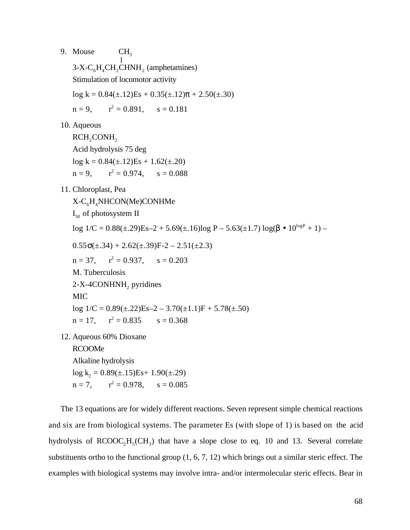9. Mouse CH<sub>3</sub>

l  $3-X-C<sub>6</sub>H<sub>4</sub>CH<sub>2</sub>CHNH<sub>2</sub>$  (amphetamines) Stimulation of locomotor activity

 $log k = 0.84(\pm.12)Es + 0.35(\pm.12) + 2.50(\pm.30)$ 

 $n = 9$ ,  $z^2 = 0.891,$  s = 0.181

10. Aqueous

RCH<sub>2</sub>CONH<sub>2</sub> Acid hydrolysis 75 deg  $log k = 0.84(\pm.12)Es + 1.62(\pm.20)$  $n = 9$ ,  $r^2 = 0.974$ ,  $s = 0.088$ 

11. Chloroplast, Pea

 $X-C<sub>6</sub>H<sub>4</sub>NHCON(Me)CONHMe$ 

I <sup>50</sup> of photosystem II

 $\log 1/C = 0.88(\pm .29)E_8 - 2 + 5.69(\pm .16)\log P - 5.63(\pm 1.7)\log(4.10^{\log P} + 1) -$ 

0.55  $(\pm .34) + 2.62(\pm .39)F - 2 - 2.51(\pm 2.3)$ 

 $n = 37$ ,  $r^2 = 0.937$ ,  $s = 0.203$ 

M. Tuberculosis

2-X-4CONHNH<sub>2</sub> pyridines

MIC

 $log 1/C = 0.89(\pm .22)Es - 2 - 3.70(\pm 1.1)F + 5.78(\pm .50)$  $n = 17$ ,  $r^2 = 0.835$   $s = 0.368$ 

12. Aqueous 60% Dioxane RCOOMe

> Alkaline hydrolysis  $log k_2 = 0.89(\pm .15)Es + 1.90(\pm .29)$  $n = 7$ ,  $r^2 = 0.978$ ,  $s = 0.085$

The 13 equations are for widely different reactions. Seven represent simple chemical reactions and six are from biological systems. The parameter Es (with slope of 1) is based on the acid hydrolysis of  $RCOOC<sub>2</sub>H<sub>5</sub>(CH<sub>3</sub>)$  that have a slope close to eq. 10 and 13. Several correlate substituents ortho to the functional group (1, 6, 7, 12) which brings out a similar steric effect. The examples with biological systems may involve intra- and/or intermolecular steric effects. Bear in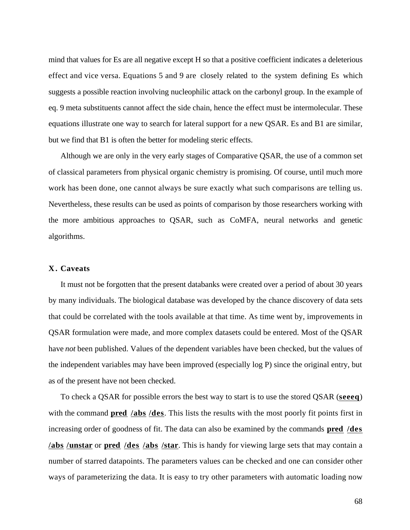mind that values for Es are all negative except H so that a positive coefficient indicates a deleterious effect and vice versa. Equations 5 and 9 are closely related to the system defining Es which suggests a possible reaction involving nucleophilic attack on the carbonyl group. In the example of eq. 9 meta substituents cannot affect the side chain, hence the effect must be intermolecular. These equations illustrate one way to search for lateral support for a new QSAR. Es and B1 are similar, but we find that B1 is often the better for modeling steric effects.

Although we are only in the very early stages of Comparative QSAR, the use of a common set of classical parameters from physical organic chemistry is promising. Of course, until much more work has been done, one cannot always be sure exactly what such comparisons are telling us. Nevertheless, these results can be used as points of comparison by those researchers working with the more ambitious approaches to QSAR, such as CoMFA, neural networks and genetic algorithms.

## **X . Caveats**

It must not be forgotten that the present databanks were created over a period of about 30 years by many individuals. The biological database was developed by the chance discovery of data sets that could be correlated with the tools available at that time. As time went by, improvements in QSAR formulation were made, and more complex datasets could be entered. Most of the QSAR have *not* been published. Values of the dependent variables have been checked, but the values of the independent variables may have been improved (especially log P) since the original entry, but as of the present have not been checked.

To check a QSAR for possible errors the best way to start is to use the stored QSAR (**seeeq** ) with the command **pred /abs /des**. This lists the results with the most poorly fit points first in increasing order of goodness of fit. The data can also be examined by the commands **pred /des / abs /unstar** or **pred /des /abs /star** . This is handy for viewing large sets that may contain a number of starred datapoints. The parameters values can be checked and one can consider other ways of parameterizing the data. It is easy to try other parameters with automatic loading now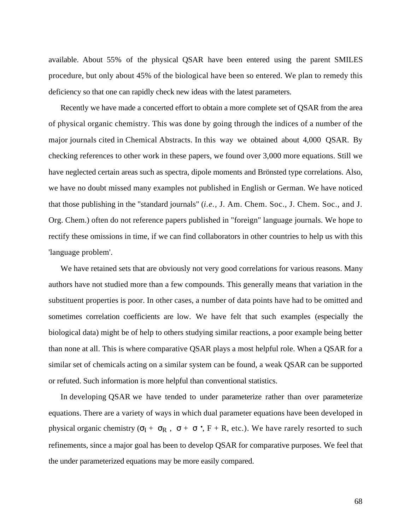available. About 55% of the physical QSAR have been entered using the parent SMILES procedure, but only about 45% of the biological have been so entered. We plan to remedy this deficiency so that one can rapidly check new ideas with the latest parameters.

Recently we have made a concerted effort to obtain a more complete set of QSAR from the area of physical organic chemistry. This was done by going through the indices of a number of the major journals cited in Chemical Abstracts. In this way we obtained about 4,000 QSAR. By checking references to other work in these papers, we found over 3,000 more equations. Still we have neglected certain areas such as spectra, dipole moments and Brönsted type correlations. Also, we have no doubt missed many examples not published in English or German. We have noticed that those publishing in the "standard journals" (*i.e.,* J. Am. Chem. Soc., J. Chem. Soc., and J. Org. Chem.) often do not reference papers published in "foreign" language journals. We hope to rectify these omissions in time, if we can find collaborators in other countries to help us with this 'language problem'.

We have retained sets that are obviously not very good correlations for various reasons. Many authors have not studied more than a few compounds. This generally means that variation in the substituent properties is poor. In other cases, a number of data points have had to be omitted and sometimes correlation coefficients are low. We have felt that such examples (especially the biological data) might be of help to others studying similar reactions, a poor example being better than none at all. This is where comparative QSAR plays a most helpful role. When a QSAR for a similar set of chemicals acting on a similar system can be found, a weak QSAR can be supported or refuted. Such information is more helpful than conventional statistics.

In developing QSAR we have tended to under parameterize rather than over parameterize equations. There are a variety of ways in which dual parameter equations have been developed in physical organic chemistry  $(1 + R, + \cdot)$  $\cdot$ , F + R, etc.). We have rarely resorted to such refinements, since a major goal has been to develop QSAR for comparative purposes. We feel that the under parameterized equations may be more easily compared.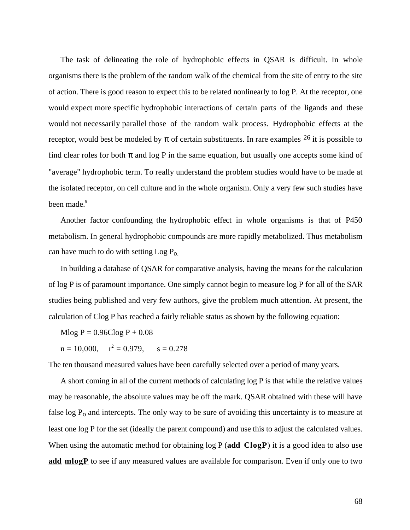The task of delineating the role of hydrophobic effects in QSAR is difficult. In whole organisms there is the problem of the random walk of the chemical from the site of entry to the site of action. There is good reason to expect this to be related nonlinearly to log P. At the receptor, one would expect more specific hydrophobic interactions of certain parts of the ligands and these would not necessarily parallel those of the random walk process. Hydrophobic effects at the receptor, would best be modeled by of certain substituents. In rare examples  $26$  it is possible to find clear roles for both and log P in the same equation, but usually one accepts some kind of "average" hydrophobic term. To really understand the problem studies would have to be made at the isolated receptor, on cell culture and in the whole organism. Only a very few such studies have been made.<sup>6</sup>

Another factor confounding the hydrophobic effect in whole organisms is that of P450 metabolism. In general hydrophobic compounds are more rapidly metabolized. Thus metabolism can have much to do with setting  $\text{Log } P_{\text{o}}$ .

In building a database of QSAR for comparative analysis, having the means for the calculation of log P is of paramount importance. One simply cannot begin to measure log P for all of the SAR studies being published and very few authors, give the problem much attention. At present, the calculation of Clog P has reached a fairly reliable status as shown by the following equation:

 $Mlog P = 0.96Clog P + 0.08$ 

 $n = 10,000,$   $r^2 = 0.979,$   $s = 0.278$ 

The ten thousand measured values have been carefully selected over a period of many years.

A short coming in all of the current methods of calculating log P is that while the relative values may be reasonable, the absolute values may be off the mark. QSAR obtained with these will have false  $\log P_0$  and intercepts. The only way to be sure of avoiding this uncertainty is to measure at least one log P for the set (ideally the parent compound) and use this to adjust the calculated values. When using the automatic method for obtaining  $\log P$  (add ClogP) it is a good idea to also use **add mlogP** to see if any measured values are available for comparison. Even if only one to two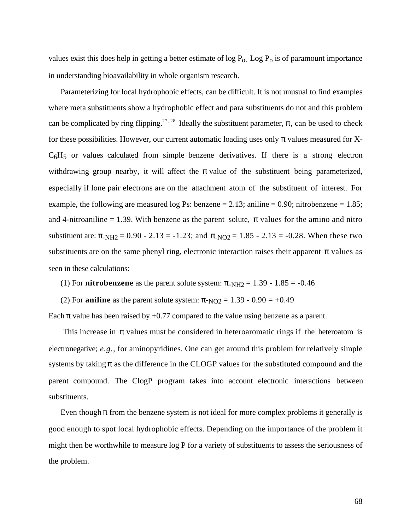values exist this does help in getting a better estimate of  $log P_0$ . Log  $P_0$  is of paramount importance in understanding bioavailability in whole organism research.

Parameterizing for local hydrophobic effects, can be difficult. It is not unusual to find examples where meta substituents show a hydrophobic effect and para substituents do not and this problem can be complicated by ring flipping.<sup>27, 28</sup> Ideally the substituent parameter, r, can be used to check for these possibilities. However, our current automatic loading uses only values measured for X- $C_6H_5$  or values calculated from simple benzene derivatives. If there is a strong electron withdrawing group nearby, it will affect the value of the substituent being parameterized, especially if lone pair electrons are on the attachment atom of the substituent of interest. For example, the following are measured log Ps: benzene  $= 2.13$ ; aniline  $= 0.90$ ; nitrobenzene  $= 1.85$ ; and 4-nitroaniline  $= 1.39$ . With benzene as the parent solute, values for the amino and nitro substituent are:  $N_{\text{H2}} = 0.90 - 2.13 = -1.23$ ; and  $N_{\text{O2}} = 1.85 - 2.13 = -0.28$ . When these two substituents are on the same phenyl ring, electronic interaction raises their apparent values as seen in these calculations:

(1) For **nitrobenzene** as the parent solute system:  $N_{\text{H2}} = 1.39 - 1.85 = -0.46$ 

(2) For **aniline** as the parent solute system:  $NQ_2 = 1.39 - 0.90 = +0.49$ 

Each value has been raised by  $+0.77$  compared to the value using benzene as a parent.

 This increase in values must be considered in heteroaromatic rings if the heteroatom is electronegative; *e.g.,* for aminopyridines. One can get around this problem for relatively simple systems by taking as the difference in the CLOGP values for the substituted compound and the parent compound. The ClogP program takes into account electronic interactions between substituents.

Even though from the benzene system is not ideal for more complex problems it generally is good enough to spot local hydrophobic effects. Depending on the importance of the problem it might then be worthwhile to measure log P for a variety of substituents to assess the seriousness of the problem.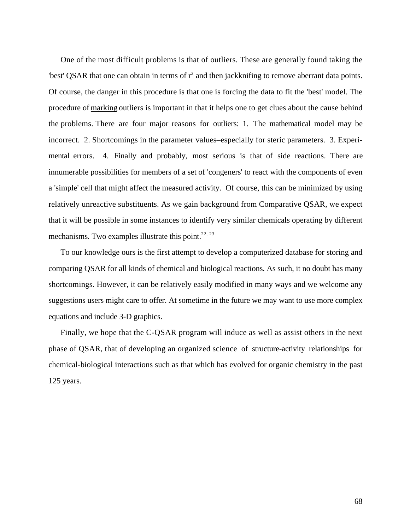One of the most difficult problems is that of outliers. These are generally found taking the 'best' QSAR that one can obtain in terms of  $r^2$  and then jackknifing to remove aberrant data points. Of course, the danger in this procedure is that one is forcing the data to fit the 'best' model. The procedure of marking outliers is important in that it helps one to get clues about the cause behind the problems. There are four major reasons for outliers: 1. The mathematical model may be incorrect. 2. Shortcomings in the parameter values–especially for steric parameters. 3. Experimental errors. 4. Finally and probably, most serious is that of side reactions. There are innumerable possibilities for members of a set of 'congeners' to react with the components of even a 'simple' cell that might affect the measured activity. Of course, this can be minimized by using relatively unreactive substituents. As we gain background from Comparative QSAR, we expect that it will be possible in some instances to identify very similar chemicals operating by different mechanisms. Two examples illustrate this point.<sup>22, 23</sup>

To our knowledge ours is the first attempt to develop a computerized database for storing and comparing QSAR for all kinds of chemical and biological reactions. As such, it no doubt has many shortcomings. However, it can be relatively easily modified in many ways and we welcome any suggestions users might care to offer. At sometime in the future we may want to use more complex equations and include 3-D graphics.

Finally, we hope that the C-QSAR program will induce as well as assist others in the next phase of QSAR, that of developing an organized science of structure-activity relationships for chemical-biological interactions such as that which has evolved for organic chemistry in the past 125 years.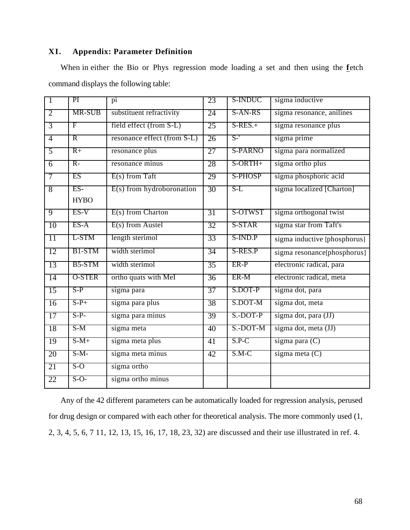# **XI. Appendix: Parameter Definition**

| When in either the Bio or Phys regression mode loading a set and then using the fetch |  |  |  |  |  |  |  |
|---------------------------------------------------------------------------------------|--|--|--|--|--|--|--|
| command displays the following table:                                                 |  |  |  |  |  |  |  |

| $\overline{1}$  | PI             | pi                          | 23              | S-INDUC        | sigma inductive                                  |
|-----------------|----------------|-----------------------------|-----------------|----------------|--------------------------------------------------|
| $\overline{2}$  | MR-SUB         | substituent refractivity    | 24              | S-AN-RS        | sigma resonance, anilines                        |
| $\overline{3}$  | F              | field effect (from S-L)     | 25              | $S-RES. +$     | sigma resonance plus                             |
| $\overline{4}$  | $\overline{R}$ | resonance effect (from S-L) | 26              | $S-$           | sigma prime                                      |
| $\overline{5}$  | $R+$           | resonance plus              | $\overline{27}$ | <b>S-PARNO</b> | sigma para normalized                            |
| $\overline{6}$  | $R-$           | resonance minus             | 28              | S-ORTH+        | sigma ortho plus                                 |
| 7               | ES             | $E(s)$ from Taft            | 29              | <b>S-PHOSP</b> | sigma phosphoric acid                            |
| 8               | $ES-$          | $E(s)$ from hydroboronation | 30              | $S-L$          | sigma localized [Charton]                        |
|                 | <b>HYBO</b>    |                             |                 |                |                                                  |
| $\overline{9}$  | $ES-V$         | $E(s)$ from Charton         | 31              | S-OTWST        | sigma orthogonal twist                           |
| 10              | $ES-A$         | $E(s)$ from Austel          | 32              | S-STAR         | sigma star from Taft's                           |
| 11              | L-STM          | length sterimol             | 33              | S-IND.P        | $\overline{\text{sigma}}$ inductive [phosphorus] |
| 12              | B1-STM         | width sterimol              | 34              | S-RES.P        | sigma resonance[phosphorus]                      |
| 13              | B5-STM         | width sterimol              | $\overline{35}$ | ER-P           | electronic radical, para                         |
| $\overline{14}$ | <b>O-STER</b>  | ortho quats with MeI        | 36              | ER-M           | electronic radical, meta                         |
| 15              | $S-P$          | sigma para                  | 37              | S.DOT-P        | sigma dot, para                                  |
| 16              | $S-P+$         | sigma para plus             | 38              | S.DOT-M        | sigma dot, meta                                  |
| 17              | $S-P-$         | sigma para minus            | 39              | S.-DOT-P       | sigma dot, para (JJ)                             |
| 18              | S-M            | sigma meta                  | 40              | S.-DOT-M       | sigma dot, meta (JJ)                             |
| 19              | $S-M+$         | sigma meta plus             | 41              | $S.P-C$        | sigma para (C)                                   |
| 20              | $S-M-$         | sigma meta minus            | 42              | $S.M-C$        | sigma meta $(C)$                                 |
| 21              | $S-O$          | sigma ortho                 |                 |                |                                                  |
| 22              | $S-O-$         | sigma ortho minus           |                 |                |                                                  |

Any of the 42 different parameters can be automatically loaded for regression analysis, perused for drug design or compared with each other for theoretical analysis. The more commonly used (1, 2, 3, 4, 5, 6, 7 11, 12, 13, 15, 16, 17, 18, 23, 32) are discussed and their use illustrated in ref. 4.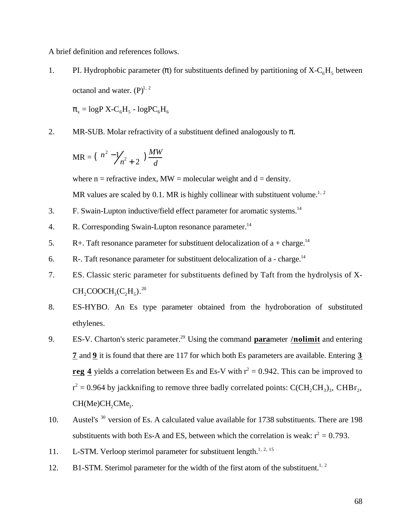A brief definition and references follows.

1. PI. Hydrophobic parameter () for substituents defined by partitioning of  $X-C_6H_5$  between octanol and water.  $(P)^{1, 2}$ 

 $_{\rm x}$  = logP X-C<sub>6</sub>H<sub>5</sub> - logPC<sub>6</sub>H<sub>6</sub>

2. MR-SUB. Molar refractivity of a substituent defined analogously to .

$$
MR = \left(\frac{n^2 - 1}{n^2 + 2}\right) \frac{MW}{d}
$$

where  $n =$  refractive index,  $MW =$  molecular weight and  $d =$  density.

MR values are scaled by 0.1. MR is highly collinear with substituent volume.<sup>1, 2</sup>

- 3. F. Swain-Lupton inductive/field effect parameter for aromatic systems.<sup>14</sup>
- 4. R. Corresponding Swain-Lupton resonance parameter.<sup>14</sup>
- 5. R+. Taft resonance parameter for substituent delocalization of  $a + charge$ .<sup>14</sup>
- 6. R-. Taft resonance parameter for substituent delocalization of a charge.<sup>14</sup>
- 7. ES. Classic steric parameter for substituents defined by Taft from the hydrolysis of X- $\mathrm{CH}_2\mathrm{COOCH}_3(\mathrm{C}_2\mathrm{H}_5)$ .<sup>20</sup>
- 8. ES-HYBO. An Es type parameter obtained from the hydroboration of substituted ethylenes.
- 9. ES-V. Charton's steric parameter.<sup>29</sup> Using the command **para** meter /**nolimit** and entering **7** and **9** it is found that there are 117 for which both Es parameters are available. Entering **3 reg 4** yields a correlation between Es and Es-V with  $r^2 = 0.942$ . This can be improved to  $r^2$  = 0.964 by jackknifing to remove three badly correlated points: C(CH<sub>2</sub>CH<sub>3</sub>)<sub>3</sub>, CHBr<sub>2</sub>,  $CH(Me)CH<sub>2</sub>CMe<sub>3</sub>$ .
- 10. Austel's <sup>30</sup> version of Es. A calculated value available for 1738 substituents. There are 198 substituents with both Es-A and ES, between which the correlation is weak:  $r^2 = 0.793$ .
- 11. L-STM. Verloop sterimol parameter for substituent length.<sup>1, 2, 15</sup>
- 12. B1-STM. Sterimol parameter for the width of the first atom of the substituent.<sup>1, 2</sup>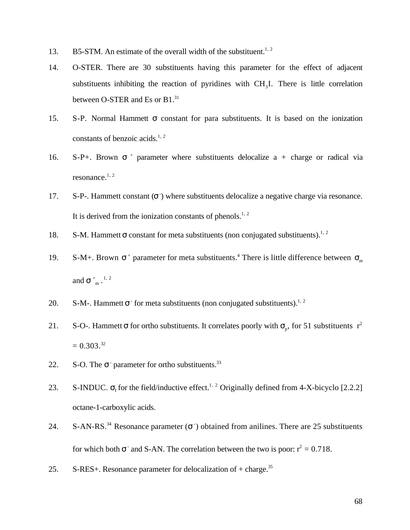- 13. B5-STM. An estimate of the overall width of the substituent.<sup>1, 2</sup>
- 14. O-STER. There are 30 substituents having this parameter for the effect of adjacent substituents inhibiting the reaction of pyridines with  $CH<sub>3</sub>I$ . There is little correlation between O-STER and Es or B1.<sup>31</sup>
- 15. S-P. Normal Hammett constant for para substituents. It is based on the ionization constants of benzoic acids.<sup>1, 2</sup>
- 16.  $S-P+$ . Brown  $+$  parameter where substituents delocalize a  $+$  charge or radical via resonance. $1, 2$
- 17. S-P-. Hammett constant ( $\overline{\phantom{a}}$ ) where substituents delocalize a negative charge via resonance. It is derived from the ionization constants of phenols.<sup>1, 2</sup>
- 18. S-M. Hammett constant for meta substituents (non conjugated substituents).<sup>1, 2</sup>
- 19. S-M+. Brown  $+$  parameter for meta substituents.<sup>4</sup> There is little difference between  $\mu$ and  $\frac{1}{m}$ .<sup>1, 2</sup>
- 20. S-M-. Hammett for meta substituents (non conjugated substituents).<sup>1, 2</sup>
- 21. S-O-. Hammett for ortho substituents. It correlates poorly with  $\frac{1}{p}$ , for 51 substituents r<sup>2</sup>  $= 0.303^{32}$
- 22. S-O. The parameter for ortho substituents.<sup>33</sup>
- 23. S-INDUC.  $_{I}$  for the field/inductive effect.<sup>1, 2</sup> Originally defined from 4-X-bicyclo [2.2.2] octane-1-carboxylic acids.
- 24. S-AN-RS.<sup>34</sup> Resonance parameter ( $\overline{\phantom{a}}$ ) obtained from anilines. There are 25 substituents for which both  $\overline{\phantom{a}}$  and S-AN. The correlation between the two is poor:  $r^2 = 0.718$ .
- 25. S-RES+. Resonance parameter for delocalization of  $+$  charge.<sup>35</sup>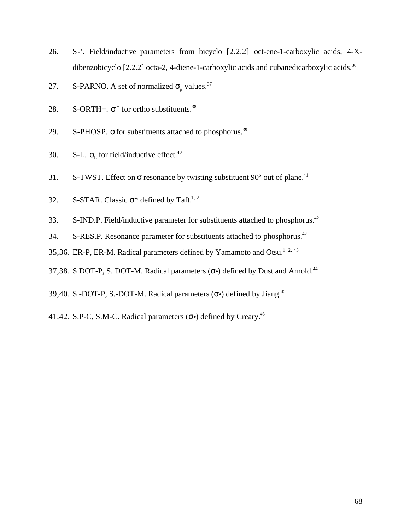- 26. S-'. Field/inductive parameters from bicyclo [2.2.2] oct-ene-1-carboxylic acids, 4-Xdibenzobicyclo  $[2.2.2]$  octa-2, 4-diene-1-carboxylic acids and cubanedicarboxylic acids.<sup>36</sup>
- 27. S-PARNO. A set of normalized  $_{\text{p}}$  values.<sup>37</sup>
- 28. S-ORTH+.  $+$  for ortho substituents.<sup>38</sup>
- 29. S-PHOSP. for substituents attached to phosphorus.<sup>39</sup>
- 30. S-L.  $_{\rm L}$  for field/inductive effect.<sup>40</sup>
- 31. S-TWST. Effect on resonance by twisting substituent  $90^{\circ}$  out of plane.<sup>41</sup>
- 32. S-STAR. Classic  $*$  defined by Taft.<sup>1, 2</sup>
- 33. S-IND.P. Field/inductive parameter for substituents attached to phosphorus.<sup>42</sup>
- 34. S-RES.P. Resonance parameter for substituents attached to phosphorus.<sup>42</sup>
- 35,36. ER-P, ER-M. Radical parameters defined by Yamamoto and Otsu.<sup>1, 2, 43</sup>
- 37,38. S.DOT-P, S. DOT-M. Radical parameters ( $\cdot$ ) defined by Dust and Arnold.<sup>44</sup>
- 39,40. S.-DOT-P, S.-DOT-M. Radical parameters ( •) defined by Jiang.<sup>45</sup>
- 41,42. S.P-C, S.M-C. Radical parameters  $(\cdot)$  defined by Creary.<sup>46</sup>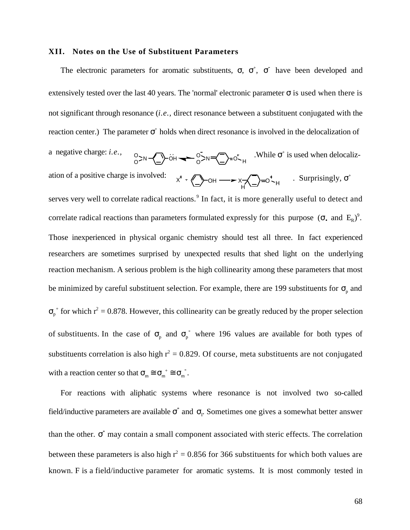#### **XII. Notes on the Use of Substituent Parameters**

The electronic parameters for aromatic substituents, , <sup>+</sup>, have been developed and extensively tested over the last 40 years. The 'normal' electronic parameter is used when there is not significant through resonance (*i.e.,* direct resonance between a substituent conjugated with the reaction center.) The parameter **business** the direct resonance is involved in the delocalization of a negative charge: *i.e.*,  $0 > N$   $\left(\frac{N}{N}\right)$  or  $N = \left(\frac{N}{N}\right) = 0$ , while  $\left(\frac{N}{N}\right)$  is used when delocalization of a positive charge is involved: х + «\_}−он ——<del>></del> х-х\_\_}=о - <sub>н</sub> H . Surprisingly,  $+$ serves very well to correlate radical reactions.<sup>9</sup> In fact, it is more generally useful to detect and correlate radical reactions than parameters formulated expressly for this purpose (  $\cdot$  and  $E_R$ )<sup>9</sup>. Those inexperienced in physical organic chemistry should test all three. In fact experienced researchers are sometimes surprised by unexpected results that shed light on the underlying reaction mechanism. A serious problem is the high collinearity among these parameters that most be minimized by careful substituent selection. For example, there are 199 substituents for  $\sigma$ <sub>p</sub> and p <sup>+</sup> for which  $r^2 = 0.878$ . However, this collinearity can be greatly reduced by the proper selection of substituents. In the case of  $_{p}$  and  $_{p}$  where 196 values are available for both types of substituents correlation is also high  $r^2 = 0.829$ . Of course, meta substituents are not conjugated with a reaction center so that  $\mu_{m}$  m m **-** .

For reactions with aliphatic systems where resonance is not involved two so-called field/inductive parameters are available  $\phi$  and  $\phi$ . Sometimes one gives a somewhat better answer than the other. \* may contain a small component associated with steric effects. The correlation between these parameters is also high  $r^2 = 0.856$  for 366 substituents for which both values are known. F is a field/inductive parameter for aromatic systems. It is most commonly tested in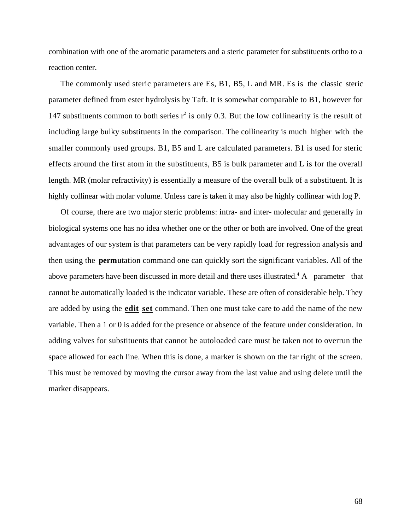combination with one of the aromatic parameters and a steric parameter for substituents ortho to a reaction center.

The commonly used steric parameters are Es, B1, B5, L and MR. Es is the classic steric parameter defined from ester hydrolysis by Taft. It is somewhat comparable to B1, however for 147 substituents common to both series  $r^2$  is only 0.3. But the low collinearity is the result of including large bulky substituents in the comparison. The collinearity is much higher with the smaller commonly used groups. B1, B5 and L are calculated parameters. B1 is used for steric effects around the first atom in the substituents, B5 is bulk parameter and L is for the overall length. MR (molar refractivity) is essentially a measure of the overall bulk of a substituent. It is highly collinear with molar volume. Unless care is taken it may also be highly collinear with log P.

Of course, there are two major steric problems: intra- and inter- molecular and generally in biological systems one has no idea whether one or the other or both are involved. One of the great advantages of our system is that parameters can be very rapidly load for regression analysis and then using the **perm** utation command one can quickly sort the significant variables. All of the above parameters have been discussed in more detail and there uses illustrated.<sup>4</sup> A parameter that cannot be automatically loaded is the indicator variable. These are often of considerable help. They are added by using the **edit set** command. Then one must take care to add the name of the new variable. Then a 1 or 0 is added for the presence or absence of the feature under consideration. In adding valves for substituents that cannot be autoloaded care must be taken not to overrun the space allowed for each line. When this is done, a marker is shown on the far right of the screen. This must be removed by moving the cursor away from the last value and using delete until the marker disappears.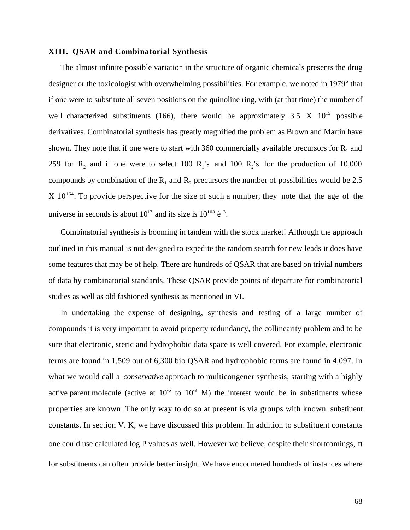#### **XIII. QSAR and Combinatorial Synthesis**

The almost infinite possible variation in the structure of organic chemicals presents the drug designer or the toxicologist with overwhelming possibilities. For example, we noted in 1979<sup>6</sup> that if one were to substitute all seven positions on the quinoline ring, with (at that time) the number of well characterized substituents (166), there would be approximately 3.5 X  $10^{15}$  possible derivatives. Combinatorial synthesis has greatly magnified the problem as Brown and Martin have shown. They note that if one were to start with 360 commercially available precursors for  $R_1$  and 259 for  $R_2$  and if one were to select 100  $R_1$ 's and 100  $R_2$ 's for the production of 10,000 compounds by combination of the  $R_1$  and  $R_2$  precursors the number of possibilities would be 2.5  $X$  10<sup>164</sup>. To provide perspective for the size of such a number, they note that the age of the universe in seconds is about  $10^{17}$  and its size is  $10^{108}$  è <sup>3</sup>.

Combinatorial synthesis is booming in tandem with the stock market! Although the approach outlined in this manual is not designed to expedite the random search for new leads it does have some features that may be of help. There are hundreds of QSAR that are based on trivial numbers of data by combinatorial standards. These QSAR provide points of departure for combinatorial studies as well as old fashioned synthesis as mentioned in VI.

In undertaking the expense of designing, synthesis and testing of a large number of compounds it is very important to avoid property redundancy, the collinearity problem and to be sure that electronic, steric and hydrophobic data space is well covered. For example, electronic terms are found in 1,509 out of 6,300 bio QSAR and hydrophobic terms are found in 4,097. In what we would call a *conservative* approach to multicongener synthesis, starting with a highly active parent molecule (active at  $10^{-6}$  to  $10^{-9}$  M) the interest would be in substituents whose properties are known. The only way to do so at present is via groups with known substiuent constants. In section V. K, we have discussed this problem. In addition to substituent constants one could use calculated log P values as well. However we believe, despite their shortcomings, for substituents can often provide better insight. We have encountered hundreds of instances where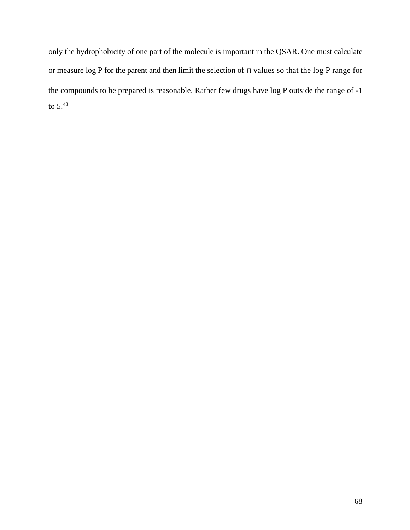only the hydrophobicity of one part of the molecule is important in the QSAR. One must calculate or measure log P for the parent and then limit the selection of values so that the log P range for the compounds to be prepared is reasonable. Rather few drugs have log P outside the range of -1 to  $5.^{48}$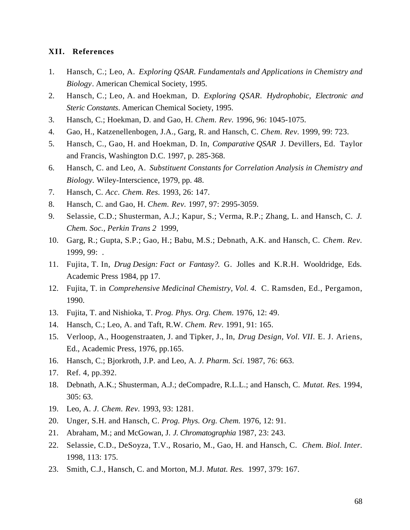## **XII. References**

- 1. Hansch, C.; Leo, A. *Exploring QSAR. Fundamentals and Applications in Chemistry and Biology*. American Chemical Society, 1995.
- 2. Hansch, C.; Leo, A. and Hoekman, D. *Exploring QSAR. Hydrophobic, Electronic and Steric Constants*. American Chemical Society, 1995.
- 3. Hansch, C.; Hoekman, D. and Gao, H. *Chem. Rev.* 1996, 96: 1045-1075.
- 4. Gao, H., Katzenellenbogen, J.A., Garg, R. and Hansch, C. *Chem. Rev.* 1999, 99: 723.
- 5. Hansch, C., Gao, H. and Hoekman, D. In, *Comparative QSAR* J. Devillers, Ed. Taylor and Francis, Washington D.C. 1997, p. 285-368.
- 6. Hansch, C. and Leo, A. *Substituent Constants for Correlation Analysis in Chemistry and Biology.* Wiley-Interscience, 1979, pp. 48.
- 7. Hansch, C. *Acc. Chem. Res.* 1993, 26: 147.
- 8. Hansch, C. and Gao, H. *Chem. Rev.* 1997, 97: 2995-3059.
- 9. Selassie, C.D.; Shusterman, A.J.; Kapur, S.; Verma, R.P.; Zhang, L. and Hansch, C. *J. Chem. Soc., Perkin Trans 2* 1999,
- 10. Garg, R.; Gupta, S.P.; Gao, H.; Babu, M.S.; Debnath, A.K. and Hansch, C. *Chem. Rev.* 1999, 99: .
- 11. Fujita, T. In, *Drug Design: Fact or Fantasy?.* G. Jolles and K.R.H. Wooldridge, Eds. Academic Press 1984, pp 17.
- 12. Fujita, T. in *Comprehensive Medicinal Chemistry, Vol. 4.* C. Ramsden, Ed., Pergamon, 1990.
- 13. Fujita, T. and Nishioka, T. *Prog. Phys. Org. Chem.* 1976, 12: 49.
- 14. Hansch, C.; Leo, A. and Taft, R.W. *Chem. Rev.* 1991, 91: 165.
- 15. Verloop, A., Hoogenstraaten, J. and Tipker, J., In, *Drug Design, Vol. VII*. E. J. Ariens, Ed., Academic Press, 1976, pp.165.
- 16. Hansch, C.; Bjorkroth, J.P. and Leo, A. *J. Pharm. Sci.* 1987, 76: 663.
- 17. Ref. 4, pp.392.
- 18. Debnath, A.K.; Shusterman, A.J.; deCompadre, R.L.L.; and Hansch, C. *Mutat. Res.* 1994, 305: 63.
- 19. Leo, A. *J. Chem. Rev.* 1993, 93: 1281.
- 20. Unger, S.H. and Hansch, C. *Prog. Phys. Org. Chem.* 1976, 12: 91.
- 21. Abraham, M.; and McGowan, J. *J. Chromatographia* 1987, 23: 243.
- 22. Selassie, C.D., DeSoyza, T.V., Rosario, M., Gao, H. and Hansch, C. *Chem. Biol. Inter.* 1998, 113: 175.
- 23. Smith, C.J., Hansch, C. and Morton, M.J. *Mutat. Res.* 1997, 379: 167.